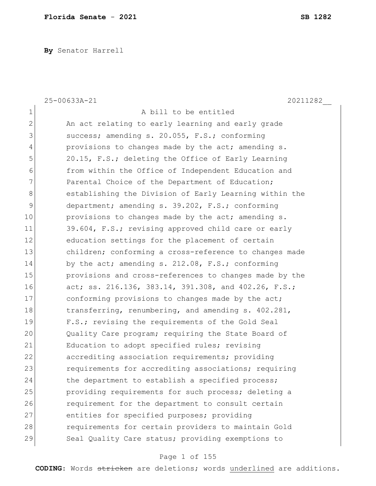**By** Senator Harrell

|                | 25-00633A-21<br>20211282                               |
|----------------|--------------------------------------------------------|
| $\mathbf 1$    | A bill to be entitled                                  |
| $\overline{2}$ | An act relating to early learning and early grade      |
| 3              | success; amending s. 20.055, F.S.; conforming          |
| 4              | provisions to changes made by the act; amending s.     |
| 5              | 20.15, F.S.; deleting the Office of Early Learning     |
| 6              | from within the Office of Independent Education and    |
| 7              | Parental Choice of the Department of Education;        |
| $\,8\,$        | establishing the Division of Early Learning within the |
| 9              | department; amending s. 39.202, F.S.; conforming       |
| 10             | provisions to changes made by the act; amending s.     |
| 11             | 39.604, F.S.; revising approved child care or early    |
| 12             | education settings for the placement of certain        |
| 13             | children; conforming a cross-reference to changes made |
| 14             | by the act; amending s. 212.08, F.S.; conforming       |
| 15             | provisions and cross-references to changes made by the |
| 16             | act; ss. 216.136, 383.14, 391.308, and 402.26, F.S.;   |
| 17             | conforming provisions to changes made by the act;      |
| 18             | transferring, renumbering, and amending s. 402.281,    |
| 19             | F.S.; revising the requirements of the Gold Seal       |
| 20             | Quality Care program; requiring the State Board of     |
| 21             | Education to adopt specified rules; revising           |
| 22             | accrediting association requirements; providing        |
| 23             | requirements for accrediting associations; requiring   |
| 24             | the department to establish a specified process;       |
| 25             | providing requirements for such process; deleting a    |
| 26             | requirement for the department to consult certain      |
| 27             | entities for specified purposes; providing             |
| 28             | requirements for certain providers to maintain Gold    |
| 29             | Seal Quality Care status; providing exemptions to      |

# Page 1 of 155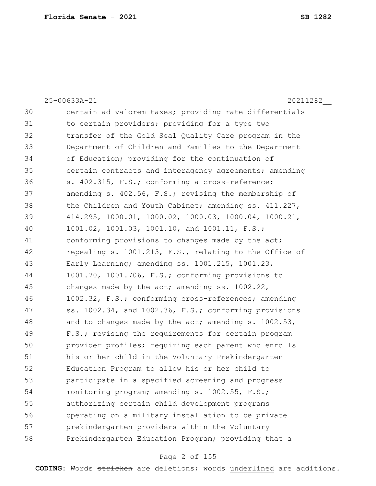25-00633A-21 20211282\_\_ 30 certain ad valorem taxes; providing rate differentials 31 10 to certain providers; providing for a type two 32 120 transfer of the Gold Seal Quality Care program in the 33 Department of Children and Families to the Department 34 of Education; providing for the continuation of 35 35 certain contracts and interagency agreements; amending 36 s. 402.315, F.S.; conforming a cross-reference; 37 amending s. 402.56, F.S.; revising the membership of 38 the Children and Youth Cabinet; amending ss. 411.227, 39 414.295, 1000.01, 1000.02, 1000.03, 1000.04, 1000.21, 40 1001.02, 1001.03, 1001.10, and 1001.11, F.S.; 41 conforming provisions to changes made by the act; 42 repealing s. 1001.213, F.S., relating to the Office of 43 Early Learning; amending ss. 1001.215, 1001.23, 44 1001.70, 1001.706, F.S.; conforming provisions to 45 changes made by the act; amending ss. 1002.22, 46 1002.32, F.S.; conforming cross-references; amending 47  $\vert$  ss. 1002.34, and 1002.36, F.S.; conforming provisions 48 and to changes made by the act; amending  $s. 1002.53$ , 49 F.S.; revising the requirements for certain program 50 provider profiles; requiring each parent who enrolls 51 his or her child in the Voluntary Prekindergarten 52 Education Program to allow his or her child to 53 participate in a specified screening and progress 54 monitoring program; amending s. 1002.55, F.S.; 55 authorizing certain child development programs 56 operating on a military installation to be private 57 prekindergarten providers within the Voluntary 58 Prekindergarten Education Program; providing that a

#### Page 2 of 155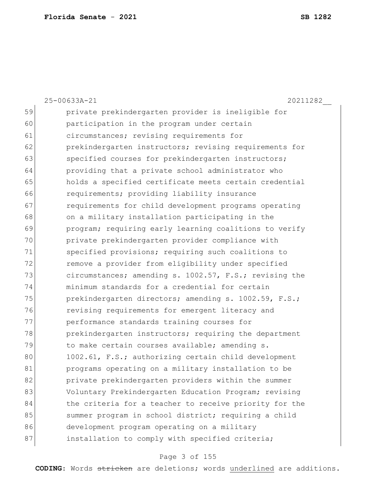|    | 25-00633A-21<br>20211282                               |
|----|--------------------------------------------------------|
| 59 | private prekindergarten provider is ineligible for     |
| 60 | participation in the program under certain             |
| 61 | circumstances; revising requirements for               |
| 62 | prekindergarten instructors; revising requirements for |
| 63 | specified courses for prekindergarten instructors;     |
| 64 | providing that a private school administrator who      |
| 65 | holds a specified certificate meets certain credential |
| 66 | requirements; providing liability insurance            |
| 67 | requirements for child development programs operating  |
| 68 | on a military installation participating in the        |
| 69 | program; requiring early learning coalitions to verify |
| 70 | private prekindergarten provider compliance with       |
| 71 | specified provisions; requiring such coalitions to     |
| 72 | remove a provider from eligibility under specified     |
| 73 | circumstances; amending s. 1002.57, F.S.; revising the |
| 74 | minimum standards for a credential for certain         |
| 75 | prekindergarten directors; amending s. 1002.59, F.S.;  |
| 76 | revising requirements for emergent literacy and        |
| 77 | performance standards training courses for             |
| 78 | prekindergarten instructors; requiring the department  |
| 79 | to make certain courses available; amending s.         |
| 80 | 1002.61, F.S.; authorizing certain child development   |
| 81 | programs operating on a military installation to be    |
| 82 | private prekindergarten providers within the summer    |
| 83 | Voluntary Prekindergarten Education Program; revising  |
| 84 | the criteria for a teacher to receive priority for the |
| 85 | summer program in school district; requiring a child   |
| 86 | development program operating on a military            |
| 87 | installation to comply with specified criteria;        |
|    |                                                        |

# Page 3 of 155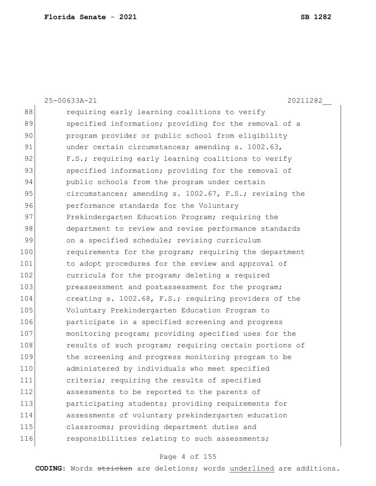|     | 25-00633A-21<br>20211282                               |
|-----|--------------------------------------------------------|
| 88  | requiring early learning coalitions to verify          |
| 89  | specified information; providing for the removal of a  |
| 90  | program provider or public school from eligibility     |
| 91  | under certain circumstances; amending s. 1002.63,      |
| 92  | F.S.; requiring early learning coalitions to verify    |
| 93  | specified information; providing for the removal of    |
| 94  | public schools from the program under certain          |
| 95  | circumstances; amending s. 1002.67, F.S.; revising the |
| 96  | performance standards for the Voluntary                |
| 97  | Prekindergarten Education Program; requiring the       |
| 98  | department to review and revise performance standards  |
| 99  | on a specified schedule; revising curriculum           |
| 100 | requirements for the program; requiring the department |
| 101 | to adopt procedures for the review and approval of     |
| 102 | curricula for the program; deleting a required         |
| 103 | preassessment and postassessment for the program;      |
| 104 | creating s. 1002.68, F.S.; requiring providers of the  |
| 105 | Voluntary Prekindergarten Education Program to         |
| 106 | participate in a specified screening and progress      |
| 107 | monitoring program; providing specified uses for the   |
| 108 | results of such program; requiring certain portions of |
| 109 | the screening and progress monitoring program to be    |
| 110 | administered by individuals who meet specified         |
| 111 | criteria; requiring the results of specified           |
| 112 | assessments to be reported to the parents of           |
| 113 | participating students; providing requirements for     |
| 114 | assessments of voluntary prekindergarten education     |
| 115 | classrooms; providing department duties and            |
| 116 | responsibilities relating to such assessments;         |

# Page 4 of 155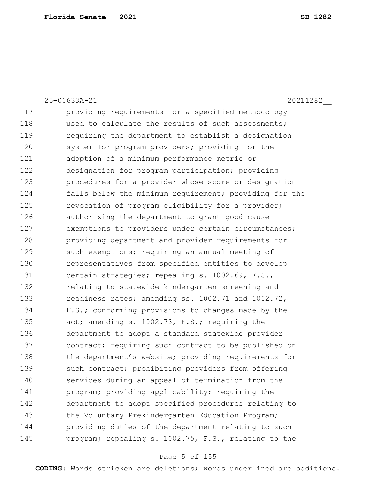25-00633A-21 20211282\_\_ 117 providing requirements for a specified methodology 118 used to calculate the results of such assessments; 119 requiring the department to establish a designation 120 system for program providers; providing for the 121 adoption of a minimum performance metric or 122 designation for program participation; providing 123 **procedures for a provider whose score or designation** 124 falls below the minimum requirement; providing for the 125 revocation of program eligibility for a provider; 126 authorizing the department to grant good cause 127 exemptions to providers under certain circumstances; 128 **providing department and provider requirements for** 129 such exemptions; requiring an annual meeting of 130 representatives from specified entities to develop 131 certain strategies; repealing s. 1002.69, F.S., 132 relating to statewide kindergarten screening and 133 readiness rates; amending ss. 1002.71 and 1002.72, 134 F.S.; conforming provisions to changes made by the 135 act; amending s. 1002.73, F.S.; requiring the 136 department to adopt a standard statewide provider 137 contract; requiring such contract to be published on 138 the department's website; providing requirements for 139 such contract; prohibiting providers from offering 140 services during an appeal of termination from the 141 program; providing applicability; requiring the 142 department to adopt specified procedures relating to 143 the Voluntary Prekindergarten Education Program; 144 providing duties of the department relating to such 145 program; repealing s. 1002.75, F.S., relating to the

#### Page 5 of 155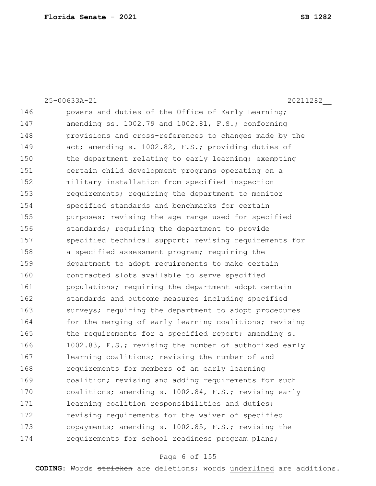25-00633A-21 20211282\_\_ 146 **powers** and duties of the Office of Early Learning; 147 amending ss. 1002.79 and 1002.81, F.S.; conforming 148 **provisions** and cross-references to changes made by the 149 act; amending s. 1002.82, F.S.; providing duties of 150 the department relating to early learning; exempting 151 certain child development programs operating on a 152 military installation from specified inspection 153 requirements; requiring the department to monitor 154 specified standards and benchmarks for certain 155 **purposes;** revising the age range used for specified 156 standards; requiring the department to provide 157 Specified technical support; revising requirements for 158 a specified assessment program; requiring the 159 department to adopt requirements to make certain 160 contracted slots available to serve specified 161 **populations;** requiring the department adopt certain 162 standards and outcome measures including specified 163 surveys; requiring the department to adopt procedures 164 for the merging of early learning coalitions; revising 165 the requirements for a specified report; amending s. 166 1002.83, F.S.; revising the number of authorized early 167 learning coalitions; revising the number of and 168 requirements for members of an early learning 169 coalition; revising and adding requirements for such 170 coalitions; amending s. 1002.84, F.S.; revising early 171 learning coalition responsibilities and duties; 172 revising requirements for the waiver of specified 173 copayments; amending s. 1002.85, F.S.; revising the 174 **requirements for school readiness program plans;** 

#### Page 6 of 155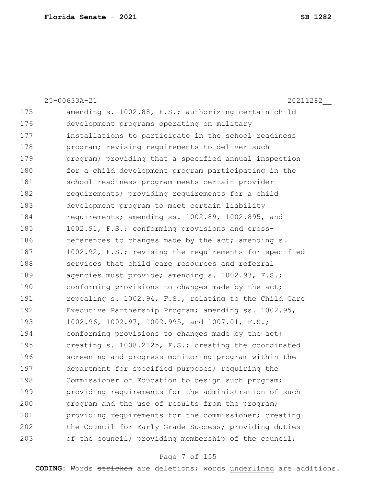|     | 25-00633A-21<br>20211282                               |
|-----|--------------------------------------------------------|
| 175 | amending s. 1002.88, F.S.; authorizing certain child   |
| 176 | development programs operating on military             |
| 177 | installations to participate in the school readiness   |
| 178 | program; revising requirements to deliver such         |
| 179 | program; providing that a specified annual inspection  |
| 180 | for a child development program participating in the   |
| 181 | school readiness program meets certain provider        |
| 182 | requirements; providing requirements for a child       |
| 183 | development program to meet certain liability          |
| 184 | requirements; amending ss. 1002.89, 1002.895, and      |
| 185 | 1002.91, F.S.; conforming provisions and cross-        |
| 186 | references to changes made by the act; amending s.     |
| 187 | 1002.92, F.S.; revising the requirements for specified |
| 188 | services that child care resources and referral        |
| 189 | agencies must provide; amending s. 1002.93, F.S.;      |
| 190 | conforming provisions to changes made by the act;      |
| 191 | repealing s. 1002.94, F.S., relating to the Child Care |
| 192 | Executive Partnership Program; amending ss. 1002.95,   |
| 193 | 1002.96, 1002.97, 1002.995, and 1007.01, F.S.;         |
| 194 | conforming provisions to changes made by the act;      |
| 195 | creating s. 1008.2125, F.S.; creating the coordinated  |
| 196 | screening and progress monitoring program within the   |
| 197 | department for specified purposes; requiring the       |
| 198 | Commissioner of Education to design such program;      |
| 199 | providing requirements for the administration of such  |
| 200 | program and the use of results from the program;       |
| 201 | providing requirements for the commissioner; creating  |
| 202 | the Council for Early Grade Success; providing duties  |
| 203 | of the council; providing membership of the council;   |

# Page 7 of 155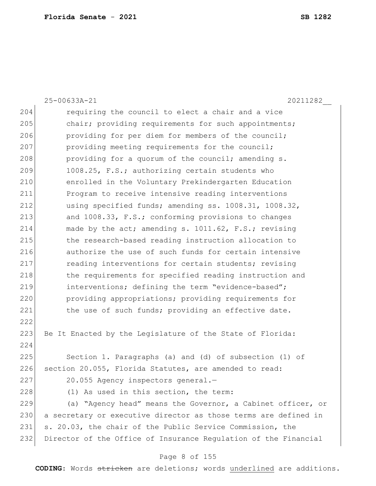|     | 25-00633A-21<br>20211282                                        |
|-----|-----------------------------------------------------------------|
| 204 | requiring the council to elect a chair and a vice               |
| 205 | chair; providing requirements for such appointments;            |
| 206 | providing for per diem for members of the council;              |
| 207 | providing meeting requirements for the council;                 |
| 208 | providing for a quorum of the council; amending s.              |
| 209 | 1008.25, F.S.; authorizing certain students who                 |
| 210 | enrolled in the Voluntary Prekindergarten Education             |
| 211 | Program to receive intensive reading interventions              |
| 212 | using specified funds; amending ss. 1008.31, 1008.32,           |
| 213 | and 1008.33, F.S.; conforming provisions to changes             |
| 214 | made by the act; amending s. 1011.62, F.S.; revising            |
| 215 | the research-based reading instruction allocation to            |
| 216 | authorize the use of such funds for certain intensive           |
| 217 | reading interventions for certain students; revising            |
| 218 | the requirements for specified reading instruction and          |
| 219 | interventions; defining the term "evidence-based";              |
| 220 | providing appropriations; providing requirements for            |
| 221 | the use of such funds; providing an effective date.             |
| 222 |                                                                 |
| 223 | Be It Enacted by the Legislature of the State of Florida:       |
| 224 |                                                                 |
| 225 | Section 1. Paragraphs (a) and (d) of subsection (1) of          |
| 226 | section 20.055, Florida Statutes, are amended to read:          |
| 227 | 20.055 Agency inspectors general.-                              |
| 228 | (1) As used in this section, the term:                          |
| 229 | (a) "Agency head" means the Governor, a Cabinet officer, or     |
| 230 | a secretary or executive director as those terms are defined in |
| 231 | s. 20.03, the chair of the Public Service Commission, the       |
| 232 | Director of the Office of Insurance Regulation of the Financial |

# Page 8 of 155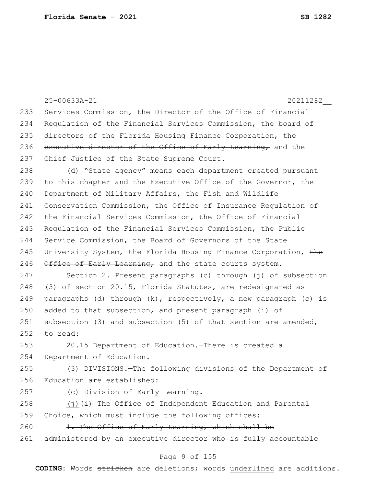|     | 25-00633A-21<br>20211282                                            |
|-----|---------------------------------------------------------------------|
| 233 | Services Commission, the Director of the Office of Financial        |
| 234 | Requlation of the Financial Services Commission, the board of       |
| 235 | directors of the Florida Housing Finance Corporation, the           |
| 236 | executive director of the Office of Early Learning, and the         |
| 237 | Chief Justice of the State Supreme Court.                           |
| 238 | (d) "State agency" means each department created pursuant           |
| 239 | to this chapter and the Executive Office of the Governor, the       |
| 240 | Department of Military Affairs, the Fish and Wildlife               |
| 241 | Conservation Commission, the Office of Insurance Regulation of      |
| 242 | the Financial Services Commission, the Office of Financial          |
| 243 | Regulation of the Financial Services Commission, the Public         |
| 244 | Service Commission, the Board of Governors of the State             |
| 245 | University System, the Florida Housing Finance Corporation, the     |
| 246 | Office of Early Learning, and the state courts system.              |
| 247 | Section 2. Present paragraphs (c) through (j) of subsection         |
| 248 | (3) of section 20.15, Florida Statutes, are redesignated as         |
| 249 | paragraphs (d) through $(k)$ , respectively, a new paragraph (c) is |
| 250 | added to that subsection, and present paragraph (i) of              |
| 251 | subsection (3) and subsection (5) of that section are amended,      |
| 252 | to read:                                                            |
| 253 | 20.15 Department of Education.-There is created a                   |
| 254 | Department of Education.                                            |
| 255 | (3) DIVISIONS.-The following divisions of the Department of         |
| 256 | Education are established:                                          |
| 257 | (c) Division of Early Learning.                                     |
| 258 | $(j)$ $(i)$ The Office of Independent Education and Parental        |
| 259 | Choice, which must include the following offices:                   |
| 260 | 1. The Office of Early Learning, which shall be                     |
| 261 | administered by an executive director who is fully accountable      |
|     |                                                                     |

### Page 9 of 155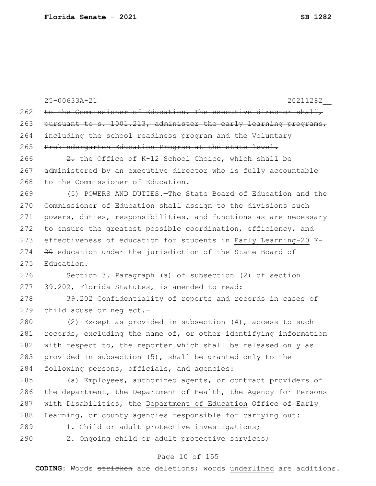|     | 25-00633A-21<br>20211282                                         |
|-----|------------------------------------------------------------------|
| 262 | to the Commissioner of Education. The executive director shall,  |
| 263 | pursuant to s. 1001.213, administer the early learning programs, |
| 264 | including the school readiness program and the Voluntary         |
| 265 | Prekindergarten Education Program at the state level.            |
| 266 | 2. the Office of K-12 School Choice, which shall be              |
| 267 | administered by an executive director who is fully accountable   |
| 268 | to the Commissioner of Education.                                |
| 269 | (5) POWERS AND DUTIES. - The State Board of Education and the    |
| 270 | Commissioner of Education shall assign to the divisions such     |
| 271 | powers, duties, responsibilities, and functions as are necessary |
| 272 | to ensure the greatest possible coordination, efficiency, and    |
| 273 | effectiveness of education for students in Early Learning-20 K-  |
| 274 | 20 education under the jurisdiction of the State Board of        |
| 275 | Education.                                                       |
| 276 | Section 3. Paragraph (a) of subsection (2) of section            |
| 277 | 39.202, Florida Statutes, is amended to read:                    |
| 278 | 39.202 Confidentiality of reports and records in cases of        |
| 279 | child abuse or neglect.-                                         |
| 280 | (2) Except as provided in subsection $(4)$ , access to such      |
| 281 | records, excluding the name of, or other identifying information |
| 282 | with respect to, the reporter which shall be released only as    |
| 283 | provided in subsection (5), shall be granted only to the         |
| 284 | following persons, officials, and agencies:                      |
| 285 | (a) Employees, authorized agents, or contract providers of       |
| 286 | the department, the Department of Health, the Agency for Persons |
| 287 | with Disabilities, the Department of Education Office of Early   |
| 288 | Learning, or county agencies responsible for carrying out:       |
| 289 | 1. Child or adult protective investigations;                     |
| 290 | 2. Ongoing child or adult protective services;                   |
|     |                                                                  |

### Page 10 of 155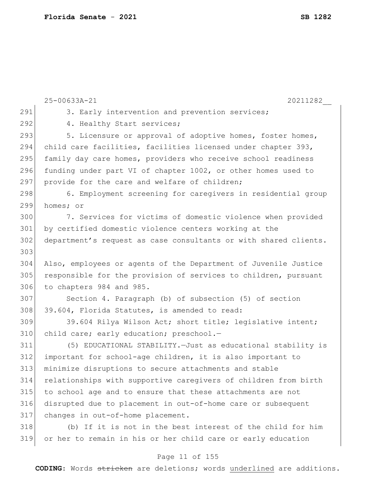|     | 25-00633A-21<br>20211282                                         |
|-----|------------------------------------------------------------------|
| 291 | 3. Early intervention and prevention services;                   |
| 292 | 4. Healthy Start services;                                       |
| 293 | 5. Licensure or approval of adoptive homes, foster homes,        |
| 294 | child care facilities, facilities licensed under chapter 393,    |
| 295 | family day care homes, providers who receive school readiness    |
| 296 | funding under part VI of chapter 1002, or other homes used to    |
| 297 | provide for the care and welfare of children;                    |
| 298 | 6. Employment screening for caregivers in residential group      |
| 299 | homes; or                                                        |
| 300 | 7. Services for victims of domestic violence when provided       |
| 301 | by certified domestic violence centers working at the            |
| 302 | department's request as case consultants or with shared clients. |
| 303 |                                                                  |
| 304 | Also, employees or agents of the Department of Juvenile Justice  |
| 305 | responsible for the provision of services to children, pursuant  |
| 306 | to chapters 984 and 985.                                         |
| 307 | Section 4. Paragraph (b) of subsection (5) of section            |
| 308 | 39.604, Florida Statutes, is amended to read:                    |
| 309 | 39.604 Rilya Wilson Act; short title; legislative intent;        |
| 310 | child care; early education; preschool.-                         |
| 311 | (5) EDUCATIONAL STABILITY. - Just as educational stability is    |
| 312 | important for school-age children, it is also important to       |
| 313 | minimize disruptions to secure attachments and stable            |
| 314 | relationships with supportive caregivers of children from birth  |
| 315 | to school age and to ensure that these attachments are not       |
| 316 | disrupted due to placement in out-of-home care or subsequent     |
| 317 | changes in out-of-home placement.                                |
| 318 | (b) If it is not in the best interest of the child for him       |
| 319 | or her to remain in his or her child care or early education     |
|     |                                                                  |

# Page 11 of 155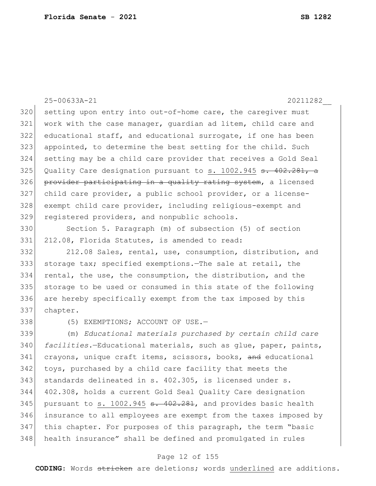25-00633A-21 20211282\_\_ 320 setting upon entry into out-of-home care, the caregiver must work with the case manager, guardian ad litem, child care and educational staff, and educational surrogate, if one has been appointed, to determine the best setting for the child. Such setting may be a child care provider that receives a Gold Seal 325 Quality Care designation pursuant to s. 1002.945  $\frac{1}{3}$ . 402.281, a 326 provider participating in a quality rating system, a licensed child care provider, a public school provider, or a license- exempt child care provider, including religious-exempt and 329 registered providers, and nonpublic schools.

 Section 5. Paragraph (m) of subsection (5) of section 212.08, Florida Statutes, is amended to read:

 212.08 Sales, rental, use, consumption, distribution, and storage tax; specified exemptions.—The sale at retail, the rental, the use, the consumption, the distribution, and the 335 storage to be used or consumed in this state of the following are hereby specifically exempt from the tax imposed by this chapter.

338 (5) EXEMPTIONS; ACCOUNT OF USE.

 (m) *Educational materials purchased by certain child care facilities.*—Educational materials, such as glue, paper, paints, 341 crayons, unique craft items, scissors, books, and educational toys, purchased by a child care facility that meets the standards delineated in s. 402.305, is licensed under s. 402.308, holds a current Gold Seal Quality Care designation 345 pursuant to s. 1002.945  $\texttt{s. } 402.281$ , and provides basic health insurance to all employees are exempt from the taxes imposed by this chapter. For purposes of this paragraph, the term "basic health insurance" shall be defined and promulgated in rules

#### Page 12 of 155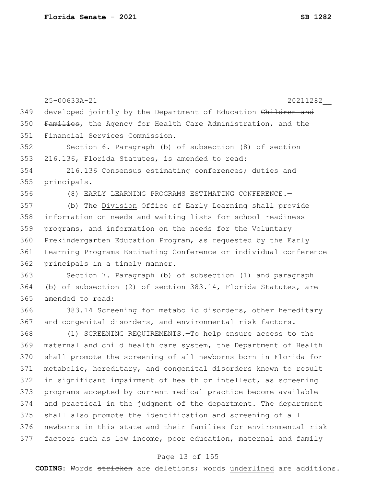| 349 | developed jointly by the Department of Education Children and     |
|-----|-------------------------------------------------------------------|
| 350 | Families, the Agency for Health Care Administration, and the      |
| 351 | Financial Services Commission.                                    |
| 352 | Section 6. Paragraph (b) of subsection (8) of section             |
| 353 | 216.136, Florida Statutes, is amended to read:                    |
| 354 | 216.136 Consensus estimating conferences; duties and              |
| 355 | principals.-                                                      |
| 356 | (8) EARLY LEARNING PROGRAMS ESTIMATING CONFERENCE. -              |
| 357 | (b) The Division $\theta$ ffice of Early Learning shall provide   |
| 358 | information on needs and waiting lists for school readiness       |
| 359 | programs, and information on the needs for the Voluntary          |
| 360 | Prekindergarten Education Program, as requested by the Early      |
| 361 | Learning Programs Estimating Conference or individual conference  |
| 362 | principals in a timely manner.                                    |
| 363 | Section 7. Paragraph (b) of subsection (1) and paragraph          |
| 364 | (b) of subsection (2) of section $383.14$ , Florida Statutes, are |
| 365 | amended to read:                                                  |
| 366 | 383.14 Screening for metabolic disorders, other hereditary        |
| 367 | and congenital disorders, and environmental risk factors.-        |
| 368 | (1) SCREENING REQUIREMENTS. - To help ensure access to the        |
| 369 | maternal and child health care system, the Department of Health   |
| 370 | shall promote the screening of all newborns born in Florida for   |
| 371 | metabolic, hereditary, and congenital disorders known to result   |
| 372 | in significant impairment of health or intellect, as screening    |
| 373 | programs accepted by current medical practice become available    |
| 374 | and practical in the judgment of the department. The department   |
| 375 | shall also promote the identification and screening of all        |
| 376 | newborns in this state and their families for environmental risk  |
| 377 | factors such as low income, poor education, maternal and family   |
|     |                                                                   |

25-00633A-21 20211282\_\_

# Page 13 of 155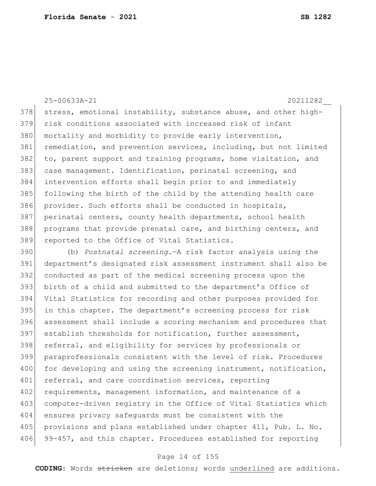25-00633A-21 20211282\_\_ 378 stress, emotional instability, substance abuse, and other high-379 risk conditions associated with increased risk of infant 380 mortality and morbidity to provide early intervention, 381 remediation, and prevention services, including, but not limited 382 to, parent support and training programs, home visitation, and 383 case management. Identification, perinatal screening, and 384 intervention efforts shall begin prior to and immediately 385 following the birth of the child by the attending health care 386 provider. Such efforts shall be conducted in hospitals, 387 perinatal centers, county health departments, school health 388 programs that provide prenatal care, and birthing centers, and 389 reported to the Office of Vital Statistics. 390 (b) *Postnatal screening.*—A risk factor analysis using the 391 department's designated risk assessment instrument shall also be 392 conducted as part of the medical screening process upon the 393 birth of a child and submitted to the department's Office of 394 Vital Statistics for recording and other purposes provided for 395 in this chapter. The department's screening process for risk 396 assessment shall include a scoring mechanism and procedures that 397 establish thresholds for notification, further assessment, 398 referral, and eligibility for services by professionals or 399 paraprofessionals consistent with the level of risk. Procedures 400 for developing and using the screening instrument, notification, 401 referral, and care coordination services, reporting 402 requirements, management information, and maintenance of a 403 computer-driven registry in the Office of Vital Statistics which

405 provisions and plans established under chapter 411, Pub. L. No. 406 99-457, and this chapter. Procedures established for reporting

404 ensures privacy safeguards must be consistent with the

#### Page 14 of 155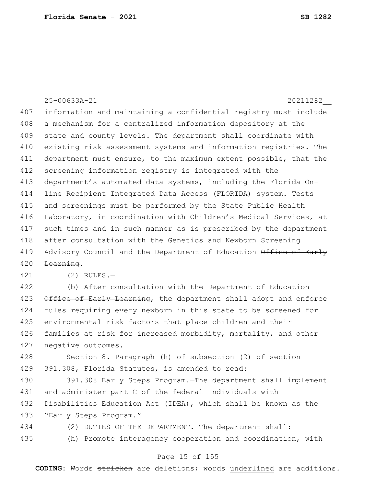25-00633A-21 20211282\_\_ 407 information and maintaining a confidential registry must include 408 a mechanism for a centralized information depository at the 409 state and county levels. The department shall coordinate with 410 existing risk assessment systems and information registries. The 411 department must ensure, to the maximum extent possible, that the 412 screening information registry is integrated with the 413 department's automated data systems, including the Florida On-414 line Recipient Integrated Data Access (FLORIDA) system. Tests 415 and screenings must be performed by the State Public Health 416 Laboratory, in coordination with Children's Medical Services, at 417 such times and in such manner as is prescribed by the department 418 after consultation with the Genetics and Newborn Screening 419 Advisory Council and the Department of Education Office of Early  $420$  <del>Learning</del>. 421 (2) RULES.— 422 (b) After consultation with the Department of Education 423 Office of Early Learning, the department shall adopt and enforce 424 rules requiring every newborn in this state to be screened for 425 environmental risk factors that place children and their 426 families at risk for increased morbidity, mortality, and other 427 negative outcomes. 428 Section 8. Paragraph (h) of subsection (2) of section 429 391.308, Florida Statutes, is amended to read: 430 391.308 Early Steps Program.—The department shall implement 431 and administer part C of the federal Individuals with 432 Disabilities Education Act (IDEA), which shall be known as the 433 NEarly Steps Program." 434 (2) DUTIES OF THE DEPARTMENT.—The department shall: 435 (h) Promote interagency cooperation and coordination, with

#### Page 15 of 155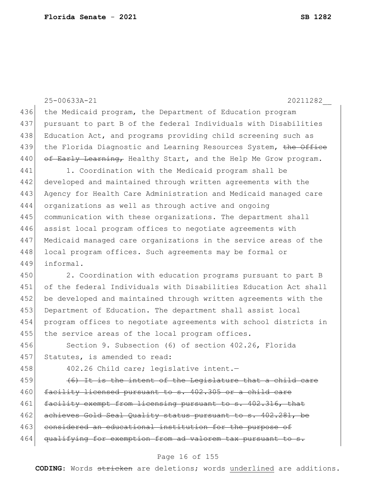25-00633A-21 20211282\_\_ 436 the Medicaid program, the Department of Education program 437 pursuant to part B of the federal Individuals with Disabilities 438 Education Act, and programs providing child screening such as 439 the Florida Diagnostic and Learning Resources System, the Office 440 of Early Learning, Healthy Start, and the Help Me Grow program. 441 1. Coordination with the Medicaid program shall be 442 developed and maintained through written agreements with the 443 Agency for Health Care Administration and Medicaid managed care 444 organizations as well as through active and ongoing 445 communication with these organizations. The department shall 446 assist local program offices to negotiate agreements with 447 Medicaid managed care organizations in the service areas of the 448 local program offices. Such agreements may be formal or 449 informal. 450 2. Coordination with education programs pursuant to part B 451 of the federal Individuals with Disabilities Education Act shall 452 be developed and maintained through written agreements with the 453 Department of Education. The department shall assist local 454 program offices to negotiate agreements with school districts in 455 the service areas of the local program offices. 456 Section 9. Subsection (6) of section 402.26, Florida 457 Statutes, is amended to read: 458 402.26 Child care; legislative intent.  $459$  (6) It is the intent of the Legislature that a child care 460 facility licensed pursuant to s. 402.305 or a child care 461 facility exempt from licensing pursuant to s. 402.316, that 462 achieves Gold Seal Quality status pursuant to s. 402.281, be 463 considered an educational institution for the purpose of 464 qualifying for exemption from ad valorem tax pursuant to

#### Page 16 of 155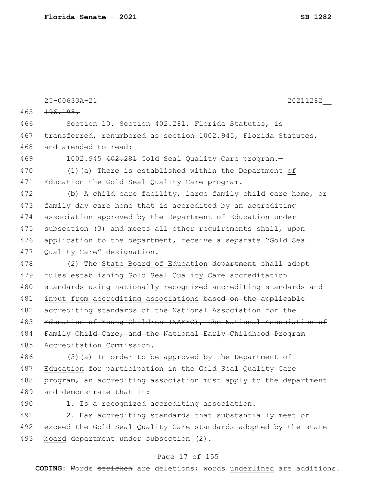|     | 25-00633A-21<br>20211282                                         |
|-----|------------------------------------------------------------------|
| 465 | 196.198.                                                         |
| 466 | Section 10. Section 402.281, Florida Statutes, is                |
| 467 | transferred, renumbered as section 1002.945, Florida Statutes,   |
| 468 | and amended to read:                                             |
| 469 | 1002.945 402.281 Gold Seal Quality Care program.-                |
| 470 | (1) (a) There is established within the Department of            |
| 471 | Education the Gold Seal Quality Care program.                    |
| 472 | (b) A child care facility, large family child care home, or      |
| 473 | family day care home that is accredited by an accrediting        |
| 474 | association approved by the Department of Education under        |
| 475 | subsection (3) and meets all other requirements shall, upon      |
| 476 | application to the department, receive a separate "Gold Seal     |
| 477 | Quality Care" designation.                                       |
| 478 | (2) The State Board of Education department shall adopt          |
| 479 | rules establishing Gold Seal Quality Care accreditation          |
| 480 | standards using nationally recognized accrediting standards and  |
| 481 | input from accrediting associations based on the applicable      |
| 482 | accrediting standards of the National Association for the        |
| 483 | Education of Young Children (NAEYC), the National Association of |
| 484 | Family Child Care, and the National Early Childhood Program      |
| 485 | Accreditation Commission.                                        |
| 486 | (3) (a) In order to be approved by the Department of             |
| 487 | Education for participation in the Gold Seal Quality Care        |
| 488 | program, an accrediting association must apply to the department |
| 489 | and demonstrate that it:                                         |
| 490 | 1. Is a recognized accrediting association.                      |
| 491 | 2. Has accrediting standards that substantially meet or          |
| 492 | exceed the Gold Seal Quality Care standards adopted by the state |
| 493 | board department under subsection (2).                           |

# Page 17 of 155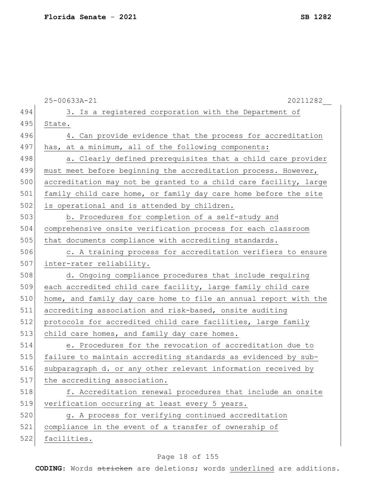|     | 25-00633A-21<br>20211282                                         |
|-----|------------------------------------------------------------------|
| 494 | 3. Is a registered corporation with the Department of            |
| 495 | State.                                                           |
| 496 | 4. Can provide evidence that the process for accreditation       |
| 497 | has, at a minimum, all of the following components:              |
| 498 | a. Clearly defined prerequisites that a child care provider      |
| 499 | must meet before beginning the accreditation process. However,   |
| 500 | accreditation may not be granted to a child care facility, large |
| 501 | family child care home, or family day care home before the site  |
| 502 | is operational and is attended by children.                      |
| 503 | b. Procedures for completion of a self-study and                 |
| 504 | comprehensive onsite verification process for each classroom     |
| 505 | that documents compliance with accrediting standards.            |
| 506 | c. A training process for accreditation verifiers to ensure      |
| 507 | inter-rater reliability.                                         |
| 508 | d. Ongoing compliance procedures that include requiring          |
| 509 | each accredited child care facility, large family child care     |
| 510 | home, and family day care home to file an annual report with the |
| 511 | accrediting association and risk-based, onsite auditing          |
| 512 | protocols for accredited child care facilities, large family     |
| 513 | child care homes, and family day care homes.                     |
| 514 | e. Procedures for the revocation of accreditation due to         |
| 515 | failure to maintain accrediting standards as evidenced by sub-   |
| 516 | subparagraph d. or any other relevant information received by    |
| 517 | the accrediting association.                                     |
| 518 | f. Accreditation renewal procedures that include an onsite       |
| 519 | verification occurring at least every 5 years.                   |
| 520 | g. A process for verifying continued accreditation               |
| 521 | compliance in the event of a transfer of ownership of            |
| 522 | facilities.                                                      |
|     |                                                                  |

# Page 18 of 155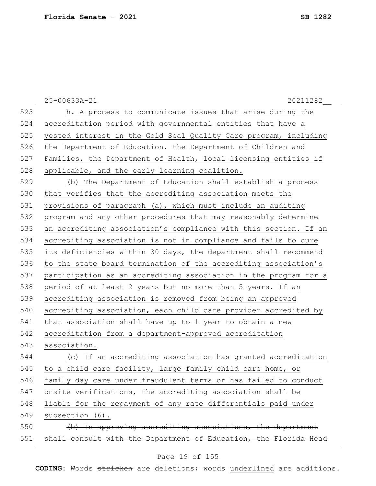|     | 25-00633A-21<br>20211282                                         |
|-----|------------------------------------------------------------------|
| 523 | h. A process to communicate issues that arise during the         |
| 524 | accreditation period with governmental entities that have a      |
| 525 | vested interest in the Gold Seal Quality Care program, including |
| 526 | the Department of Education, the Department of Children and      |
| 527 | Families, the Department of Health, local licensing entities if  |
| 528 | applicable, and the early learning coalition.                    |
| 529 | (b) The Department of Education shall establish a process        |
| 530 | that verifies that the accrediting association meets the         |
| 531 | provisions of paragraph (a), which must include an auditing      |
| 532 | program and any other procedures that may reasonably determine   |
| 533 | an accrediting association's compliance with this section. If an |
| 534 | accrediting association is not in compliance and fails to cure   |
| 535 | its deficiencies within 30 days, the department shall recommend  |
| 536 | to the state board termination of the accrediting association's  |
| 537 | participation as an accrediting association in the program for a |
| 538 | period of at least 2 years but no more than 5 years. If an       |
| 539 | accrediting association is removed from being an approved        |
| 540 | accrediting association, each child care provider accredited by  |
| 541 | that association shall have up to 1 year to obtain a new         |
| 542 | accreditation from a department-approved accreditation           |
| 543 | association.                                                     |
| 544 | (c) If an accrediting association has granted accreditation      |
| 545 | to a child care facility, large family child care home, or       |
| 546 | family day care under fraudulent terms or has failed to conduct  |
| 547 | onsite verifications, the accrediting association shall be       |
| 548 | liable for the repayment of any rate differentials paid under    |
| 549 | subsection (6).                                                  |
| 550 | (b) In approving accrediting associations, the department        |
| 551 | shall consult with the Department of Education, the Florida Head |

# Page 19 of 155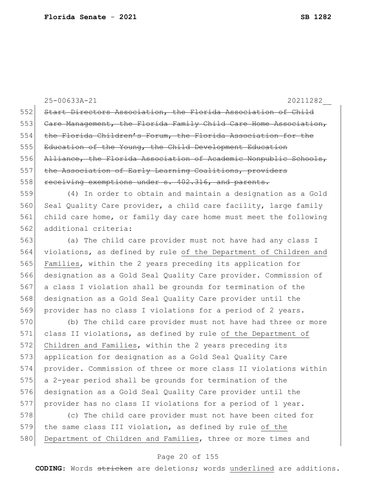25-00633A-21 20211282\_\_ 552 Start Directors Association, the Florida Association of Child 553 Care Management, the Florida Family Child Care Home Association, 554 the Florida Children's Forum, the Florida Association for the 555 Education of the Young, the Child Development Education 556 Alliance, the Florida Association of Academic Nonpublic Schools, 557 the Association of Early Learning Coalitions, providers 558 receiving exemptions under s. 402.316, and parents. 559 (4) In order to obtain and maintain a designation as a Gold 560 Seal Quality Care provider, a child care facility, large family 561 child care home, or family day care home must meet the following 562 additional criteria: 563 (a) The child care provider must not have had any class I 564 violations, as defined by rule of the Department of Children and 565 Families, within the 2 years preceding its application for 566 designation as a Gold Seal Quality Care provider. Commission of 567 a class I violation shall be grounds for termination of the 568 designation as a Gold Seal Quality Care provider until the 569 provider has no class I violations for a period of 2 years. 570 (b) The child care provider must not have had three or more 571 class II violations, as defined by rule of the Department of 572 Children and Families, within the 2 years preceding its 573 application for designation as a Gold Seal Quality Care 574 provider. Commission of three or more class II violations within 575 a 2-year period shall be grounds for termination of the 576 designation as a Gold Seal Quality Care provider until the 577 provider has no class II violations for a period of 1 year. 578 (c) The child care provider must not have been cited for

579 the same class III violation, as defined by rule of the 580 Department of Children and Families, three or more times and

#### Page 20 of 155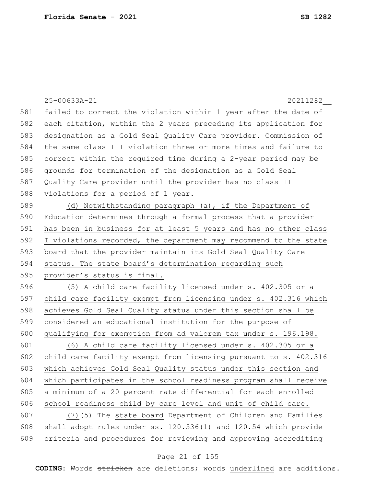|     | 25-00633A-21<br>20211282                                                   |
|-----|----------------------------------------------------------------------------|
| 581 | failed to correct the violation within 1 year after the date of            |
| 582 | each citation, within the 2 years preceding its application for            |
| 583 | designation as a Gold Seal Quality Care provider. Commission of            |
| 584 | the same class III violation three or more times and failure to            |
| 585 | correct within the required time during a 2-year period may be             |
| 586 | grounds for termination of the designation as a Gold Seal                  |
| 587 | Quality Care provider until the provider has no class III                  |
| 588 | violations for a period of 1 year.                                         |
| 589 | (d) Notwithstanding paragraph (a), if the Department of                    |
| 590 | Education determines through a formal process that a provider              |
| 591 | has been in business for at least 5 years and has no other class           |
| 592 | I violations recorded, the department may recommend to the state           |
| 593 | board that the provider maintain its Gold Seal Quality Care                |
| 594 | status. The state board's determination regarding such                     |
| 595 | provider's status is final.                                                |
| 596 | (5) A child care facility licensed under s. 402.305 or a                   |
| 597 | child care facility exempt from licensing under s. 402.316 which           |
| 598 | achieves Gold Seal Quality status under this section shall be              |
| 599 | considered an educational institution for the purpose of                   |
| 600 | qualifying for exemption from ad valorem tax under s. 196.198.             |
| 601 | (6) A child care facility licensed under s. 402.305 or a                   |
| 602 | child care facility exempt from licensing pursuant to s. 402.316           |
| 603 | which achieves Gold Seal Quality status under this section and             |
| 604 |                                                                            |
| 605 | which participates in the school readiness program shall receive           |
|     | a minimum of a 20 percent rate differential for each enrolled              |
| 606 | school readiness child by care level and unit of child care.               |
| 607 | $(7)$ $(5)$ The state board <del>Department of Children and Families</del> |
| 608 | shall adopt rules under ss. 120.536(1) and 120.54 which provide            |

# Page 21 of 155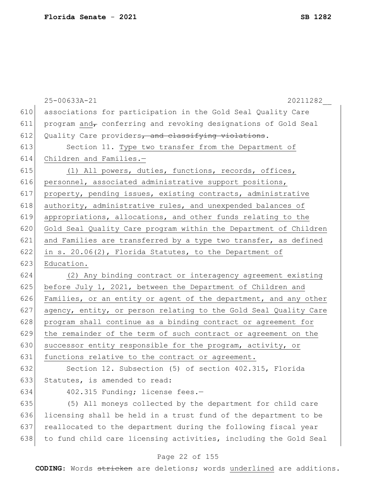|     | 25-00633A-21<br>20211282                                         |
|-----|------------------------------------------------------------------|
| 610 | associations for participation in the Gold Seal Quality Care     |
| 611 | program and conferring and revoking designations of Gold Seal    |
| 612 | Quality Care providers, and classifying violations.              |
| 613 | Section 11. Type two transfer from the Department of             |
| 614 | Children and Families.-                                          |
| 615 | (1) All powers, duties, functions, records, offices,             |
| 616 | personnel, associated administrative support positions,          |
| 617 | property, pending issues, existing contracts, administrative     |
| 618 | authority, administrative rules, and unexpended balances of      |
| 619 | appropriations, allocations, and other funds relating to the     |
| 620 | Gold Seal Quality Care program within the Department of Children |
| 621 | and Families are transferred by a type two transfer, as defined  |
| 622 | in s. 20.06(2), Florida Statutes, to the Department of           |
| 623 | Education.                                                       |
| 624 | (2) Any binding contract or interagency agreement existing       |
| 625 | before July 1, 2021, between the Department of Children and      |
| 626 | Families, or an entity or agent of the department, and any other |
| 627 | agency, entity, or person relating to the Gold Seal Quality Care |
| 628 | program shall continue as a binding contract or agreement for    |
| 629 | the remainder of the term of such contract or agreement on the   |
| 630 | successor entity responsible for the program, activity, or       |
| 631 | functions relative to the contract or agreement.                 |
| 632 | Section 12. Subsection (5) of section 402.315, Florida           |
| 633 | Statutes, is amended to read:                                    |
| 634 | 402.315 Funding; license fees.-                                  |
| 635 | (5) All moneys collected by the department for child care        |
| 636 | licensing shall be held in a trust fund of the department to be  |
| 637 | reallocated to the department during the following fiscal year   |
| 638 | to fund child care licensing activities, including the Gold Seal |

### Page 22 of 155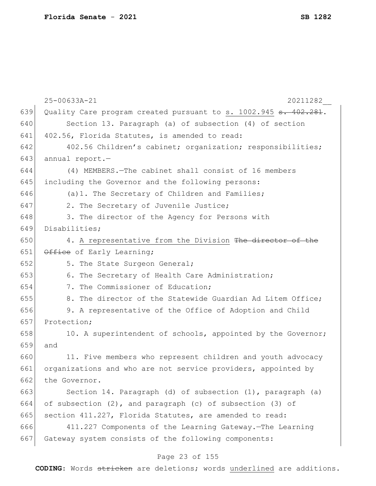|     | 25-00633A-21<br>20211282                                                     |
|-----|------------------------------------------------------------------------------|
| 639 | Quality Care program created pursuant to s. 1002.945 <del>s. 402.281</del> . |
| 640 | Section 13. Paragraph (a) of subsection (4) of section                       |
| 641 | 402.56, Florida Statutes, is amended to read:                                |
| 642 | 402.56 Children's cabinet; organization; responsibilities;                   |
| 643 | annual report.-                                                              |
| 644 | (4) MEMBERS. - The cabinet shall consist of 16 members                       |
| 645 | including the Governor and the following persons:                            |
| 646 | (a) 1. The Secretary of Children and Families;                               |
| 647 | 2. The Secretary of Juvenile Justice;                                        |
| 648 | 3. The director of the Agency for Persons with                               |
| 649 | Disabilities;                                                                |
| 650 | 4. A representative from the Division The director of the                    |
| 651 | Office of Early Learning;                                                    |
| 652 | 5. The State Surgeon General;                                                |
| 653 | 6. The Secretary of Health Care Administration;                              |
| 654 | 7. The Commissioner of Education;                                            |
| 655 | 8. The director of the Statewide Guardian Ad Litem Office;                   |
| 656 | 9. A representative of the Office of Adoption and Child                      |
| 657 | Protection;                                                                  |
| 658 | 10. A superintendent of schools, appointed by the Governor;                  |
| 659 | and                                                                          |
| 660 | 11. Five members who represent children and youth advocacy                   |
| 661 | organizations and who are not service providers, appointed by                |
| 662 | the Governor.                                                                |
| 663 | Section 14. Paragraph (d) of subsection (1), paragraph (a)                   |
| 664 | of subsection $(2)$ , and paragraph $(c)$ of subsection $(3)$ of             |
| 665 | section 411.227, Florida Statutes, are amended to read:                      |
| 666 | 411.227 Components of the Learning Gateway. - The Learning                   |
| 667 | Gateway system consists of the following components:                         |
|     | Page 23 of 155                                                               |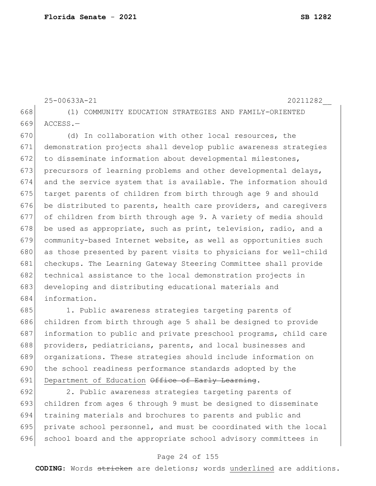```
25-00633A-21 20211282__
668 (1) COMMUNITY EDUCATION STRATEGIES AND FAMILY-ORIENTED 
669 ACCESS.—
670 (d) In collaboration with other local resources, the
671 demonstration projects shall develop public awareness strategies 
672 to disseminate information about developmental milestones,
673 precursors of learning problems and other developmental delays,
674 and the service system that is available. The information should 
675 target parents of children from birth through age 9 and should
676 be distributed to parents, health care providers, and caregivers
677 of children from birth through age 9. A variety of media should 
678 be used as appropriate, such as print, television, radio, and a
679 community-based Internet website, as well as opportunities such 
680 as those presented by parent visits to physicians for well-child
```
 checkups. The Learning Gateway Steering Committee shall provide 682 technical assistance to the local demonstration projects in developing and distributing educational materials and information.

685 1. Public awareness strategies targeting parents of 686 children from birth through age 5 shall be designed to provide 687 information to public and private preschool programs, child care 688 providers, pediatricians, parents, and local businesses and 689 organizations. These strategies should include information on 690 the school readiness performance standards adopted by the 691 Department of Education Office of Early Learning.

 2. Public awareness strategies targeting parents of children from ages 6 through 9 must be designed to disseminate training materials and brochures to parents and public and private school personnel, and must be coordinated with the local school board and the appropriate school advisory committees in

#### Page 24 of 155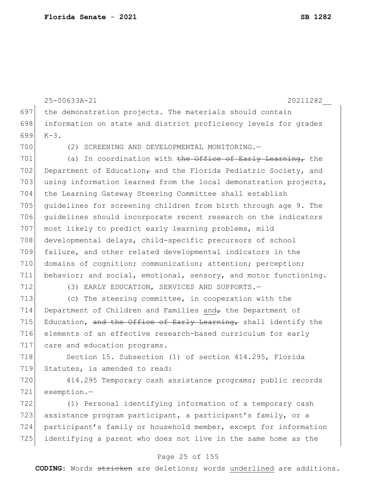25-00633A-21 20211282\_\_ 697 the demonstration projects. The materials should contain 698 information on state and district proficiency levels for grades 699 K-3. 700 (2) SCREENING AND DEVELOPMENTAL MONITORING.— 701 (a) In coordination with the Office of Early Learning, the 702 Department of Education, and the Florida Pediatric Society, and 703 using information learned from the local demonstration projects, 704 the Learning Gateway Steering Committee shall establish 705 guidelines for screening children from birth through age 9. The 706 guidelines should incorporate recent research on the indicators 707 most likely to predict early learning problems, mild 708 developmental delays, child-specific precursors of school 709 failure, and other related developmental indicators in the 710 domains of cognition; communication; attention; perception; 711 behavior; and social, emotional, sensory, and motor functioning. 712 (3) EARLY EDUCATION, SERVICES AND SUPPORTS. 713 (c) The steering committee, in cooperation with the 714 Department of Children and Families and $\tau$  the Department of 715 Education, and the Office of Early Learning, shall identify the 716 elements of an effective research-based curriculum for early 717 care and education programs. 718 Section 15. Subsection (1) of section 414.295, Florida 719 Statutes, is amended to read: 720 414.295 Temporary cash assistance programs; public records 721 exemption.— 722 (1) Personal identifying information of a temporary cash 723 assistance program participant, a participant's family, or a

#### Page 25 of 155

724 participant's family or household member, except for information

725 identifying a parent who does not live in the same home as the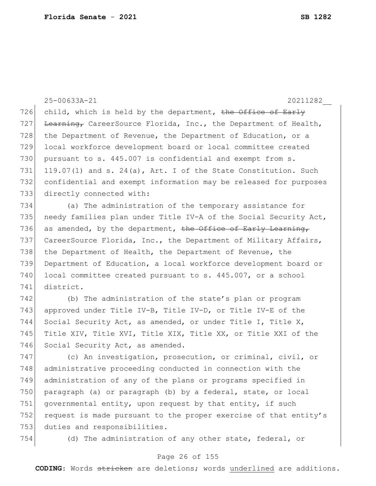25-00633A-21 20211282\_\_ 726 child, which is held by the department, the Office of Early 727 Learning, CareerSource Florida, Inc., the Department of Health, 728 the Department of Revenue, the Department of Education, or a 729 local workforce development board or local committee created 730 pursuant to s. 445.007 is confidential and exempt from s. 731 119.07(1) and s. 24(a), Art. I of the State Constitution. Such 732 confidential and exempt information may be released for purposes 733 directly connected with: 734 (a) The administration of the temporary assistance for 735 | needy families plan under Title IV-A of the Social Security Act, 736 as amended, by the department, the Office of Early Learning,

737 CareerSource Florida, Inc., the Department of Military Affairs, 738 the Department of Health, the Department of Revenue, the 739 Department of Education, a local workforce development board or 740 local committee created pursuant to s. 445.007, or a school 741 district.

742 (b) The administration of the state's plan or program 743 approved under Title IV-B, Title IV-D, or Title IV-E of the 744 Social Security Act, as amended, or under Title I, Title X, 745 Title XIV, Title XVI, Title XIX, Title XX, or Title XXI of the 746 Social Security Act, as amended.

747 (c) An investigation, prosecution, or criminal, civil, or 748 administrative proceeding conducted in connection with the 749 administration of any of the plans or programs specified in 750 paragraph (a) or paragraph (b) by a federal, state, or local 751 governmental entity, upon request by that entity, if such 752 request is made pursuant to the proper exercise of that entity's 753 duties and responsibilities.

754 (d) The administration of any other state, federal, or

#### Page 26 of 155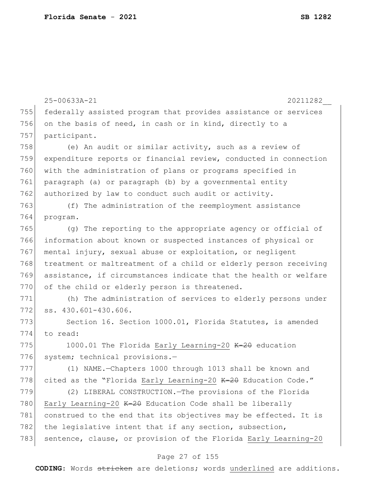|     | 25-00633A-21<br>20211282                                         |
|-----|------------------------------------------------------------------|
| 755 | federally assisted program that provides assistance or services  |
| 756 | on the basis of need, in cash or in kind, directly to a          |
| 757 | participant.                                                     |
| 758 | (e) An audit or similar activity, such as a review of            |
| 759 | expenditure reports or financial review, conducted in connection |
| 760 | with the administration of plans or programs specified in        |
| 761 | paragraph (a) or paragraph (b) by a governmental entity          |
| 762 | authorized by law to conduct such audit or activity.             |
| 763 | (f) The administration of the reemployment assistance            |
| 764 | program.                                                         |
| 765 | (g) The reporting to the appropriate agency or official of       |
| 766 | information about known or suspected instances of physical or    |
| 767 | mental injury, sexual abuse or exploitation, or negligent        |
| 768 | treatment or maltreatment of a child or elderly person receiving |
| 769 | assistance, if circumstances indicate that the health or welfare |
| 770 | of the child or elderly person is threatened.                    |
| 771 | (h) The administration of services to elderly persons under      |
| 772 | ss. 430.601-430.606.                                             |
| 773 | Section 16. Section 1000.01, Florida Statutes, is amended        |
| 774 | to read:                                                         |
| 775 | 1000.01 The Florida Early Learning-20 K-20 education             |
| 776 | system; technical provisions.-                                   |
| 777 | (1) NAME.-Chapters 1000 through 1013 shall be known and          |
| 778 | cited as the "Florida Early Learning-20 K-20 Education Code."    |
| 779 | (2) LIBERAL CONSTRUCTION. - The provisions of the Florida        |
| 780 | Early Learning-20 K-20 Education Code shall be liberally         |
| 781 | construed to the end that its objectives may be effected. It is  |
| 782 | the legislative intent that if any section, subsection,          |
| 783 | sentence, clause, or provision of the Florida Early Learning-20  |

# Page 27 of 155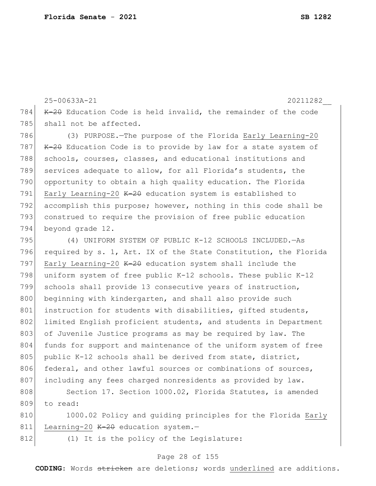25-00633A-21 20211282\_\_ 784  $K-20$  Education Code is held invalid, the remainder of the code 785 shall not be affected. 786 (3) PURPOSE.—The purpose of the Florida Early Learning-20 787 K-20 Education Code is to provide by law for a state system of 788 schools, courses, classes, and educational institutions and 789 services adequate to allow, for all Florida's students, the 790 opportunity to obtain a high quality education. The Florida 791 Early Learning-20  $K=20$  education system is established to

792 accomplish this purpose; however, nothing in this code shall be 793 construed to require the provision of free public education 794 beyond grade 12.

795 (4) UNIFORM SYSTEM OF PUBLIC K-12 SCHOOLS INCLUDED.—As 796 required by s. 1, Art. IX of the State Constitution, the Florida 797 Early Learning-20  $K=20$  education system shall include the 798 uniform system of free public K-12 schools. These public K-12 799 schools shall provide 13 consecutive years of instruction, 800 beginning with kindergarten, and shall also provide such 801 instruction for students with disabilities, gifted students, 802 limited English proficient students, and students in Department 803 of Juvenile Justice programs as may be required by law. The 804 funds for support and maintenance of the uniform system of free 805 public K-12 schools shall be derived from state, district, 806 federal, and other lawful sources or combinations of sources, 807 including any fees charged nonresidents as provided by law.

808 Section 17. Section 1000.02, Florida Statutes, is amended 809 to read:

810 1000.02 Policy and quiding principles for the Florida Early 811 Learning-20 K-20 education system.-

812 (1) It is the policy of the Legislature:

#### Page 28 of 155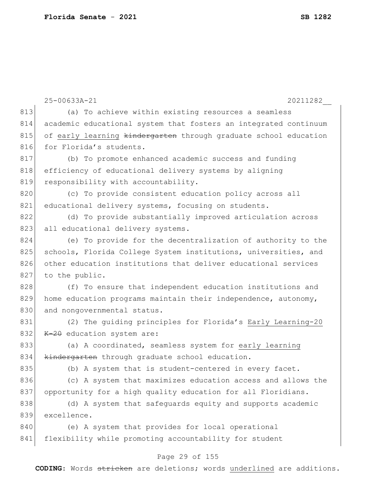|     | 25-00633A-21<br>20211282                                         |
|-----|------------------------------------------------------------------|
| 813 | (a) To achieve within existing resources a seamless              |
| 814 | academic educational system that fosters an integrated continuum |
| 815 | of early learning kindergarten through graduate school education |
| 816 | for Florida's students.                                          |
| 817 | (b) To promote enhanced academic success and funding             |
| 818 | efficiency of educational delivery systems by aligning           |
| 819 | responsibility with accountability.                              |
| 820 | (c) To provide consistent education policy across all            |
| 821 | educational delivery systems, focusing on students.              |
| 822 | (d) To provide substantially improved articulation across        |
| 823 | all educational delivery systems.                                |
| 824 | (e) To provide for the decentralization of authority to the      |
| 825 | schools, Florida College System institutions, universities, and  |
| 826 | other education institutions that deliver educational services   |
| 827 | to the public.                                                   |
| 828 | (f) To ensure that independent education institutions and        |
| 829 | home education programs maintain their independence, autonomy,   |
| 830 | and nongovernmental status.                                      |
| 831 | (2) The guiding principles for Florida's Early Learning-20       |
| 832 | $K-20$ education system are:                                     |
| 833 | (a) A coordinated, seamless system for early learning            |
| 834 | kindergarten through graduate school education.                  |
| 835 | (b) A system that is student-centered in every facet.            |
| 836 | (c) A system that maximizes education access and allows the      |
| 837 | opportunity for a high quality education for all Floridians.     |
| 838 | (d) A system that safeguards equity and supports academic        |
| 839 | excellence.                                                      |
| 840 | (e) A system that provides for local operational                 |
| 841 | flexibility while promoting accountability for student           |

# Page 29 of 155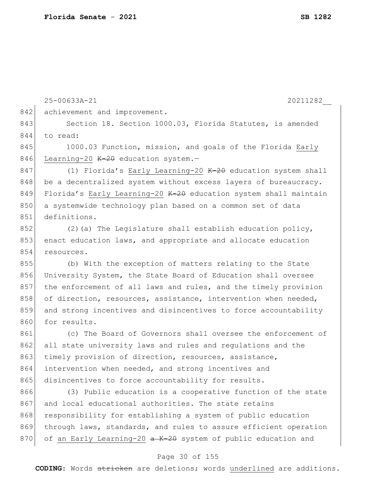```
25-00633A-21 20211282__
                             Page 30 of 155
842 achievement and improvement.
843 Section 18. Section 1000.03, Florida Statutes, is amended
844 to read:
845 1000.03 Function, mission, and goals of the Florida Early
846 Learning-20 K-2\theta education system.-
847 (1) Florida's Early Learning-20 K-2\theta education system shall
848 be a decentralized system without excess layers of bureaucracy.
849 Florida's Early Learning-20 K-2\theta education system shall maintain
850 a systemwide technology plan based on a common set of data
851 definitions.
852 (2) (a) The Legislature shall establish education policy,
853 enact education laws, and appropriate and allocate education
854 resources.
855 (b) With the exception of matters relating to the State 
856 University System, the State Board of Education shall oversee 
857 the enforcement of all laws and rules, and the timely provision 
858 of direction, resources, assistance, intervention when needed,
859 and strong incentives and disincentives to force accountability
860 for results.
861 (c) The Board of Governors shall oversee the enforcement of 
862 all state university laws and rules and requlations and the
863 timely provision of direction, resources, assistance,
864 intervention when needed, and strong incentives and 
865 disincentives to force accountability for results.
866 (3) Public education is a cooperative function of the state 
867 and local educational authorities. The state retains
868 responsibility for establishing a system of public education
869 through laws, standards, and rules to assure efficient operation
870 of an Early Learning-20 a K-20 system of public education and
```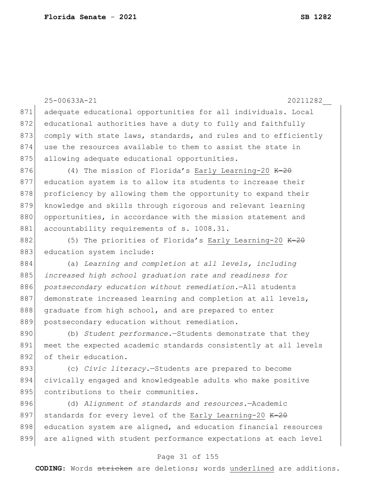| 871 | 25-00633A-21<br>20211282                                        |
|-----|-----------------------------------------------------------------|
|     | adequate educational opportunities for all individuals. Local   |
| 872 | educational authorities have a duty to fully and faithfully     |
| 873 | comply with state laws, standards, and rules and to efficiently |
| 874 | use the resources available to them to assist the state in      |
| 875 | allowing adequate educational opportunities.                    |
| 876 | (4) The mission of Florida's Early Learning-20 $K-2\theta$      |
| 877 | education system is to allow its students to increase their     |
| 878 | proficiency by allowing them the opportunity to expand their    |
| 879 | knowledge and skills through rigorous and relevant learning     |
| 880 | opportunities, in accordance with the mission statement and     |
| 881 | accountability requirements of s. 1008.31.                      |
| 882 | (5) The priorities of Florida's Early Learning-20 $K-20$        |
| 883 | education system include:                                       |
| 884 | (a) Learning and completion at all levels, including            |
| 885 | increased high school graduation rate and readiness for         |
| 886 | postsecondary education without remediation. - All students     |
| 887 | demonstrate increased learning and completion at all levels,    |
| 888 | graduate from high school, and are prepared to enter            |
| 889 | postsecondary education without remediation.                    |
| 890 | (b) Student performance.-Students demonstrate that they         |
| 891 | meet the expected academic standards consistently at all levels |
| 892 | of their education.                                             |
| 893 | (c) Civic literacy. - Students are prepared to become           |
| 894 | civically engaged and knowledgeable adults who make positive    |
| 895 | contributions to their communities.                             |
| 896 | (d) Alignment of standards and resources. - Academic            |
| 897 | standards for every level of the Early Learning-20 $K-2\theta$  |
| 898 | education system are aligned, and education financial resources |

### Page 31 of 155

899 are aligned with student performance expectations at each level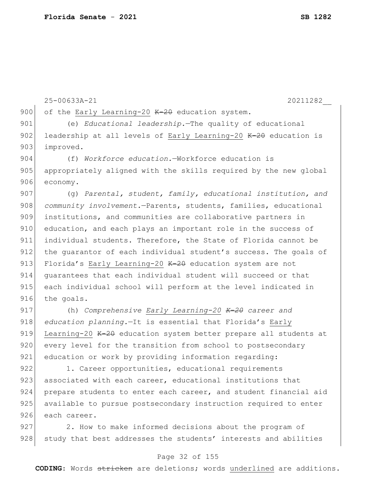25-00633A-21 20211282\_\_ 900 of the Early Learning-20  $K-2\theta$  education system. 901 (e) *Educational leadership.*—The quality of educational 902 leadership at all levels of Early Learning-20 K-20 education is 903 improved. 904 (f) *Workforce education.*—Workforce education is 905 appropriately aligned with the skills required by the new global 906 economy. 907 (g) *Parental, student, family, educational institution, and*  908 *community involvement.*—Parents, students, families, educational 909 institutions, and communities are collaborative partners in 910 education, and each plays an important role in the success of 911 individual students. Therefore, the State of Florida cannot be 912 the quarantor of each individual student's success. The goals of 913 Florida's Early Learning-20  $K-2\theta$  education system are not 914 guarantees that each individual student will succeed or that 915 each individual school will perform at the level indicated in 916 the goals. 917 (h) *Comprehensive Early Learning-20 K-20 career and*  918 *education planning.*—It is essential that Florida's Early 919 Learning-20 K-20 education system better prepare all students at 920 every level for the transition from school to postsecondary 921 education or work by providing information regarding: 922 1. Career opportunities, educational requirements 923 associated with each career, educational institutions that 924 prepare students to enter each career, and student financial aid 925 available to pursue postsecondary instruction required to enter

926 each career.

927 2. How to make informed decisions about the program of 928 study that best addresses the students' interests and abilities

#### Page 32 of 155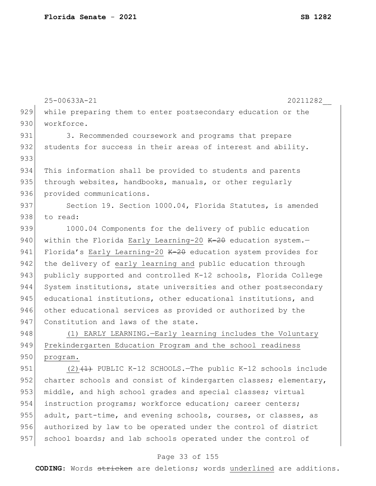| 25-00633A-21<br>20211282                                                |
|-------------------------------------------------------------------------|
| 929<br>while preparing them to enter postsecondary education or the     |
| 930<br>workforce.                                                       |
| 931<br>3. Recommended coursework and programs that prepare              |
| 932<br>students for success in their areas of interest and ability.     |
| 933                                                                     |
| 934<br>This information shall be provided to students and parents       |
| 935<br>through websites, handbooks, manuals, or other regularly         |
| 936<br>provided communications.                                         |
| 937<br>Section 19. Section 1000.04, Florida Statutes, is amended        |
| 938<br>to read:                                                         |
| 939<br>1000.04 Components for the delivery of public education          |
| 940<br>within the Florida Early Learning-20 K-20 education system.-     |
| 941<br>Florida's Early Learning-20 K-20 education system provides for   |
| 942<br>the delivery of early learning and public education through      |
| 943<br>publicly supported and controlled K-12 schools, Florida College  |
| 944<br>System institutions, state universities and other postsecondary  |
| 945<br>educational institutions, other educational institutions, and    |
| 946<br>other educational services as provided or authorized by the      |
| 947<br>Constitution and laws of the state.                              |
| 948<br>(1) EARLY LEARNING.-Early learning includes the Voluntary        |
| 949<br>Prekindergarten Education Program and the school readiness       |
| 950<br>program.                                                         |
| 951<br>$(2)$ $(1)$ PUBLIC K-12 SCHOOLS. The public K-12 schools include |
| 952<br>charter schools and consist of kindergarten classes; elementary, |
| 953<br>middle, and high school grades and special classes; virtual      |
| 954<br>instruction programs; workforce education; career centers;       |
| 955<br>adult, part-time, and evening schools, courses, or classes, as   |
| 956<br>authorized by law to be operated under the control of district   |
| 957<br>school boards; and lab schools operated under the control of     |
|                                                                         |

# Page 33 of 155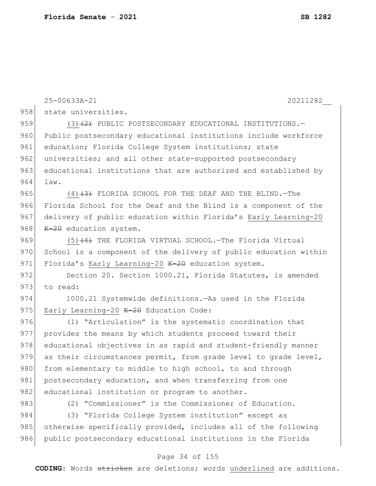|     | 25-00633A-21<br>20211282                                         |
|-----|------------------------------------------------------------------|
| 958 | state universities.                                              |
| 959 | $(3)$ $(2)$ PUBLIC POSTSECONDARY EDUCATIONAL INSTITUTIONS.       |
| 960 | Public postsecondary educational institutions include workforce  |
| 961 | education; Florida College System institutions; state            |
| 962 | universities; and all other state-supported postsecondary        |
| 963 | educational institutions that are authorized and established by  |
| 964 | law.                                                             |
| 965 | $(4)$ $(3)$ FLORIDA SCHOOL FOR THE DEAF AND THE BLIND. -The      |
| 966 | Florida School for the Deaf and the Blind is a component of the  |
| 967 | delivery of public education within Florida's Early Learning-20  |
| 968 | $K-20$ education system.                                         |
| 969 | $(5)$ $(4)$ THE FLORIDA VIRTUAL SCHOOL. The Florida Virtual      |
| 970 | School is a component of the delivery of public education within |
| 971 | Florida's Early Learning-20 K-20 education system.               |
| 972 | Section 20. Section 1000.21, Florida Statutes, is amended        |
| 973 | to read:                                                         |
| 974 | 1000.21 Systemwide definitions. - As used in the Florida         |
| 975 | Early Learning-20 K-20 Education Code:                           |
| 976 | (1) "Articulation" is the systematic coordination that           |
| 977 | provides the means by which students proceed toward their        |
| 978 | educational objectives in as rapid and student-friendly manner   |
| 979 | as their circumstances permit, from grade level to grade level,  |
| 980 | from elementary to middle to high school, to and through         |
| 981 | postsecondary education, and when transferring from one          |
| 982 | educational institution or program to another.                   |
| 983 | (2) "Commissioner" is the Commissioner of Education.             |
| 984 | "Florida College System institution" except as<br>(3)            |
| 985 | otherwise specifically provided, includes all of the following   |
| 986 | public postsecondary educational institutions in the Florida     |

# Page 34 of 155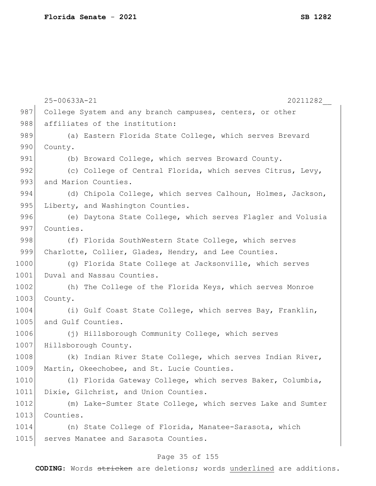|      | 25-00633A-21<br>20211282                                    |
|------|-------------------------------------------------------------|
| 987  | College System and any branch campuses, centers, or other   |
| 988  | affiliates of the institution:                              |
| 989  | (a) Eastern Florida State College, which serves Brevard     |
| 990  | County.                                                     |
| 991  | (b) Broward College, which serves Broward County.           |
| 992  | (c) College of Central Florida, which serves Citrus, Levy,  |
| 993  | and Marion Counties.                                        |
| 994  | (d) Chipola College, which serves Calhoun, Holmes, Jackson, |
| 995  | Liberty, and Washington Counties.                           |
| 996  | (e) Daytona State College, which serves Flagler and Volusia |
| 997  | Counties.                                                   |
| 998  | (f) Florida SouthWestern State College, which serves        |
| 999  | Charlotte, Collier, Glades, Hendry, and Lee Counties.       |
| 1000 | (g) Florida State College at Jacksonville, which serves     |
| 1001 | Duval and Nassau Counties.                                  |
| 1002 | (h) The College of the Florida Keys, which serves Monroe    |
| 1003 | County.                                                     |
| 1004 | (i) Gulf Coast State College, which serves Bay, Franklin,   |
| 1005 | and Gulf Counties.                                          |
| 1006 | (j) Hillsborough Community College, which serves            |
| 1007 | Hillsborough County.                                        |
| 1008 | (k) Indian River State College, which serves Indian River,  |
| 1009 | Martin, Okeechobee, and St. Lucie Counties.                 |
| 1010 | (1) Florida Gateway College, which serves Baker, Columbia,  |
| 1011 | Dixie, Gilchrist, and Union Counties.                       |
| 1012 | (m) Lake-Sumter State College, which serves Lake and Sumter |
| 1013 | Counties.                                                   |
| 1014 | (n) State College of Florida, Manatee-Sarasota, which       |
| 1015 | serves Manatee and Sarasota Counties.                       |
|      |                                                             |

# Page 35 of 155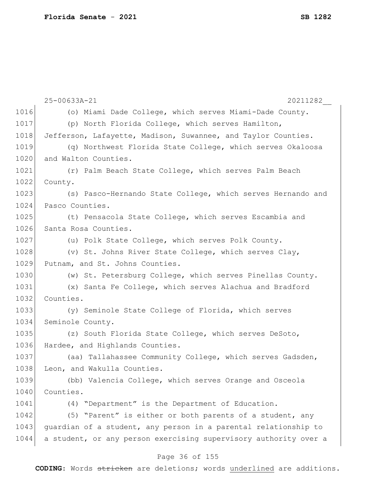|      | 20211282<br>25-00633A-21                                         |
|------|------------------------------------------------------------------|
| 1016 | (o) Miami Dade College, which serves Miami-Dade County.          |
| 1017 | (p) North Florida College, which serves Hamilton,                |
| 1018 | Jefferson, Lafayette, Madison, Suwannee, and Taylor Counties.    |
| 1019 | (q) Northwest Florida State College, which serves Okaloosa       |
| 1020 | and Walton Counties.                                             |
| 1021 | (r) Palm Beach State College, which serves Palm Beach            |
| 1022 | County.                                                          |
| 1023 | (s) Pasco-Hernando State College, which serves Hernando and      |
| 1024 | Pasco Counties.                                                  |
| 1025 | (t) Pensacola State College, which serves Escambia and           |
| 1026 | Santa Rosa Counties.                                             |
| 1027 | (u) Polk State College, which serves Polk County.                |
| 1028 | (v) St. Johns River State College, which serves Clay,            |
| 1029 | Putnam, and St. Johns Counties.                                  |
| 1030 | (w) St. Petersburg College, which serves Pinellas County.        |
| 1031 | (x) Santa Fe College, which serves Alachua and Bradford          |
| 1032 | Counties.                                                        |
| 1033 | (y) Seminole State College of Florida, which serves              |
| 1034 | Seminole County.                                                 |
| 1035 | (z) South Florida State College, which serves DeSoto,            |
| 1036 | Hardee, and Highlands Counties.                                  |
| 1037 | (aa) Tallahassee Community College, which serves Gadsden,        |
| 1038 | Leon, and Wakulla Counties.                                      |
| 1039 | (bb) Valencia College, which serves Orange and Osceola           |
| 1040 | Counties.                                                        |
| 1041 | "Department" is the Department of Education.<br>(4)              |
| 1042 | (5) "Parent" is either or both parents of a student, any         |
| 1043 | guardian of a student, any person in a parental relationship to  |
| 1044 | a student, or any person exercising supervisory authority over a |
|      |                                                                  |

### Page 36 of 155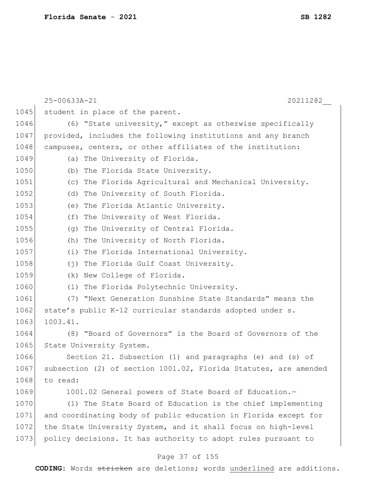|      | 25-00633A-21<br>20211282                                         |
|------|------------------------------------------------------------------|
| 1045 | student in place of the parent.                                  |
| 1046 | (6) "State university," except as otherwise specifically         |
| 1047 | provided, includes the following institutions and any branch     |
| 1048 | campuses, centers, or other affiliates of the institution:       |
| 1049 | (a) The University of Florida.                                   |
| 1050 | (b) The Florida State University.                                |
| 1051 | (c) The Florida Agricultural and Mechanical University.          |
| 1052 | (d) The University of South Florida.                             |
| 1053 | (e) The Florida Atlantic University.                             |
| 1054 | (f) The University of West Florida.                              |
| 1055 | The University of Central Florida.<br>(q)                        |
| 1056 | (h) The University of North Florida.                             |
| 1057 | (i) The Florida International University.                        |
| 1058 | (j) The Florida Gulf Coast University.                           |
| 1059 | (k) New College of Florida.                                      |
| 1060 | (1) The Florida Polytechnic University.                          |
| 1061 | (7) "Next Generation Sunshine State Standards" means the         |
| 1062 | state's public K-12 curricular standards adopted under s.        |
| 1063 | 1003.41.                                                         |
| 1064 | (8) "Board of Governors" is the Board of Governors of the        |
| 1065 | State University System.                                         |
| 1066 | Section 21. Subsection (1) and paragraphs (e) and (s) of         |
| 1067 | subsection (2) of section 1001.02, Florida Statutes, are amended |
| 1068 | to read:                                                         |
| 1069 | 1001.02 General powers of State Board of Education.-             |
| 1070 | (1) The State Board of Education is the chief implementing       |
| 1071 | and coordinating body of public education in Florida except for  |
| 1072 | the State University System, and it shall focus on high-level    |
| 1073 | policy decisions. It has authority to adopt rules pursuant to    |

# Page 37 of 155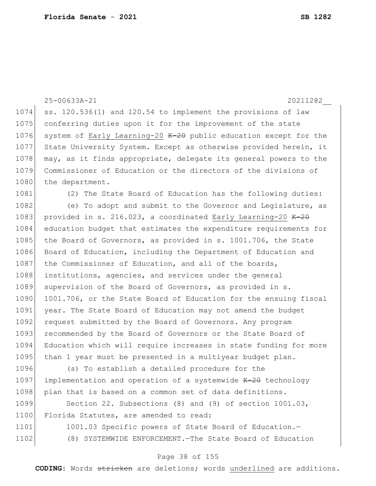25-00633A-21 20211282\_\_ 1074 ss. 120.536(1) and 120.54 to implement the provisions of law 1075 conferring duties upon it for the improvement of the state 1076 system of Early Learning-20  $K=20$  public education except for the 1077 State University System. Except as otherwise provided herein, it 1078 may, as it finds appropriate, delegate its general powers to the 1079 Commissioner of Education or the directors of the divisions of 1080 the department. 1081 (2) The State Board of Education has the following duties: 1082 (e) To adopt and submit to the Governor and Legislature, as 1083 provided in s. 216.023, a coordinated Early Learning-20  $K-2\theta$ 1084 education budget that estimates the expenditure requirements for 1085 the Board of Governors, as provided in s. 1001.706, the State 1086 Board of Education, including the Department of Education and 1087 the Commissioner of Education, and all of the boards, 1088 institutions, agencies, and services under the general 1089 supervision of the Board of Governors, as provided in s. 1090 1001.706, or the State Board of Education for the ensuing fiscal 1091 year. The State Board of Education may not amend the budget 1092 request submitted by the Board of Governors. Any program 1093 recommended by the Board of Governors or the State Board of 1094 Education which will require increases in state funding for more 1095 than 1 year must be presented in a multiyear budget plan. 1096 (s) To establish a detailed procedure for the 1097 implementation and operation of a systemwide  $K-20$  technology 1098 plan that is based on a common set of data definitions. 1099 Section 22. Subsections (8) and (9) of section 1001.03, 1100 Florida Statutes, are amended to read: 1101 1001.03 Specific powers of State Board of Education. 1102 (8) SYSTEMWIDE ENFORCEMENT.—The State Board of Education

**CODING**: Words stricken are deletions; words underlined are additions.

Page 38 of 155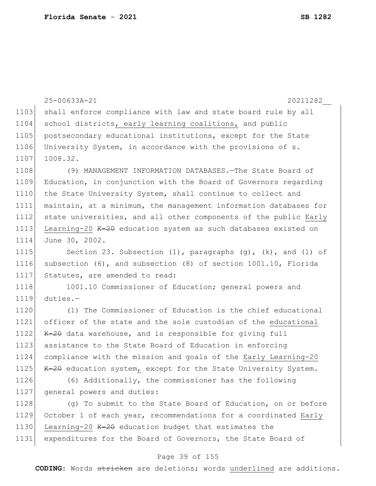|      | 25-00633A-21<br>20211282                                               |
|------|------------------------------------------------------------------------|
| 1103 | shall enforce compliance with law and state board rule by all          |
| 1104 | school districts, early learning coalitions, and public                |
| 1105 | postsecondary educational institutions, except for the State           |
| 1106 | University System, in accordance with the provisions of s.             |
| 1107 | 1008.32.                                                               |
| 1108 | (9) MANAGEMENT INFORMATION DATABASES. The State Board of               |
| 1109 | Education, in conjunction with the Board of Governors regarding        |
| 1110 | the State University System, shall continue to collect and             |
| 1111 | maintain, at a minimum, the management information databases for       |
| 1112 | state universities, and all other components of the public Early       |
| 1113 | Learning-20 K-20 education system as such databases existed on         |
| 1114 | June 30, 2002.                                                         |
| 1115 | Section 23. Subsection $(1)$ , paragraphs $(g)$ , $(k)$ , and $(l)$ of |
| 1116 | subsection (6), and subsection (8) of section 1001.10, Florida         |
| 1117 | Statutes, are amended to read:                                         |
| 1118 | 1001.10 Commissioner of Education; general powers and                  |
| 1119 | $duties. -$                                                            |
| 1120 | (1) The Commissioner of Education is the chief educational             |
| 1121 | officer of the state and the sole custodian of the educational         |
| 1122 | K-20 data warehouse, and is responsible for giving full                |
| 1123 | assistance to the State Board of Education in enforcing                |
| 1124 | compliance with the mission and goals of the Early Learning-20         |
| 1125 | K-20 education system, except for the State University System.         |
| 1126 | (6) Additionally, the commissioner has the following                   |
| 1127 | general powers and duties:                                             |
| 1128 | (g) To submit to the State Board of Education, on or before            |
| 1129 | October 1 of each year, recommendations for a coordinated Early        |
| 1130 | Learning-20 K-20 education budget that estimates the                   |

# Page 39 of 155

1131 expenditures for the Board of Governors, the State Board of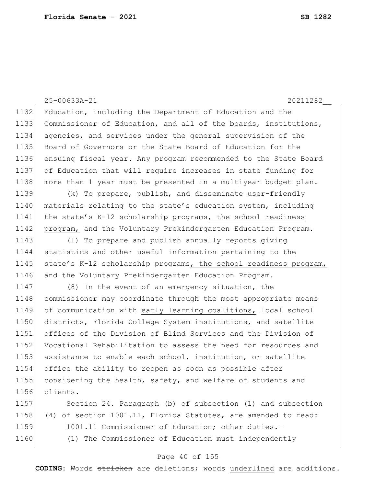25-00633A-21 20211282\_\_ 1132 Education, including the Department of Education and the 1133 Commissioner of Education, and all of the boards, institutions, 1134 agencies, and services under the general supervision of the 1135| Board of Governors or the State Board of Education for the 1136 ensuing fiscal year. Any program recommended to the State Board 1137 of Education that will require increases in state funding for 1138 | more than 1 year must be presented in a multiyear budget plan. 1139 (k) To prepare, publish, and disseminate user-friendly 1140 materials relating to the state's education system, including 1141 the state's K-12 scholarship programs, the school readiness 1142 program, and the Voluntary Prekindergarten Education Program. 1143 (l) To prepare and publish annually reports giving 1144 statistics and other useful information pertaining to the 1145 state's K-12 scholarship programs, the school readiness program, 1146 and the Voluntary Prekindergarten Education Program. 1147 (8) In the event of an emergency situation, the 1148 commissioner may coordinate through the most appropriate means 1149 of communication with early learning coalitions, local school 1150 districts, Florida College System institutions, and satellite 1151 offices of the Division of Blind Services and the Division of 1152 Vocational Rehabilitation to assess the need for resources and 1153 assistance to enable each school, institution, or satellite 1154 office the ability to reopen as soon as possible after 1155 considering the health, safety, and welfare of students and 1156 clients. 1157 Section 24. Paragraph (b) of subsection (1) and subsection

1158 (4) of section 1001.11, Florida Statutes, are amended to read: 1159 1001.11 Commissioner of Education; other duties. 1160 (1) The Commissioner of Education must independently

### Page 40 of 155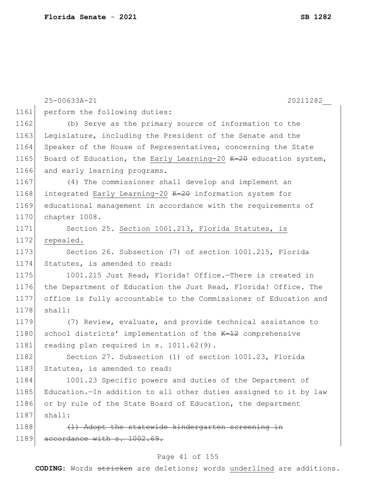|      | 25-00633A-21<br>20211282                                         |
|------|------------------------------------------------------------------|
| 1161 | perform the following duties:                                    |
| 1162 | (b) Serve as the primary source of information to the            |
| 1163 | Legislature, including the President of the Senate and the       |
| 1164 | Speaker of the House of Representatives, concerning the State    |
| 1165 | Board of Education, the Early Learning-20 K-20 education system, |
| 1166 | and early learning programs.                                     |
| 1167 | (4) The commissioner shall develop and implement an              |
| 1168 | integrated Early Learning-20 K-20 information system for         |
| 1169 | educational management in accordance with the requirements of    |
| 1170 | chapter 1008.                                                    |
| 1171 | Section 25. Section 1001.213, Florida Statutes, is               |
| 1172 | repealed.                                                        |
| 1173 | Section 26. Subsection (7) of section 1001.215, Florida          |
| 1174 | Statutes, is amended to read:                                    |
| 1175 | 1001.215 Just Read, Florida! Office.-There is created in         |
| 1176 | the Department of Education the Just Read, Florida! Office. The  |
| 1177 | office is fully accountable to the Commissioner of Education and |
| 1178 | shall:                                                           |
| 1179 | (7) Review, evaluate, and provide technical assistance to        |
| 1180 | school districts' implementation of the K-12 comprehensive       |
| 1181 | reading plan required in s. 1011.62(9).                          |
| 1182 | Section 27. Subsection (1) of section 1001.23, Florida           |
| 1183 | Statutes, is amended to read:                                    |
| 1184 | 1001.23 Specific powers and duties of the Department of          |
| 1185 | Education.-In addition to all other duties assigned to it by law |
| 1186 | or by rule of the State Board of Education, the department       |
| 1187 | shall:                                                           |
| 1188 | (1) Adopt the statewide kindergarten screening in                |
| 1189 | accordance with s. 1002.69.                                      |
|      |                                                                  |

# Page 41 of 155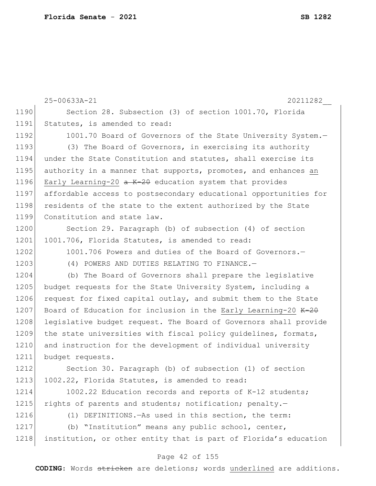|      | 25-00633A-21<br>20211282                                              |
|------|-----------------------------------------------------------------------|
| 1190 | Section 28. Subsection (3) of section 1001.70, Florida                |
| 1191 | Statutes, is amended to read:                                         |
| 1192 | 1001.70 Board of Governors of the State University System.-           |
| 1193 | (3) The Board of Governors, in exercising its authority               |
| 1194 | under the State Constitution and statutes, shall exercise its         |
| 1195 | authority in a manner that supports, promotes, and enhances an        |
| 1196 | Early Learning-20 $\alpha$ K-20 education system that provides        |
| 1197 | affordable access to postsecondary educational opportunities for      |
| 1198 | residents of the state to the extent authorized by the State          |
| 1199 | Constitution and state law.                                           |
| 1200 | Section 29. Paragraph (b) of subsection (4) of section                |
| 1201 | 1001.706, Florida Statutes, is amended to read:                       |
| 1202 | 1001.706 Powers and duties of the Board of Governors.-                |
| 1203 | (4) POWERS AND DUTIES RELATING TO FINANCE.-                           |
| 1204 | (b) The Board of Governors shall prepare the legislative              |
| 1205 | budget requests for the State University System, including a          |
| 1206 | request for fixed capital outlay, and submit them to the State        |
| 1207 | Board of Education for inclusion in the Early Learning-20 $K-2\theta$ |
| 1208 | legislative budget request. The Board of Governors shall provide      |
| 1209 | the state universities with fiscal policy quidelines, formats,        |
| 1210 | and instruction for the development of individual university          |
| 1211 | budget requests.                                                      |
| 1212 | Section 30. Paragraph (b) of subsection (1) of section                |
| 1213 | 1002.22, Florida Statutes, is amended to read:                        |
| 1214 | 1002.22 Education records and reports of K-12 students;               |
| 1215 | rights of parents and students; notification; penalty.-               |
| 1216 | (1) DEFINITIONS. - As used in this section, the term:                 |
| 1217 | (b) "Institution" means any public school, center,                    |
| 1218 | institution, or other entity that is part of Florida's education      |
|      | Page 42 of 155                                                        |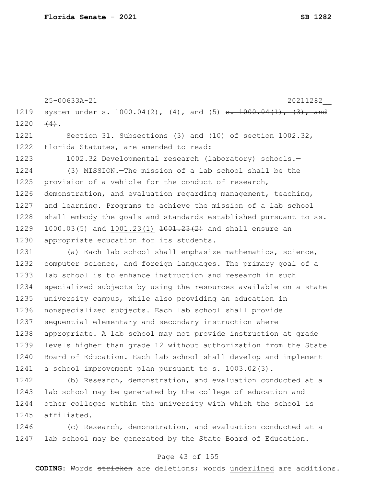```
25-00633A-21 20211282__
1219 system under s. 1000.04(2), (4), and (5) \frac{1000.04(1)}{1000.04(1)}, (3), and
1220 (4).
1221 Section 31. Subsections (3) and (10) of section 1002.32,
1222 Florida Statutes, are amended to read:
1223 1002.32 Developmental research (laboratory) schools.-
1224 (3) MISSION.—The mission of a lab school shall be the 
1225 provision of a vehicle for the conduct of research,
1226 demonstration, and evaluation regarding management, teaching,
1227 and learning. Programs to achieve the mission of a lab school 
1228 shall embody the goals and standards established pursuant to ss.
1229 1000.03(5) and 1001.23(1) \frac{1001.23(2)}{200} and shall ensure an
1230 appropriate education for its students.
1231 (a) Each lab school shall emphasize mathematics, science,
1232 computer science, and foreign languages. The primary goal of a 
1233 lab school is to enhance instruction and research in such
1234 specialized subjects by using the resources available on a state 
1235 university campus, while also providing an education in 
1236 nonspecialized subjects. Each lab school shall provide 
1237 sequential elementary and secondary instruction where
1238 appropriate. A lab school may not provide instruction at grade 
1239 levels higher than grade 12 without authorization from the State 
1240 Board of Education. Each lab school shall develop and implement
1241 a school improvement plan pursuant to s. 1003.02(3).
```
1242 (b) Research, demonstration, and evaluation conducted at a 1243 lab school may be generated by the college of education and 1244 other colleges within the university with which the school is 1245 affiliated.

1246 (c) Research, demonstration, and evaluation conducted at a 1247 lab school may be generated by the State Board of Education.

### Page 43 of 155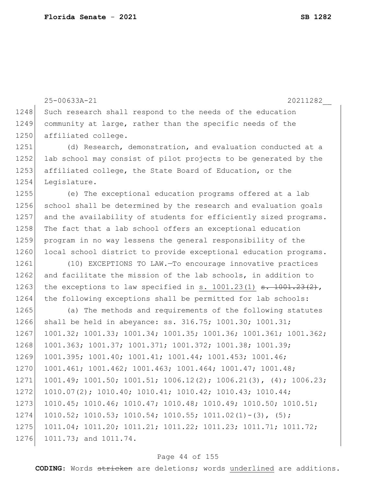```
25-00633A-21 20211282__
1248 Such research shall respond to the needs of the education
1249 community at large, rather than the specific needs of the
1250 affiliated college.
1251 (d) Research, demonstration, and evaluation conducted at a 
1252 lab school may consist of pilot projects to be generated by the
1253 affiliated college, the State Board of Education, or the
1254 Legislature.
1255 (e) The exceptional education programs offered at a lab 
1256 school shall be determined by the research and evaluation goals
1257 and the availability of students for efficiently sized programs.
1258 The fact that a lab school offers an exceptional education
1259 program in no way lessens the general responsibility of the 
1260 local school district to provide exceptional education programs.
1261 (10) EXCEPTIONS TO LAW.—To encourage innovative practices 
1262 and facilitate the mission of the lab schools, in addition to
1263 the exceptions to law specified in s. 1001.23(1) s. 1001.23(2),
1264 the following exceptions shall be permitted for lab schools:
1265 (a) The methods and requirements of the following statutes
1266 shall be held in abeyance: ss. 316.75; 1001.30; 1001.31; 
1267 1001.32; 1001.33; 1001.34; 1001.35; 1001.36; 1001.361; 1001.362; 
1268 1001.363; 1001.37; 1001.371; 1001.372; 1001.38; 1001.39; 
1269 1001.395; 1001.40; 1001.41; 1001.44; 1001.453; 1001.46; 
1270 1001.461; 1001.462; 1001.463; 1001.464; 1001.47; 1001.48; 
1271 1001.49; 1001.50; 1001.51; 1006.12(2); 1006.21(3), (4); 1006.23; 
1272 1010.07(2); 1010.40; 1010.41; 1010.42; 1010.43; 1010.44; 
1273 1010.45; 1010.46; 1010.47; 1010.48; 1010.49; 1010.50; 1010.51; 
1274 1010.52; 1010.53; 1010.54; 1010.55; 1011.02(1)-(3), (5);
1275 1011.04; 1011.20; 1011.21; 1011.22; 1011.23; 1011.71; 1011.72; 
1276 1011.73; and 1011.74.
```
### Page 44 of 155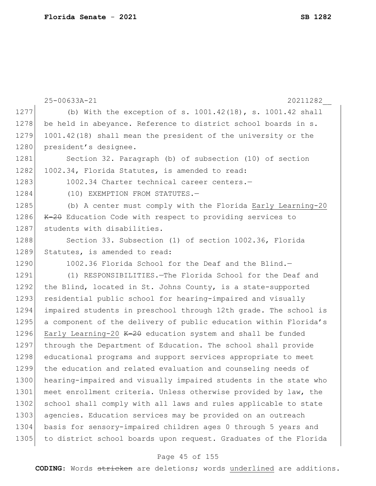|      | 25-00633A-21<br>20211282                                         |
|------|------------------------------------------------------------------|
| 1277 | (b) With the exception of s. $1001.42(18)$ , s. $1001.42$ shall  |
| 1278 | be held in abeyance. Reference to district school boards in s.   |
| 1279 | 1001.42(18) shall mean the president of the university or the    |
| 1280 | president's designee.                                            |
| 1281 | Section 32. Paragraph (b) of subsection (10) of section          |
| 1282 | 1002.34, Florida Statutes, is amended to read:                   |
| 1283 | 1002.34 Charter technical career centers.-                       |
| 1284 | (10) EXEMPTION FROM STATUTES.-                                   |
| 1285 | (b) A center must comply with the Florida Early Learning-20      |
| 1286 | K-20 Education Code with respect to providing services to        |
| 1287 | students with disabilities.                                      |
| 1288 | Section 33. Subsection (1) of section 1002.36, Florida           |
| 1289 | Statutes, is amended to read:                                    |
| 1290 | 1002.36 Florida School for the Deaf and the Blind.-              |
| 1291 | (1) RESPONSIBILITIES. - The Florida School for the Deaf and      |
| 1292 | the Blind, located in St. Johns County, is a state-supported     |
| 1293 | residential public school for hearing-impaired and visually      |
| 1294 | impaired students in preschool through 12th grade. The school is |
| 1295 | a component of the delivery of public education within Florida's |
| 1296 | Early Learning-20 K-20 education system and shall be funded      |
| 1297 | through the Department of Education. The school shall provide    |
| 1298 | educational programs and support services appropriate to meet    |
| 1299 | the education and related evaluation and counseling needs of     |
| 1300 | hearing-impaired and visually impaired students in the state who |
| 1301 | meet enrollment criteria. Unless otherwise provided by law, the  |
| 1302 | school shall comply with all laws and rules applicable to state  |
| 1303 | agencies. Education services may be provided on an outreach      |
| 1304 | basis for sensory-impaired children ages 0 through 5 years and   |
| 1305 | to district school boards upon request. Graduates of the Florida |
|      |                                                                  |

# Page 45 of 155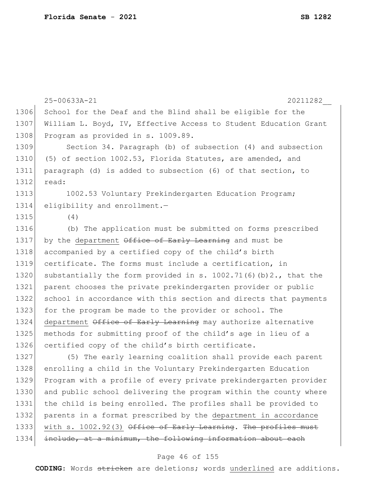|      | 25-00633A-21<br>20211282                                          |
|------|-------------------------------------------------------------------|
| 1306 | School for the Deaf and the Blind shall be eligible for the       |
| 1307 | William L. Boyd, IV, Effective Access to Student Education Grant  |
| 1308 | Program as provided in s. 1009.89.                                |
| 1309 | Section 34. Paragraph (b) of subsection (4) and subsection        |
| 1310 | (5) of section 1002.53, Florida Statutes, are amended, and        |
| 1311 | paragraph (d) is added to subsection (6) of that section, to      |
| 1312 | read:                                                             |
| 1313 | 1002.53 Voluntary Prekindergarten Education Program;              |
| 1314 | eligibility and enrollment. $-$                                   |
| 1315 | (4)                                                               |
| 1316 | (b) The application must be submitted on forms prescribed         |
| 1317 | by the department Office of Early Learning and must be            |
| 1318 | accompanied by a certified copy of the child's birth              |
| 1319 | certificate. The forms must include a certification, in           |
| 1320 | substantially the form provided in s. $1002.71(6)(b)2.,$ that the |
| 1321 | parent chooses the private prekindergarten provider or public     |
| 1322 | school in accordance with this section and directs that payments  |
| 1323 | for the program be made to the provider or school. The            |
| 1324 | department Office of Early Learning may authorize alternative     |
| 1325 | methods for submitting proof of the child's age in lieu of a      |
| 1326 | certified copy of the child's birth certificate.                  |
| 1327 | (5) The early learning coalition shall provide each parent        |
| 1328 | enrolling a child in the Voluntary Prekindergarten Education      |
| 1329 | Program with a profile of every private prekindergarten provider  |
| 1330 | and public school delivering the program within the county where  |
| 1331 | the child is being enrolled. The profiles shall be provided to    |
| 1332 | parents in a format prescribed by the department in accordance    |
| 1333 | with s. 1002.92(3) Office of Early Learning. The profiles must    |

1334 include, at a minimum, the following information about each

### Page 46 of 155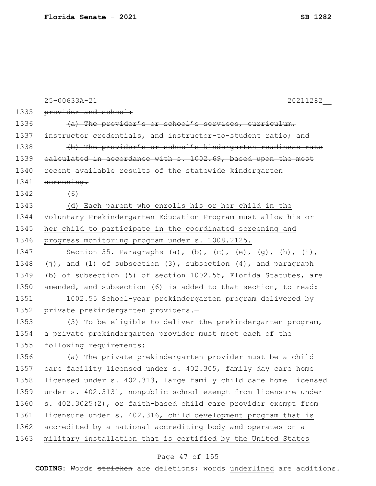|      | 25-00633A-21<br>20211282                                                  |
|------|---------------------------------------------------------------------------|
| 1335 | provider and school:                                                      |
| 1336 | (a) The provider's or school's services, curriculum,                      |
| 1337 | instructor credentials, and instructor-to-student ratio; and              |
| 1338 | (b) The provider's or school's kindergarten readiness rate                |
| 1339 | ealculated in accordance with s. 1002.69, based upon the most             |
| 1340 | recent available results of the statewide kindergarten                    |
| 1341 | screening.                                                                |
| 1342 | (6)                                                                       |
| 1343 | (d) Each parent who enrolls his or her child in the                       |
| 1344 | Voluntary Prekindergarten Education Program must allow his or             |
| 1345 | her child to participate in the coordinated screening and                 |
| 1346 | progress monitoring program under s. 1008.2125.                           |
| 1347 | Section 35. Paragraphs (a), (b), (c), (e), (g), (h), (i),                 |
| 1348 | $(j)$ , and (1) of subsection (3), subsection $(4)$ , and paragraph       |
| 1349 | (b) of subsection (5) of section 1002.55, Florida Statutes, are           |
| 1350 | amended, and subsection (6) is added to that section, to read:            |
| 1351 | 1002.55 School-year prekindergarten program delivered by                  |
| 1352 | private prekindergarten providers.-                                       |
| 1353 | (3) To be eligible to deliver the prekindergarten program,                |
| 1354 | a private prekindergarten provider must meet each of the                  |
| 1355 | following requirements:                                                   |
| 1356 | (a) The private prekindergarten provider must be a child                  |
| 1357 | care facility licensed under s. 402.305, family day care home             |
| 1358 | licensed under s. 402.313, large family child care home licensed          |
| 1359 | under s. 402.3131, nonpublic school exempt from licensure under           |
| 1360 | s. $402.3025(2)$ , $\Theta$ r faith-based child care provider exempt from |
| 1361 | licensure under s. 402.316, child development program that is             |
| 1362 | accredited by a national accrediting body and operates on a               |
| 1363 | military installation that is certified by the United States              |
|      |                                                                           |

# Page 47 of 155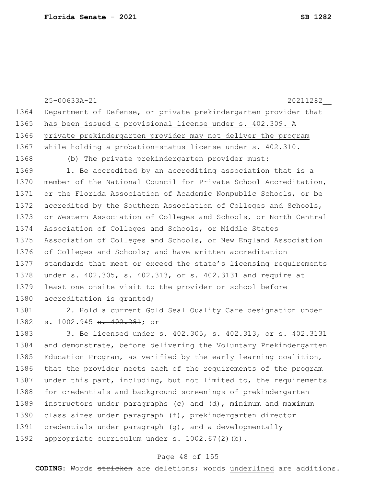25-00633A-21 20211282\_\_ 1364 Department of Defense, or private prekindergarten provider that 1365 has been issued a provisional license under s. 402.309. A 1366 private prekindergarten provider may not deliver the program 1367 while holding a probation-status license under s. 402.310. 1368 (b) The private prekindergarten provider must: 1369 1. Be accredited by an accrediting association that is a 1370 member of the National Council for Private School Accreditation, 1371 or the Florida Association of Academic Nonpublic Schools, or be 1372 accredited by the Southern Association of Colleges and Schools, 1373 or Western Association of Colleges and Schools, or North Central 1374 Association of Colleges and Schools, or Middle States 1375 Association of Colleges and Schools, or New England Association 1376 of Colleges and Schools; and have written accreditation 1377 standards that meet or exceed the state's licensing requirements 1378 under s. 402.305, s. 402.313, or s. 402.3131 and require at 1379 least one onsite visit to the provider or school before 1380 accreditation is granted; 1381 2. Hold a current Gold Seal Quality Care designation under 1382| s. 1002.945 <del>s. 402.281</del>; or 1383 3. Be licensed under s. 402.305, s. 402.313, or s. 402.3131 1384 and demonstrate, before delivering the Voluntary Prekindergarten 1385 Education Program, as verified by the early learning coalition, 1386 that the provider meets each of the requirements of the program 1387 under this part, including, but not limited to, the requirements 1388 for credentials and background screenings of prekindergarten 1389 instructors under paragraphs (c) and (d), minimum and maximum 1390 class sizes under paragraph (f), prekindergarten director 1391 credentials under paragraph (g), and a developmentally 1392 appropriate curriculum under s. 1002.67(2)(b).

### Page 48 of 155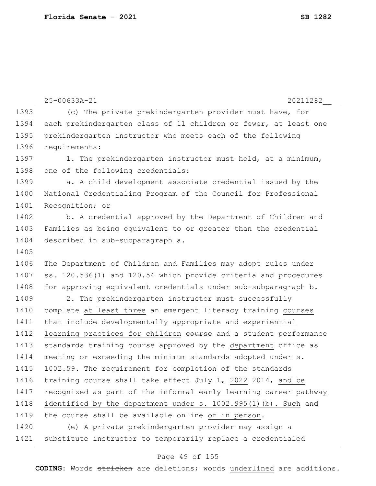```
25-00633A-21 20211282__
1393 (c) The private prekindergarten provider must have, for
1394 each prekindergarten class of 11 children or fewer, at least one 
1395 prekindergarten instructor who meets each of the following 
1396 requirements:
1397 1. The prekindergarten instructor must hold, at a minimum,
1398 one of the following credentials:
1399 a. A child development associate credential issued by the
1400 National Credentialing Program of the Council for Professional
1401 Recognition; or
1402 b. A credential approved by the Department of Children and
1403 Families as being equivalent to or greater than the credential
1404 described in sub-subparagraph a.
1405
1406 The Department of Children and Families may adopt rules under
1407 ss. 120.536(1) and 120.54 which provide criteria and procedures
1408 for approving equivalent credentials under sub-subparagraph b.
1409 2. The prekindergarten instructor must successfully
1410 complete at least three an emergent literacy training courses
1411 that include developmentally appropriate and experiential 
1412 learning practices for children course and a student performance
1413 standards training course approved by the department office as
1414 meeting or exceeding the minimum standards adopted under s. 
1415 1002.59. The requirement for completion of the standards
1416 training course shall take effect July 1, 2022 2014, and be
1417 recognized as part of the informal early learning career pathway 
1418 identified by the department under s. 1002.995(1)(b). Such and
1419 \overline{the} course shall be available online or in person.
1420 (e) A private prekindergarten provider may assign a 
1421 substitute instructor to temporarily replace a credentialed
```
#### Page 49 of 155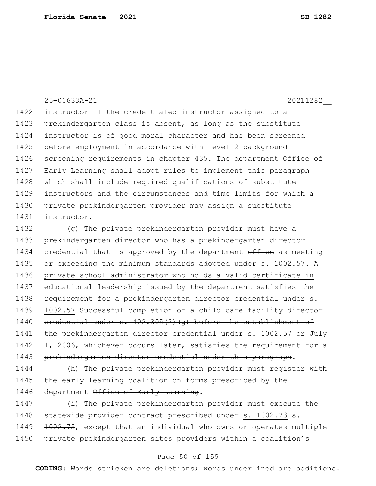25-00633A-21 20211282\_\_ 1422 instructor if the credentialed instructor assigned to a 1423 prekindergarten class is absent, as long as the substitute 1424 instructor is of good moral character and has been screened 1425 before employment in accordance with level 2 background 1426 screening requirements in chapter 435. The department Office of 1427 Early Learning shall adopt rules to implement this paragraph 1428 which shall include required qualifications of substitute 1429 instructors and the circumstances and time limits for which a 1430 private prekindergarten provider may assign a substitute 1431 instructor. 1432 (g) The private prekindergarten provider must have a 1433 prekindergarten director who has a prekindergarten director 1434 credential that is approved by the department office as meeting 1435 or exceeding the minimum standards adopted under s. 1002.57. A 1436 private school administrator who holds a valid certificate in 1437 educational leadership issued by the department satisfies the 1438 requirement for a prekindergarten director credential under s. 1439 1002.57 Successful completion of a child care facility director  $1440$  credential under s.  $402.305(2)(q)$  before the establishment of 1441 the prekindergarten director credential under s. 1002.57 or July

1442 1, 2006, whichever occurs later, satisfies the requirement for a 1443 prekindergarten director credential under this paragraph.

1444 (h) The private prekindergarten provider must register with 1445 the early learning coalition on forms prescribed by the 1446 department Office of Early Learning.

1447 (i) The private prekindergarten provider must execute the 1448 statewide provider contract prescribed under s. 1002.73 s. 1449 <del>1002.75</del>, except that an individual who owns or operates multiple 1450 private prekindergarten sites providers within a coalition's

### Page 50 of 155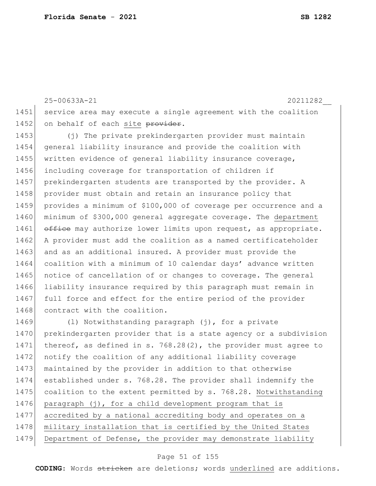25-00633A-21 20211282\_\_ 1451 service area may execute a single agreement with the coalition 1452 on behalf of each site provider.

1453 (j) The private prekindergarten provider must maintain 1454 general liability insurance and provide the coalition with 1455 written evidence of general liability insurance coverage, 1456 including coverage for transportation of children if 1457 prekindergarten students are transported by the provider. A 1458 provider must obtain and retain an insurance policy that 1459 provides a minimum of \$100,000 of coverage per occurrence and a 1460 minimum of \$300,000 general aggregate coverage. The department 1461 office may authorize lower limits upon request, as appropriate. 1462 A provider must add the coalition as a named certificateholder 1463 and as an additional insured. A provider must provide the 1464 coalition with a minimum of 10 calendar days' advance written 1465 notice of cancellation of or changes to coverage. The general 1466 liability insurance required by this paragraph must remain in 1467 full force and effect for the entire period of the provider 1468 contract with the coalition.

1469 (1) Notwithstanding paragraph (j), for a private 1470 prekindergarten provider that is a state agency or a subdivision 1471 thereof, as defined in s. 768.28(2), the provider must agree to 1472 notify the coalition of any additional liability coverage 1473 maintained by the provider in addition to that otherwise 1474 established under s. 768.28. The provider shall indemnify the 1475 coalition to the extent permitted by s. 768.28. Notwithstanding 1476 paragraph (j), for a child development program that is 1477 accredited by a national accrediting body and operates on a 1478 | military installation that is certified by the United States 1479 Department of Defense, the provider may demonstrate liability

### Page 51 of 155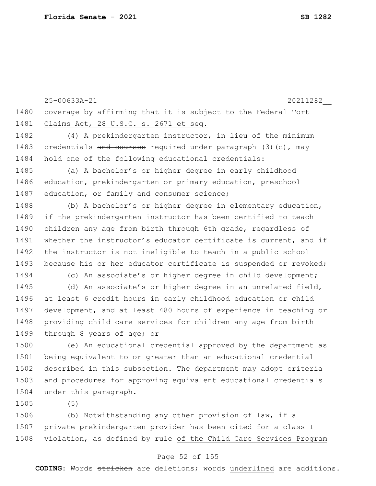|      | 25-00633A-21<br>20211282                                         |
|------|------------------------------------------------------------------|
| 1480 | coverage by affirming that it is subject to the Federal Tort     |
| 1481 | Claims Act, 28 U.S.C. s. 2671 et seq.                            |
| 1482 | (4) A prekindergarten instructor, in lieu of the minimum         |
| 1483 | credentials and courses required under paragraph $(3)$ (c), may  |
| 1484 | hold one of the following educational credentials:               |
| 1485 | (a) A bachelor's or higher degree in early childhood             |
| 1486 | education, prekindergarten or primary education, preschool       |
| 1487 | education, or family and consumer science;                       |
| 1488 | (b) A bachelor's or higher degree in elementary education,       |
| 1489 | if the prekindergarten instructor has been certified to teach    |
| 1490 | children any age from birth through 6th grade, regardless of     |
| 1491 | whether the instructor's educator certificate is current, and if |
| 1492 | the instructor is not ineligible to teach in a public school     |
| 1493 | because his or her educator certificate is suspended or revoked; |
| 1494 | (c) An associate's or higher degree in child development;        |
| 1495 | (d) An associate's or higher degree in an unrelated field,       |
| 1496 | at least 6 credit hours in early childhood education or child    |
| 1497 | development, and at least 480 hours of experience in teaching or |
| 1498 | providing child care services for children any age from birth    |
| 1499 | through 8 years of age; or                                       |
| 1500 | (e) An educational credential approved by the department as      |
| 1501 | being equivalent to or greater than an educational credential    |
| 1502 | described in this subsection. The department may adopt criteria  |
| 1503 | and procedures for approving equivalent educational credentials  |
| 1504 | under this paragraph.                                            |
| 1505 | (5)                                                              |
| 1506 | (b) Notwithstanding any other provision of law, if a             |
| 1507 | private prekindergarten provider has been cited for a class I    |

### Page 52 of 155

1508 violation, as defined by rule of the Child Care Services Program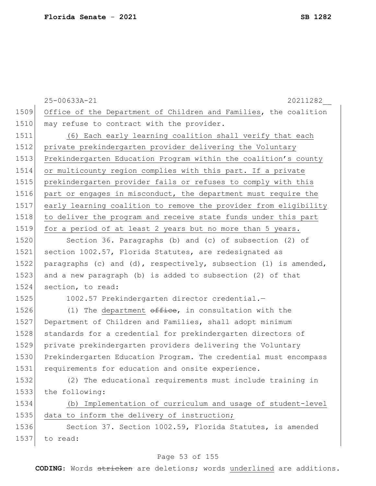|      | 20211282<br>25-00633A-21                                         |
|------|------------------------------------------------------------------|
| 1509 | Office of the Department of Children and Families, the coalition |
| 1510 | may refuse to contract with the provider.                        |
| 1511 | (6) Each early learning coalition shall verify that each         |
| 1512 | private prekindergarten provider delivering the Voluntary        |
| 1513 | Prekindergarten Education Program within the coalition's county  |
| 1514 | or multicounty region complies with this part. If a private      |
| 1515 | prekindergarten provider fails or refuses to comply with this    |
| 1516 | part or engages in misconduct, the department must require the   |
| 1517 | early learning coalition to remove the provider from eligibility |
| 1518 | to deliver the program and receive state funds under this part   |
| 1519 | for a period of at least 2 years but no more than 5 years.       |
| 1520 | Section 36. Paragraphs (b) and (c) of subsection (2) of          |
| 1521 | section 1002.57, Florida Statutes, are redesignated as           |
| 1522 | paragraphs (c) and (d), respectively, subsection (1) is amended, |
| 1523 | and a new paragraph (b) is added to subsection (2) of that       |
| 1524 | section, to read:                                                |
| 1525 | 1002.57 Prekindergarten director credential.-                    |
| 1526 | (1) The department $\theta$ ffice, in consultation with the      |
| 1527 | Department of Children and Families, shall adopt minimum         |
| 1528 | standards for a credential for prekindergarten directors of      |
| 1529 | private prekindergarten providers delivering the Voluntary       |
| 1530 | Prekindergarten Education Program. The credential must encompass |
| 1531 | requirements for education and onsite experience.                |
| 1532 | (2) The educational requirements must include training in        |
| 1533 | the following:                                                   |
| 1534 | (b) Implementation of curriculum and usage of student-level      |
| 1535 | data to inform the delivery of instruction;                      |
| 1536 | Section 37. Section 1002.59, Florida Statutes, is amended        |
| 1537 | to read:                                                         |
|      | $52 \times 155$                                                  |

### Page 53 of 155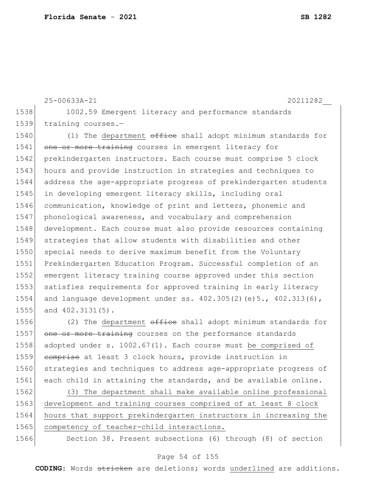```
25-00633A-21 20211282__
1538 1002.59 Emergent literacy and performance standards
1539 training courses.-
1540 (1) The department office shall adopt minimum standards for
1541 one or more training courses in emergent literacy for
1542 prekindergarten instructors. Each course must comprise 5 clock
1543 hours and provide instruction in strategies and techniques to
1544 address the age-appropriate progress of prekindergarten students 
1545 in developing emergent literacy skills, including oral 
1546 communication, knowledge of print and letters, phonemic and 
1547 phonological awareness, and vocabulary and comprehension 
1548 development. Each course must also provide resources containing
1549 strategies that allow students with disabilities and other 
1550 special needs to derive maximum benefit from the Voluntary
1551 Prekindergarten Education Program. Successful completion of an 
1552 emergent literacy training course approved under this section 
1553 satisfies requirements for approved training in early literacy
1554 and language development under ss. 402.305(2)(e)5., 402.313(6),
```
1555 and 402.3131(5).

1556 (2) The department office shall adopt minimum standards for 1557 one or more training courses on the performance standards 1558 adopted under s. 1002.67(1). Each course must be comprised of 1559 comprise at least 3 clock hours, provide instruction in 1560 strategies and techniques to address age-appropriate progress of 1561 each child in attaining the standards, and be available online.

 (3) The department shall make available online professional development and training courses comprised of at least 8 clock hours that support prekindergarten instructors in increasing the 1565 competency of teacher-child interactions.

1566 Section 38. Present subsections (6) through (8) of section

### Page 54 of 155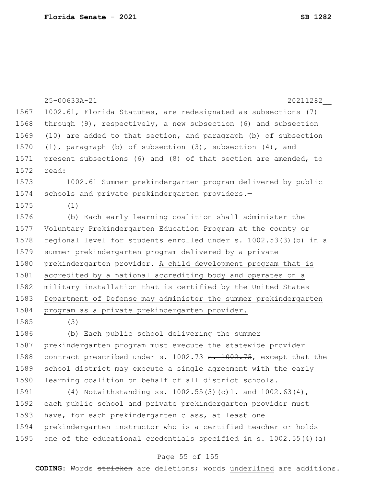|      | 25-00633A-21<br>20211282                                                     |
|------|------------------------------------------------------------------------------|
| 1567 | 1002.61, Florida Statutes, are redesignated as subsections (7)               |
| 1568 | through $(9)$ , respectively, a new subsection $(6)$ and subsection          |
| 1569 | (10) are added to that section, and paragraph (b) of subsection              |
| 1570 | $(1)$ , paragraph $(b)$ of subsection $(3)$ , subsection $(4)$ , and         |
| 1571 | present subsections (6) and (8) of that section are amended, to              |
| 1572 | read:                                                                        |
| 1573 | 1002.61 Summer prekindergarten program delivered by public                   |
| 1574 | schools and private prekindergarten providers.-                              |
| 1575 | (1)                                                                          |
| 1576 | (b) Each early learning coalition shall administer the                       |
| 1577 | Voluntary Prekindergarten Education Program at the county or                 |
| 1578 | regional level for students enrolled under s. 1002.53(3) (b) in a            |
| 1579 | summer prekindergarten program delivered by a private                        |
| 1580 | prekindergarten provider. A child development program that is                |
| 1581 | accredited by a national accrediting body and operates on a                  |
| 1582 | military installation that is certified by the United States                 |
| 1583 | Department of Defense may administer the summer prekindergarten              |
| 1584 | program as a private prekindergarten provider.                               |
| 1585 | (3)                                                                          |
| 1586 | (b) Each public school delivering the summer                                 |
| 1587 | prekindergarten program must execute the statewide provider                  |
| 1588 | contract prescribed under s. 1002.73 <del>s. 1002.75</del> , except that the |
| 1589 | school district may execute a single agreement with the early                |
| 1590 | learning coalition on behalf of all district schools.                        |
| 1591 | (4) Notwithstanding ss. $1002.55(3)(c)1.$ and $1002.63(4)$ ,                 |
| 1592 | each public school and private prekindergarten provider must                 |
| 1593 | have, for each prekindergarten class, at least one                           |
| 1594 | prekindergarten instructor who is a certified teacher or holds               |

### Page 55 of 155

1595 one of the educational credentials specified in s. 1002.55(4)(a)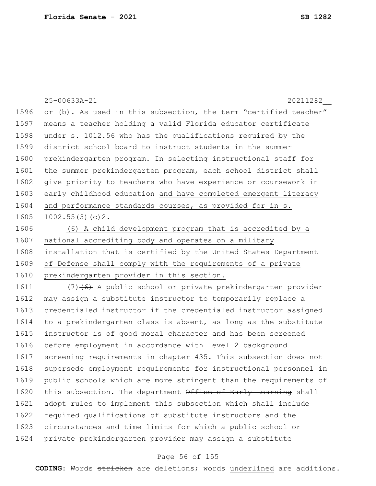|      | 25-00633A-21<br>20211282                                         |
|------|------------------------------------------------------------------|
| 1596 | or (b). As used in this subsection, the term "certified teacher" |
| 1597 | means a teacher holding a valid Florida educator certificate     |
| 1598 | under s. 1012.56 who has the qualifications required by the      |
| 1599 | district school board to instruct students in the summer         |
| 1600 | prekindergarten program. In selecting instructional staff for    |
| 1601 | the summer prekindergarten program, each school district shall   |
| 1602 | give priority to teachers who have experience or coursework in   |
| 1603 | early childhood education and have completed emergent literacy   |
| 1604 | and performance standards courses, as provided for in s.         |
| 1605 | 1002.55(3)(c)2.                                                  |
| 1606 | (6) A child development program that is accredited by a          |
| 1607 | national accrediting body and operates on a military             |
| 1608 | installation that is certified by the United States Department   |
| 1609 | of Defense shall comply with the requirements of a private       |
| 1610 | prekindergarten provider in this section.                        |
| 1611 | $(7)$ (6) A public school or private prekindergarten provider    |
| 1612 | may assign a substitute instructor to temporarily replace a      |
| 1613 | credentialed instructor if the credentialed instructor assigned  |
| 1614 | to a prekindergarten class is absent, as long as the substitute  |
| 1615 | instructor is of good moral character and has been screened      |
| 1616 | before employment in accordance with level 2 background          |
| 1617 | screening requirements in chapter 435. This subsection does not  |
| 1618 | supersede employment requirements for instructional personnel in |

1620 this subsection. The department Office of Early Learning shall adopt rules to implement this subsection which shall include 1622 required qualifications of substitute instructors and the circumstances and time limits for which a public school or private prekindergarten provider may assign a substitute

public schools which are more stringent than the requirements of

### Page 56 of 155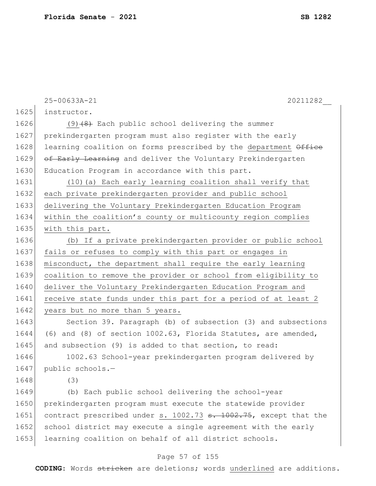|      | 25-00633A-21<br>20211282                                                     |
|------|------------------------------------------------------------------------------|
| 1625 | instructor.                                                                  |
| 1626 | $(9)$ $(8)$ Each public school delivering the summer                         |
| 1627 | prekindergarten program must also register with the early                    |
| 1628 | learning coalition on forms prescribed by the department Office              |
| 1629 | of Early Learning and deliver the Voluntary Prekindergarten                  |
| 1630 | Education Program in accordance with this part.                              |
| 1631 | (10) (a) Each early learning coalition shall verify that                     |
| 1632 | each private prekindergarten provider and public school                      |
| 1633 | delivering the Voluntary Prekindergarten Education Program                   |
| 1634 | within the coalition's county or multicounty region complies                 |
| 1635 | with this part.                                                              |
| 1636 | (b) If a private prekindergarten provider or public school                   |
| 1637 | fails or refuses to comply with this part or engages in                      |
| 1638 | misconduct, the department shall require the early learning                  |
| 1639 | coalition to remove the provider or school from eligibility to               |
| 1640 | deliver the Voluntary Prekindergarten Education Program and                  |
| 1641 | receive state funds under this part for a period of at least 2               |
| 1642 | years but no more than 5 years.                                              |
| 1643 | Section 39. Paragraph (b) of subsection (3) and subsections                  |
| 1644 | $(6)$ and $(8)$ of section 1002.63, Florida Statutes, are amended,           |
| 1645 | and subsection (9) is added to that section, to read:                        |
| 1646 | 1002.63 School-year prekindergarten program delivered by                     |
| 1647 | public schools.-                                                             |
| 1648 | (3)                                                                          |
| 1649 | (b) Each public school delivering the school-year                            |
| 1650 | prekindergarten program must execute the statewide provider                  |
| 1651 | contract prescribed under s. 1002.73 <del>s. 1002.75</del> , except that the |
| 1652 | school district may execute a single agreement with the early                |
| 1653 | learning coalition on behalf of all district schools.                        |
|      | Page 57 of 155                                                               |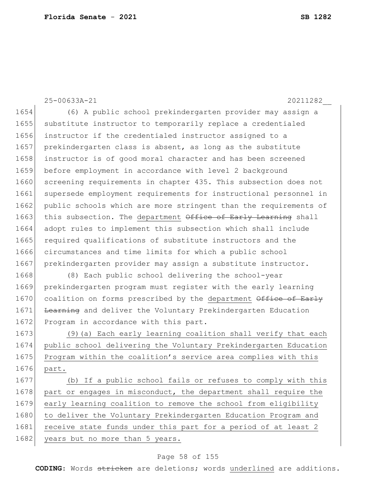25-00633A-21 20211282\_\_ 1654 (6) A public school prekindergarten provider may assign a 1655 substitute instructor to temporarily replace a credentialed 1656 instructor if the credentialed instructor assigned to a 1657 | prekindergarten class is absent, as long as the substitute 1658 instructor is of good moral character and has been screened 1659 before employment in accordance with level 2 background 1660 screening requirements in chapter 435. This subsection does not 1661 supersede employment requirements for instructional personnel in 1662 public schools which are more stringent than the requirements of 1663 this subsection. The department Office of Early Learning shall 1664 adopt rules to implement this subsection which shall include 1665 required qualifications of substitute instructors and the 1666 circumstances and time limits for which a public school 1667 prekindergarten provider may assign a substitute instructor. 1668 (8) Each public school delivering the school-year 1669 prekindergarten program must register with the early learning 1670 coalition on forms prescribed by the department Office of Early 1671 Learning and deliver the Voluntary Prekindergarten Education 1672 Program in accordance with this part. 1673 (9)(a) Each early learning coalition shall verify that each 1674 public school delivering the Voluntary Prekindergarten Education 1675 Program within the coalition's service area complies with this 1676 part. 1677 (b) If a public school fails or refuses to comply with this 1678 part or engages in misconduct, the department shall require the 1679 early learning coalition to remove the school from eligibility 1680 to deliver the Voluntary Prekindergarten Education Program and 1681 receive state funds under this part for a period of at least 2 1682 years but no more than 5 years.

### Page 58 of 155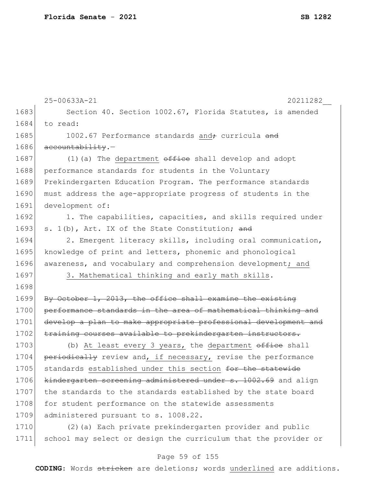|      | 25-00633A-21<br>20211282                                        |
|------|-----------------------------------------------------------------|
| 1683 | Section 40. Section 1002.67, Florida Statutes, is amended       |
| 1684 | to read:                                                        |
| 1685 | 1002.67 Performance standards and <sub>+</sub> curricula and    |
| 1686 | accountability.-                                                |
| 1687 | $(1)$ (a) The department $\theta$ fice shall develop and adopt  |
| 1688 | performance standards for students in the Voluntary             |
| 1689 | Prekindergarten Education Program. The performance standards    |
| 1690 | must address the age-appropriate progress of students in the    |
| 1691 | development of:                                                 |
| 1692 | 1. The capabilities, capacities, and skills required under      |
| 1693 | s. 1(b), Art. IX of the State Constitution; and                 |
| 1694 | 2. Emergent literacy skills, including oral communication,      |
| 1695 | knowledge of print and letters, phonemic and phonological       |
| 1696 | awareness, and vocabulary and comprehension development; and    |
| 1697 | 3. Mathematical thinking and early math skills.                 |
| 1698 |                                                                 |
| 1699 | By October 1, 2013, the office shall examine the existing       |
| 1700 | performance standards in the area of mathematical thinking and  |
| 1701 | develop a plan to make appropriate professional development and |
| 1702 | training courses available to prekindergarten instructors.      |
| 1703 | (b) At least every 3 years, the department office shall         |
| 1704 | periodically review and, if necessary, revise the performance   |
| 1705 | standards established under this section for the statewide      |
| 1706 | kindergarten screening administered under s. 1002.69 and align  |
| 1707 | the standards to the standards established by the state board   |
| 1708 | for student performance on the statewide assessments            |
| 1709 | administered pursuant to s. 1008.22.                            |
| 1710 | (2) (a) Each private prekindergarten provider and public        |
| 1711 | school may select or design the curriculum that the provider or |
|      |                                                                 |

# Page 59 of 155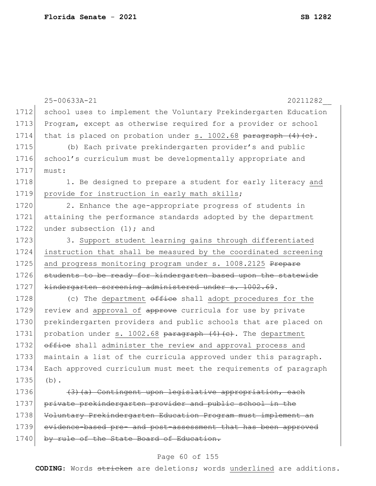|      | 25-00633A-21<br>20211282                                          |
|------|-------------------------------------------------------------------|
| 1712 | school uses to implement the Voluntary Prekindergarten Education  |
| 1713 | Program, except as otherwise required for a provider or school    |
| 1714 | that is placed on probation under s. 1002.68 paragraph $(4)$ (c). |
| 1715 | (b) Each private prekindergarten provider's and public            |
| 1716 | school's curriculum must be developmentally appropriate and       |
| 1717 | must:                                                             |
| 1718 | 1. Be designed to prepare a student for early literacy and        |
| 1719 | provide for instruction in early math skills;                     |
| 1720 | 2. Enhance the age-appropriate progress of students in            |
| 1721 | attaining the performance standards adopted by the department     |
| 1722 | under subsection $(1)$ ; and                                      |
| 1723 | 3. Support student learning gains through differentiated          |
| 1724 | instruction that shall be measured by the coordinated screening   |
| 1725 | and progress monitoring program under s. 1008.2125 Prepare        |
| 1726 | students to be ready for kindergarten based upon the statewide    |
| 1727 | kindergarten screening administered under s. 1002.69.             |
| 1728 | (c) The department office shall adopt procedures for the          |
| 1729 | review and approval of approve curricula for use by private       |
| 1730 | prekindergarten providers and public schools that are placed on   |
| 1731 | probation under s. 1002.68 paragraph (4) (e). The department      |
| 1732 | office shall administer the review and approval process and       |
| 1733 | maintain a list of the curricula approved under this paragraph.   |
| 1734 | Each approved curriculum must meet the requirements of paragraph  |
| 1735 | $(b)$ .                                                           |
| 1736 | (3) (a) Contingent upon legislative appropriation, each           |
| 1737 | private prekindergarten provider and public school in the         |
| 1738 | Voluntary Prekindergarten Education Program must implement an     |
| 1739 | evidence-based pre- and post-assessment that has been approved    |
| 1740 | rule of the State Board of Education.                             |

# Page 60 of 155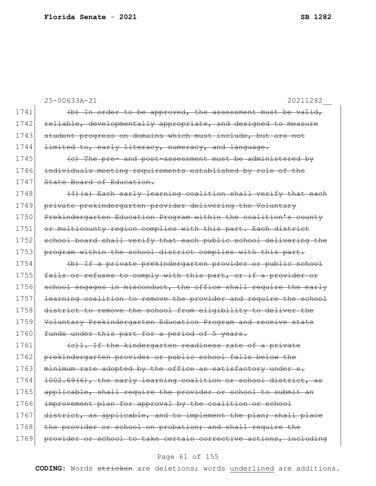|      | 25-00633A-21<br>20211282                                         |
|------|------------------------------------------------------------------|
| 1741 | (b) In order to be approved, the assessment must be valid,       |
| 1742 | reliable, developmentally appropriate, and designed to measure   |
| 1743 | student progress on domains which must include, but are not      |
| 1744 | limited to, early literacy, numeracy, and language.              |
| 1745 | (e) The pre- and post-assessment must be administered by         |
| 1746 | individuals meeting requirements established by rule of the      |
| 1747 | State Board of Education.                                        |
| 1748 | (4) (a) Each early learning coalition shall verify that each     |
| 1749 | private prekindergarten provider delivering the Voluntary        |
| 1750 | Prekindergarten Education Program within the coalition's county  |
| 1751 | or multicounty region complies with this part. Each district     |
| 1752 | school board shall verify that each public school delivering the |
| 1753 | program within the school district complies with this part.      |
| 1754 | (b) If a private prekindergarten provider or public school       |
| 1755 | fails or refuses to comply with this part, or if a provider or   |
| 1756 | school engages in misconduct, the office shall require the early |
| 1757 | learning coalition to remove the provider and require the school |
| 1758 | district to remove the school from eligibility to deliver the    |
| 1759 | Voluntary Prekindergarten Education Program and receive state    |
| 1760 | funds under this part for a period of 5 years.                   |
| 1761 | (e) 1. If the kindergarten readiness rate of a private           |
| 1762 | prekindergarten provider or public school falls below the        |
| 1763 | minimum rate adopted by the office as satisfactory under s.      |
| 1764 | 1002.69(6), the early learning coalition or school district, as  |
| 1765 | applicable, shall require the provider or school to submit an    |
| 1766 | improvement plan for approval by the coalition or school         |
| 1767 | district, as applicable, and to implement the plan; shall place  |
| 1768 | the provider or school on probation; and shall require the       |
| 1769 | provider or school to take certain corrective actions, including |
|      |                                                                  |

# Page 61 of 155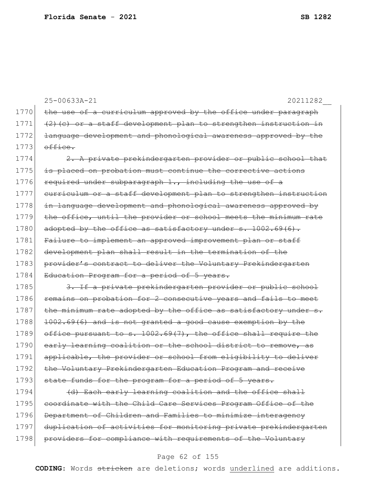25-00633A-21 20211282\_\_ 1770 the use of a curriculum approved by the office under paragraph  $1771$  (2)(c) or a staff development plan to strengthen instruction in 1772 <del>language development and phonological awareness approved by the</del>  $1773$  office. 1774  $\left| \right|$  2. A private prekindergarten provider or public school that 1775 is placed on probation must continue the corrective actions 1776 required under subparagraph  $1.,$  including the use of a

1777 curriculum or a staff development plan to strengthen instruction 1778 in language development and phonological awareness approved by 1779 the office, until the provider or school meets the minimum rate 1780 adopted by the office as satisfactory under s.  $1002.69(6)$ . 1781 Failure to implement an approved improvement plan or staff 1782 development plan shall result in the termination of the 1783 provider's contract to deliver the Voluntary Prekindergarten 1784 Education Program for a period of 5 years.

1785 3. If a private prekindergarten provider or public school 1786 remains on probation for 2 consecutive years and fails to meet 1787  $\vert$  the minimum rate adopted by the office as satisfactory under s. 1788 1002.69(6) and is not granted a good cause exemption by the 1789 office pursuant to s.  $1002.69(7)$ , the office shall require the 1790 early learning coalition or the school district to remove, as 1791 applicable, the provider or school from eligibility to deliver 1792 the Voluntary Prekindergarten Education Program and receive 1793 state funds for the program for a period of 5 years.

1794 (d) Each early learning coalition and the office shall 1795 coordinate with the Child Care Services Program Office of the 1796 Department of Children and Families to minimize interagency 1797 duplication of activities for monitoring private prekindergarten 1798 providers for compliance with requirements of the Voluntary

### Page 62 of 155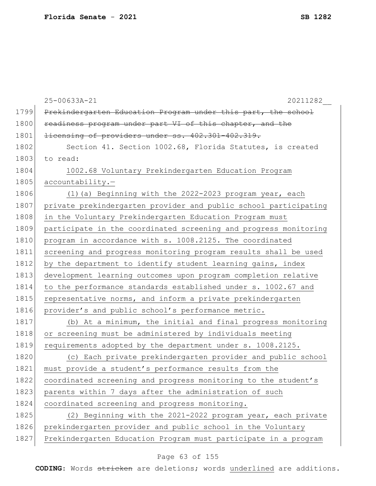|      | 25-00633A-21<br>20211282                                         |
|------|------------------------------------------------------------------|
| 1799 | Prekindergarten Education Program under this part, the school    |
| 1800 | readiness program under part VI of this chapter, and the         |
| 1801 | licensing of providers under ss. 402.301-402.319.                |
| 1802 | Section 41. Section 1002.68, Florida Statutes, is created        |
| 1803 | to read:                                                         |
| 1804 | 1002.68 Voluntary Prekindergarten Education Program              |
| 1805 | accountability.-                                                 |
| 1806 | (1) (a) Beginning with the 2022-2023 program year, each          |
| 1807 | private prekindergarten provider and public school participating |
| 1808 | in the Voluntary Prekindergarten Education Program must          |
| 1809 | participate in the coordinated screening and progress monitoring |
| 1810 | program in accordance with s. 1008.2125. The coordinated         |
| 1811 | screening and progress monitoring program results shall be used  |
| 1812 | by the department to identify student learning gains, index      |
| 1813 | development learning outcomes upon program completion relative   |
| 1814 | to the performance standards established under s. 1002.67 and    |
| 1815 | representative norms, and inform a private prekindergarten       |
| 1816 | provider's and public school's performance metric.               |
| 1817 | (b) At a minimum, the initial and final progress monitoring      |
| 1818 | or screening must be administered by individuals meeting         |
| 1819 | requirements adopted by the department under s. 1008.2125.       |
| 1820 | (c) Each private prekindergarten provider and public school      |
| 1821 | must provide a student's performance results from the            |
| 1822 | coordinated screening and progress monitoring to the student's   |
| 1823 | parents within 7 days after the administration of such           |
| 1824 | coordinated screening and progress monitoring.                   |
| 1825 | (2) Beginning with the 2021-2022 program year, each private      |
| 1826 | prekindergarten provider and public school in the Voluntary      |
| 1827 | Prekindergarten Education Program must participate in a program  |

# Page 63 of 155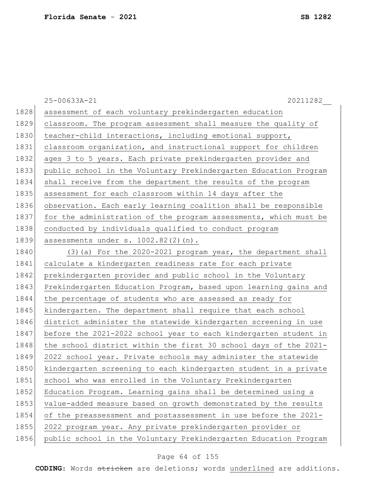|      | 25-00633A-21<br>20211282                                         |
|------|------------------------------------------------------------------|
| 1828 | assessment of each voluntary prekindergarten education           |
| 1829 | classroom. The program assessment shall measure the quality of   |
| 1830 | teacher-child interactions, including emotional support,         |
| 1831 | classroom organization, and instructional support for children   |
| 1832 | ages 3 to 5 years. Each private prekindergarten provider and     |
| 1833 | public school in the Voluntary Prekindergarten Education Program |
| 1834 | shall receive from the department the results of the program     |
| 1835 | assessment for each classroom within 14 days after the           |
| 1836 | observation. Each early learning coalition shall be responsible  |
| 1837 | for the administration of the program assessments, which must be |
| 1838 | conducted by individuals qualified to conduct program            |
| 1839 | assessments under s. 1002.82(2)(n).                              |
| 1840 | (3) (a) For the 2020-2021 program year, the department shall     |
| 1841 | calculate a kindergarten readiness rate for each private         |
| 1842 | prekindergarten provider and public school in the Voluntary      |
| 1843 | Prekindergarten Education Program, based upon learning gains and |
| 1844 | the percentage of students who are assessed as ready for         |
| 1845 | kindergarten. The department shall require that each school      |
| 1846 | district administer the statewide kindergarten screening in use  |
| 1847 | before the 2021-2022 school year to each kindergarten student in |
| 1848 | the school district within the first 30 school days of the 2021- |
| 1849 | 2022 school year. Private schools may administer the statewide   |
| 1850 | kindergarten screening to each kindergarten student in a private |
| 1851 | school who was enrolled in the Voluntary Prekindergarten         |
| 1852 | Education Program. Learning gains shall be determined using a    |
| 1853 | value-added measure based on growth demonstrated by the results  |
| 1854 | of the preassessment and postassessment in use before the 2021-  |
| 1855 | 2022 program year. Any private prekindergarten provider or       |
| 1856 | public school in the Voluntary Prekindergarten Education Program |

# Page 64 of 155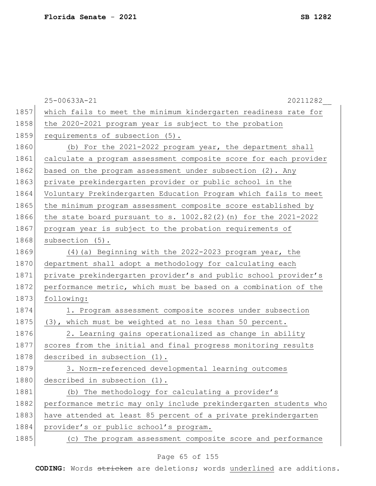|      | 25-00633A-21<br>20211282                                          |
|------|-------------------------------------------------------------------|
| 1857 | which fails to meet the minimum kindergarten readiness rate for   |
| 1858 | the 2020-2021 program year is subject to the probation            |
| 1859 | requirements of subsection (5).                                   |
| 1860 | (b) For the 2021-2022 program year, the department shall          |
| 1861 | calculate a program assessment composite score for each provider  |
| 1862 | based on the program assessment under subsection (2). Any         |
| 1863 | private prekindergarten provider or public school in the          |
| 1864 | Voluntary Prekindergarten Education Program which fails to meet   |
| 1865 | the minimum program assessment composite score established by     |
| 1866 | the state board pursuant to s. $1002.82(2)$ (n) for the 2021-2022 |
| 1867 | program year is subject to the probation requirements of          |
| 1868 | subsection (5).                                                   |
| 1869 | (4) (a) Beginning with the 2022-2023 program year, the            |
| 1870 | department shall adopt a methodology for calculating each         |
| 1871 | private prekindergarten provider's and public school provider's   |
| 1872 | performance metric, which must be based on a combination of the   |
| 1873 | following:                                                        |
| 1874 | 1. Program assessment composite scores under subsection           |
| 1875 | (3), which must be weighted at no less than 50 percent.           |
| 1876 | 2. Learning gains operationalized as change in ability            |
| 1877 | scores from the initial and final progress monitoring results     |
| 1878 | described in subsection (1).                                      |
| 1879 | 3. Norm-referenced developmental learning outcomes                |
| 1880 | described in subsection (1).                                      |
| 1881 | (b) The methodology for calculating a provider's                  |
| 1882 | performance metric may only include prekindergarten students who  |
| 1883 | have attended at least 85 percent of a private prekindergarten    |
| 1884 | provider's or public school's program.                            |
| 1885 | (c) The program assessment composite score and performance        |

# Page 65 of 155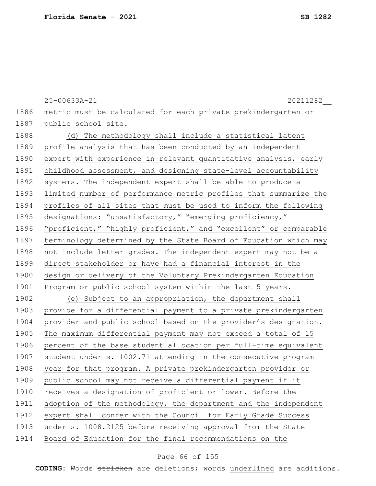|      | 25-00633A-21<br>20211282                                         |
|------|------------------------------------------------------------------|
| 1886 | metric must be calculated for each private prekindergarten or    |
| 1887 | public school site.                                              |
| 1888 | (d) The methodology shall include a statistical latent           |
| 1889 | profile analysis that has been conducted by an independent       |
| 1890 | expert with experience in relevant quantitative analysis, early  |
| 1891 | childhood assessment, and designing state-level accountability   |
| 1892 | systems. The independent expert shall be able to produce a       |
| 1893 | limited number of performance metric profiles that summarize the |
| 1894 | profiles of all sites that must be used to inform the following  |
| 1895 | designations: "unsatisfactory," "emerging proficiency,"          |
| 1896 | "proficient," "highly proficient," and "excellent" or comparable |
| 1897 | terminology determined by the State Board of Education which may |
| 1898 | not include letter grades. The independent expert may not be a   |
| 1899 | direct stakeholder or have had a financial interest in the       |
| 1900 | design or delivery of the Voluntary Prekindergarten Education    |
| 1901 | Program or public school system within the last 5 years.         |
| 1902 | (e) Subject to an appropriation, the department shall            |
| 1903 | provide for a differential payment to a private prekindergarten  |
| 1904 | provider and public school based on the provider's designation.  |
| 1905 | The maximum differential payment may not exceed a total of 15    |
| 1906 | percent of the base student allocation per full-time equivalent  |
| 1907 | student under s. 1002.71 attending in the consecutive program    |
| 1908 | year for that program. A private prekindergarten provider or     |
| 1909 | public school may not receive a differential payment if it       |
| 1910 | receives a designation of proficient or lower. Before the        |
| 1911 | adoption of the methodology, the department and the independent  |
| 1912 | expert shall confer with the Council for Early Grade Success     |
| 1913 | under s. 1008.2125 before receiving approval from the State      |
| 1914 | Board of Education for the final recommendations on the          |

# Page 66 of 155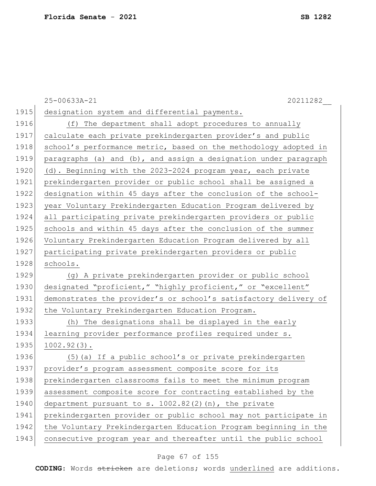|      | 20211282<br>25-00633A-21                                         |
|------|------------------------------------------------------------------|
| 1915 | designation system and differential payments.                    |
| 1916 | (f) The department shall adopt procedures to annually            |
| 1917 | calculate each private prekindergarten provider's and public     |
| 1918 | school's performance metric, based on the methodology adopted in |
| 1919 | paragraphs (a) and (b), and assign a designation under paragraph |
| 1920 | (d). Beginning with the 2023-2024 program year, each private     |
| 1921 | prekindergarten provider or public school shall be assigned a    |
| 1922 | designation within 45 days after the conclusion of the school-   |
| 1923 | year Voluntary Prekindergarten Education Program delivered by    |
| 1924 | all participating private prekindergarten providers or public    |
| 1925 | schools and within 45 days after the conclusion of the summer    |
| 1926 | Voluntary Prekindergarten Education Program delivered by all     |
| 1927 | participating private prekindergarten providers or public        |
| 1928 | schools.                                                         |
| 1929 | (g) A private prekindergarten provider or public school          |
| 1930 | designated "proficient," "highly proficient," or "excellent"     |
| 1931 | demonstrates the provider's or school's satisfactory delivery of |
| 1932 | the Voluntary Prekindergarten Education Program.                 |
| 1933 | (h) The designations shall be displayed in the early             |
| 1934 | learning provider performance profiles required under s.         |
| 1935 | $1002.92(3)$ .                                                   |
| 1936 | (5) (a) If a public school's or private prekindergarten          |
| 1937 | provider's program assessment composite score for its            |
| 1938 | prekindergarten classrooms fails to meet the minimum program     |
| 1939 | assessment composite score for contracting established by the    |
| 1940 | department pursuant to s. 1002.82(2)(n), the private             |
| 1941 | prekindergarten provider or public school may not participate in |
| 1942 | the Voluntary Prekindergarten Education Program beginning in the |
| 1943 | consecutive program year and thereafter until the public school  |

# Page 67 of 155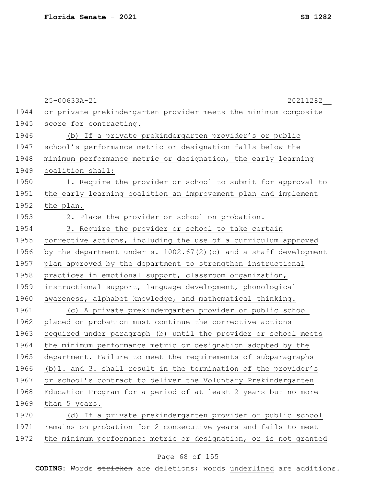|      | 25-00633A-21<br>20211282                                          |
|------|-------------------------------------------------------------------|
| 1944 | or private prekindergarten provider meets the minimum composite   |
| 1945 | score for contracting.                                            |
| 1946 | (b) If a private prekindergarten provider's or public             |
| 1947 | school's performance metric or designation falls below the        |
| 1948 | minimum performance metric or designation, the early learning     |
| 1949 | coalition shall:                                                  |
| 1950 | 1. Require the provider or school to submit for approval to       |
| 1951 | the early learning coalition an improvement plan and implement    |
| 1952 | the plan.                                                         |
| 1953 | 2. Place the provider or school on probation.                     |
| 1954 | 3. Require the provider or school to take certain                 |
| 1955 | corrective actions, including the use of a curriculum approved    |
| 1956 | by the department under s. 1002.67(2) (c) and a staff development |
| 1957 | plan approved by the department to strengthen instructional       |
| 1958 | practices in emotional support, classroom organization,           |
| 1959 | instructional support, language development, phonological         |
| 1960 | awareness, alphabet knowledge, and mathematical thinking.         |
| 1961 | (c) A private prekindergarten provider or public school           |
| 1962 | placed on probation must continue the corrective actions          |
| 1963 | required under paragraph (b) until the provider or school meets   |
| 1964 | the minimum performance metric or designation adopted by the      |
| 1965 | department. Failure to meet the requirements of subparagraphs     |
| 1966 | (b) 1. and 3. shall result in the termination of the provider's   |
| 1967 | or school's contract to deliver the Voluntary Prekindergarten     |
| 1968 | Education Program for a period of at least 2 years but no more    |
| 1969 | than 5 years.                                                     |
| 1970 | (d) If a private prekindergarten provider or public school        |
| 1971 | remains on probation for 2 consecutive years and fails to meet    |
| 1972 | the minimum performance metric or designation, or is not granted  |
|      |                                                                   |

# Page 68 of 155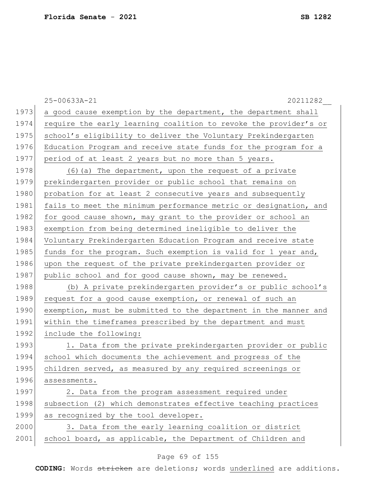|      | 25-00633A-21<br>20211282                                         |
|------|------------------------------------------------------------------|
| 1973 | a good cause exemption by the department, the department shall   |
| 1974 | require the early learning coalition to revoke the provider's or |
| 1975 | school's eligibility to deliver the Voluntary Prekindergarten    |
| 1976 | Education Program and receive state funds for the program for a  |
| 1977 | period of at least 2 years but no more than 5 years.             |
| 1978 | (6) (a) The department, upon the request of a private            |
| 1979 | prekindergarten provider or public school that remains on        |
| 1980 | probation for at least 2 consecutive years and subsequently      |
| 1981 | fails to meet the minimum performance metric or designation, and |
| 1982 | for good cause shown, may grant to the provider or school an     |
| 1983 | exemption from being determined ineligible to deliver the        |
| 1984 | Voluntary Prekindergarten Education Program and receive state    |
| 1985 | funds for the program. Such exemption is valid for 1 year and,   |
| 1986 | upon the request of the private prekindergarten provider or      |
| 1987 | public school and for good cause shown, may be renewed.          |
| 1988 | (b) A private prekindergarten provider's or public school's      |
| 1989 | request for a good cause exemption, or renewal of such an        |
| 1990 | exemption, must be submitted to the department in the manner and |
| 1991 | within the timeframes prescribed by the department and must      |
| 1992 | include the following:                                           |
| 1993 | 1. Data from the private prekindergarten provider or public      |
| 1994 | school which documents the achievement and progress of the       |
| 1995 | children served, as measured by any required screenings or       |
| 1996 | assessments.                                                     |
| 1997 | 2. Data from the program assessment required under               |
| 1998 | subsection (2) which demonstrates effective teaching practices   |
| 1999 | as recognized by the tool developer.                             |
| 2000 | 3. Data from the early learning coalition or district            |
| 2001 | school board, as applicable, the Department of Children and      |

# Page 69 of 155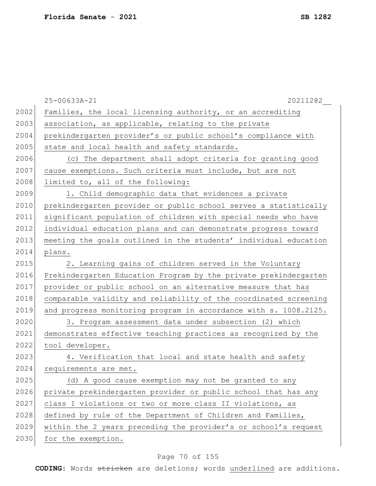|      | 25-00633A-21<br>20211282                                         |
|------|------------------------------------------------------------------|
| 2002 | Families, the local licensing authority, or an accrediting       |
| 2003 | association, as applicable, relating to the private              |
| 2004 | prekindergarten provider's or public school's compliance with    |
| 2005 | state and local health and safety standards.                     |
| 2006 | (c) The department shall adopt criteria for granting good        |
| 2007 | cause exemptions. Such criteria must include, but are not        |
| 2008 | limited to, all of the following:                                |
| 2009 | 1. Child demographic data that evidences a private               |
| 2010 | prekindergarten provider or public school serves a statistically |
| 2011 | significant population of children with special needs who have   |
| 2012 | individual education plans and can demonstrate progress toward   |
| 2013 | meeting the goals outlined in the students' individual education |
| 2014 | plans.                                                           |
| 2015 | 2. Learning gains of children served in the Voluntary            |
| 2016 | Prekindergarten Education Program by the private prekindergarten |
| 2017 | provider or public school on an alternative measure that has     |
| 2018 | comparable validity and reliability of the coordinated screening |
| 2019 | and progress monitoring program in accordance with s. 1008.2125. |
| 2020 | 3. Program assessment data under subsection (2) which            |
| 2021 | demonstrates effective teaching practices as recognized by the   |
| 2022 | tool developer.                                                  |
| 2023 | 4. Verification that local and state health and safety           |
| 2024 | requirements are met.                                            |
| 2025 | (d) A good cause exemption may not be granted to any             |
| 2026 | private prekindergarten provider or public school that has any   |
| 2027 | class I violations or two or more class II violations, as        |
| 2028 | defined by rule of the Department of Children and Families,      |
| 2029 | within the 2 years preceding the provider's or school's request  |
| 2030 | for the exemption.                                               |

# Page 70 of 155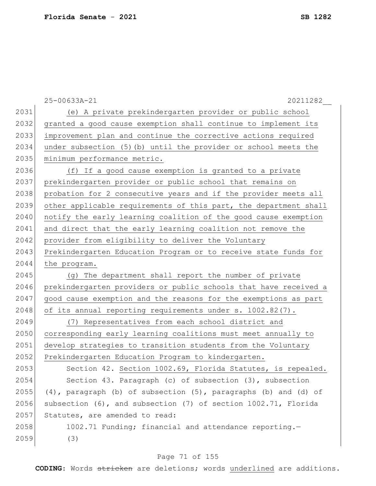|      | 25-00633A-21<br>20211282                                              |
|------|-----------------------------------------------------------------------|
| 2031 | (e) A private prekindergarten provider or public school               |
| 2032 | granted a good cause exemption shall continue to implement its        |
| 2033 | improvement plan and continue the corrective actions required         |
| 2034 | under subsection (5) (b) until the provider or school meets the       |
| 2035 | minimum performance metric.                                           |
| 2036 | (f) If a good cause exemption is granted to a private                 |
| 2037 | prekindergarten provider or public school that remains on             |
| 2038 | probation for 2 consecutive years and if the provider meets all       |
| 2039 | other applicable requirements of this part, the department shall      |
| 2040 | notify the early learning coalition of the good cause exemption       |
| 2041 | and direct that the early learning coalition not remove the           |
| 2042 | provider from eligibility to deliver the Voluntary                    |
| 2043 | Prekindergarten Education Program or to receive state funds for       |
| 2044 | the program.                                                          |
| 2045 | The department shall report the number of private<br>(g)              |
| 2046 | prekindergarten providers or public schools that have received a      |
| 2047 | good cause exemption and the reasons for the exemptions as part       |
| 2048 | of its annual reporting requirements under s. 1002.82(7).             |
| 2049 | (7) Representatives from each school district and                     |
| 2050 | corresponding early learning coalitions must meet annually to         |
| 2051 | develop strategies to transition students from the Voluntary          |
| 2052 | Prekindergarten Education Program to kindergarten.                    |
| 2053 | Section 42. Section 1002.69, Florida Statutes, is repealed.           |
| 2054 | Section 43. Paragraph (c) of subsection (3), subsection               |
| 2055 | $(4)$ , paragraph (b) of subsection $(5)$ , paragraphs (b) and (d) of |
| 2056 | subsection (6), and subsection (7) of section 1002.71, Florida        |
| 2057 | Statutes, are amended to read:                                        |
| 2058 | 1002.71 Funding; financial and attendance reporting.-                 |
| 2059 | (3)                                                                   |

# Page 71 of 155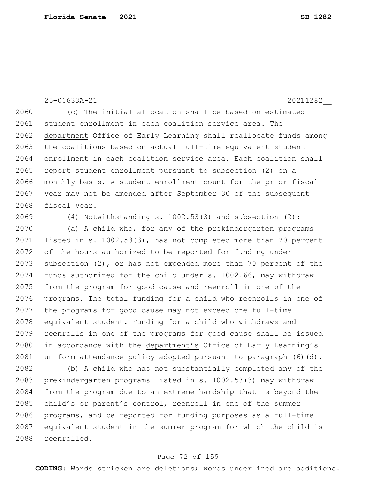25-00633A-21 20211282\_\_ 2060 (c) The initial allocation shall be based on estimated 2061 student enrollment in each coalition service area. The 2062 department Office of Early Learning shall reallocate funds among 2063 the coalitions based on actual full-time equivalent student 2064 enrollment in each coalition service area. Each coalition shall 2065 report student enrollment pursuant to subsection (2) on a 2066 monthly basis. A student enrollment count for the prior fiscal 2067 year may not be amended after September 30 of the subsequent 2068 fiscal year. 2069 (4) Notwithstanding s. 1002.53(3) and subsection (2): 2070 (a) A child who, for any of the prekindergarten programs 2071 listed in s. 1002.53(3), has not completed more than 70 percent

2072 of the hours authorized to be reported for funding under 2073 subsection  $(2)$ , or has not expended more than 70 percent of the 2074 funds authorized for the child under s. 1002.66, may withdraw 2075 from the program for good cause and reenroll in one of the 2076 programs. The total funding for a child who reenrolls in one of 2077 the programs for good cause may not exceed one full-time 2078 equivalent student. Funding for a child who withdraws and 2079 reenrolls in one of the programs for good cause shall be issued 2080 in accordance with the department's Office of Early Learning's 2081 uniform attendance policy adopted pursuant to paragraph  $(6)(d)$ .

2082 (b) A child who has not substantially completed any of the 2083 prekindergarten programs listed in s. 1002.53(3) may withdraw 2084 from the program due to an extreme hardship that is beyond the 2085 child's or parent's control, reenroll in one of the summer 2086 programs, and be reported for funding purposes as a full-time 2087 equivalent student in the summer program for which the child is 2088 reenrolled.

### Page 72 of 155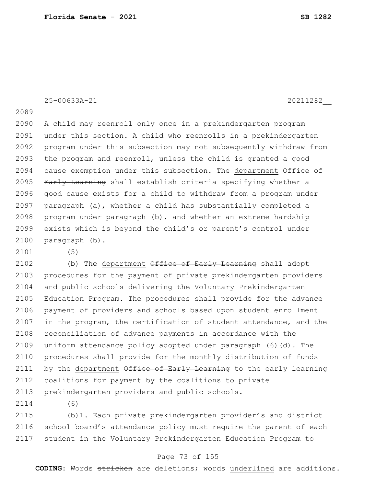25-00633A-21 20211282\_\_

2089

2090 A child may reenroll only once in a prekindergarten program 2091 under this section. A child who reenrolls in a prekindergarten 2092 program under this subsection may not subsequently withdraw from  $2093$  the program and reenroll, unless the child is granted a good 2094 cause exemption under this subsection. The department Office of 2095 Early Learning shall establish criteria specifying whether a 2096 good cause exists for a child to withdraw from a program under 2097 paragraph (a), whether a child has substantially completed a  $2098$  program under paragraph (b), and whether an extreme hardship 2099 exists which is beyond the child's or parent's control under 2100 paragraph (b).

2101 (5)

2102 (b) The department  $\theta$ ffice of Early Learning shall adopt 2103 procedures for the payment of private prekindergarten providers 2104 and public schools delivering the Voluntary Prekindergarten 2105 Education Program. The procedures shall provide for the advance 2106 payment of providers and schools based upon student enrollment 2107 in the program, the certification of student attendance, and the 2108 reconciliation of advance payments in accordance with the 2109 uniform attendance policy adopted under paragraph (6)(d). The 2110 procedures shall provide for the monthly distribution of funds 2111 by the department  $\theta$ ffice of Early Learning to the early learning 2112 coalitions for payment by the coalitions to private 2113 prekindergarten providers and public schools.

2114 (6)

2115 (b)1. Each private prekindergarten provider's and district 2116 school board's attendance policy must require the parent of each 2117 student in the Voluntary Prekindergarten Education Program to

#### Page 73 of 155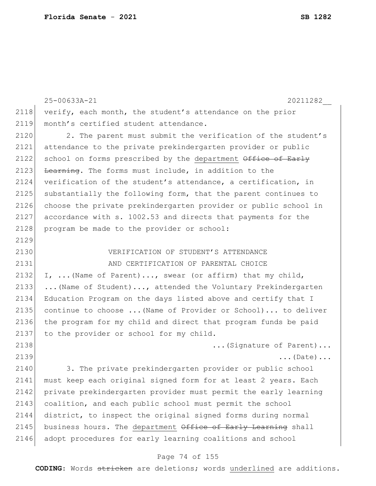|      | 25-00633A-21<br>20211282                                        |
|------|-----------------------------------------------------------------|
| 2118 | verify, each month, the student's attendance on the prior       |
| 2119 | month's certified student attendance.                           |
| 2120 | 2. The parent must submit the verification of the student's     |
| 2121 | attendance to the private prekindergarten provider or public    |
| 2122 | school on forms prescribed by the department Office of Early    |
| 2123 | Learning. The forms must include, in addition to the            |
| 2124 | verification of the student's attendance, a certification, in   |
| 2125 | substantially the following form, that the parent continues to  |
| 2126 | choose the private prekindergarten provider or public school in |
| 2127 | accordance with s. 1002.53 and directs that payments for the    |
| 2128 | program be made to the provider or school:                      |
| 2129 |                                                                 |
| 2130 | VERIFICATION OF STUDENT'S ATTENDANCE                            |
| 2131 | AND CERTIFICATION OF PARENTAL CHOICE                            |
| 2132 | I,  (Name of Parent), swear (or affirm) that my child,          |
| 2133 | (Name of Student), attended the Voluntary Prekindergarten       |
| 2134 | Education Program on the days listed above and certify that I   |
| 2135 | continue to choose  (Name of Provider or School) to deliver     |
| 2136 | the program for my child and direct that program funds be paid  |
| 2137 | to the provider or school for my child.                         |
| 2138 | (Signature of Parent)                                           |
| 2139 | $\ldots$ (Date) $\ldots$                                        |
| 2140 | 3. The private prekindergarten provider or public school        |
| 2141 | must keep each original signed form for at least 2 years. Each  |
| 2142 | private prekindergarten provider must permit the early learning |
| 2143 | coalition, and each public school must permit the school        |
| 2144 | district, to inspect the original signed forms during normal    |
| 2145 | business hours. The department Office of Early Learning shall   |
| 2146 | adopt procedures for early learning coalitions and school       |

# Page 74 of 155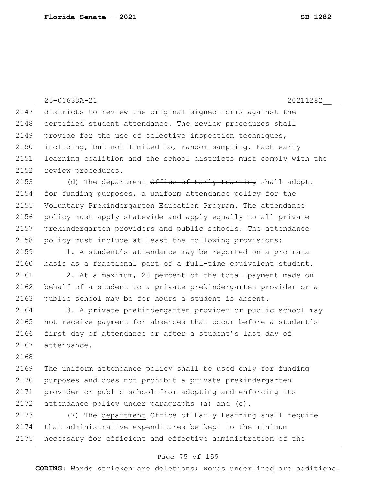|      | 25-00633A-21<br>20211282                                         |
|------|------------------------------------------------------------------|
| 2147 | districts to review the original signed forms against the        |
| 2148 | certified student attendance. The review procedures shall        |
| 2149 | provide for the use of selective inspection techniques,          |
| 2150 | including, but not limited to, random sampling. Each early       |
| 2151 | learning coalition and the school districts must comply with the |
| 2152 | review procedures.                                               |
| 2153 | (d) The department Office of Early Learning shall adopt,         |
| 2154 | for funding purposes, a uniform attendance policy for the        |
| 2155 | Voluntary Prekindergarten Education Program. The attendance      |
| 2156 | policy must apply statewide and apply equally to all private     |
| 2157 | prekindergarten providers and public schools. The attendance     |
| 2158 | policy must include at least the following provisions:           |
| 2159 | 1. A student's attendance may be reported on a pro rata          |
| 2160 | basis as a fractional part of a full-time equivalent student.    |
| 2161 | 2. At a maximum, 20 percent of the total payment made on         |
| 2162 | behalf of a student to a private prekindergarten provider or a   |
| 2163 | public school may be for hours a student is absent.              |
| 2164 | 3. A private prekindergarten provider or public school may       |
| 2165 | not receive payment for absences that occur before a student's   |
| 2166 | first day of attendance or after a student's last day of         |
| 2167 | attendance.                                                      |
| 2168 |                                                                  |
| 2169 | The uniform attendance policy shall be used only for funding     |
| 2170 | purposes and does not prohibit a private prekindergarten         |
| 2171 | provider or public school from adopting and enforcing its        |
| 2172 | attendance policy under paragraphs (a) and (c).                  |
| 2173 | (7) The department Office of Early Learning shall require        |
| 2174 | that administrative expenditures be kept to the minimum          |
| 2175 | necessary for efficient and effective administration of the      |
|      | Page 75 of 155                                                   |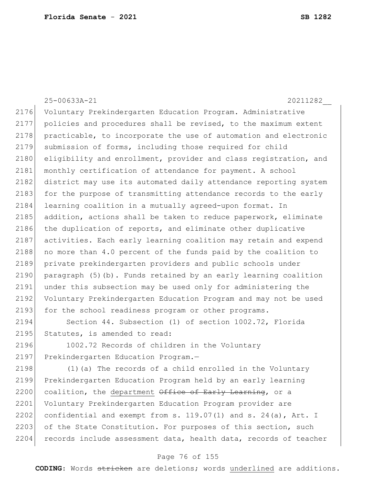25-00633A-21 20211282\_\_ 2176 Voluntary Prekindergarten Education Program. Administrative 2177 policies and procedures shall be revised, to the maximum extent 2178 practicable, to incorporate the use of automation and electronic 2179 submission of forms, including those required for child 2180 eligibility and enrollment, provider and class registration, and 2181 monthly certification of attendance for payment. A school 2182 district may use its automated daily attendance reporting system 2183 for the purpose of transmitting attendance records to the early 2184 learning coalition in a mutually agreed-upon format. In 2185 addition, actions shall be taken to reduce paperwork, eliminate  $2186$  the duplication of reports, and eliminate other duplicative 2187 activities. Each early learning coalition may retain and expend 2188 no more than 4.0 percent of the funds paid by the coalition to 2189 private prekindergarten providers and public schools under 2190 paragraph  $(5)$  (b). Funds retained by an early learning coalition 2191 under this subsection may be used only for administering the 2192 Voluntary Prekindergarten Education Program and may not be used 2193 for the school readiness program or other programs. 2194 Section 44. Subsection (1) of section 1002.72, Florida 2195 Statutes, is amended to read: 2196 1002.72 Records of children in the Voluntary 2197 Prekindergarten Education Program.-2198 (1)(a) The records of a child enrolled in the Voluntary 2199 Prekindergarten Education Program held by an early learning

2201 Voluntary Prekindergarten Education Program provider are 2202 confidential and exempt from s.  $119.07(1)$  and s.  $24(a)$ , Art. I 2203 of the State Constitution. For purposes of this section, such 2204 records include assessment data, health data, records of teacher

2200 coalition, the department Office of Early Learning, or a

#### Page 76 of 155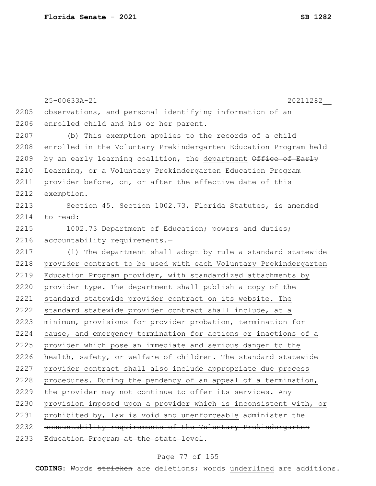|      | 25-00633A-21<br>20211282                                         |
|------|------------------------------------------------------------------|
| 2205 | observations, and personal identifying information of an         |
| 2206 | enrolled child and his or her parent.                            |
| 2207 | (b) This exemption applies to the records of a child             |
| 2208 | enrolled in the Voluntary Prekindergarten Education Program held |
| 2209 | by an early learning coalition, the department Office of Early   |
| 2210 | Learning, or a Voluntary Prekindergarten Education Program       |
| 2211 | provider before, on, or after the effective date of this         |
| 2212 | exemption.                                                       |
| 2213 | Section 45. Section 1002.73, Florida Statutes, is amended        |
| 2214 | to read:                                                         |
| 2215 | 1002.73 Department of Education; powers and duties;              |
| 2216 | accountability requirements.-                                    |
| 2217 | (1) The department shall adopt by rule a standard statewide      |
| 2218 | provider contract to be used with each Voluntary Prekindergarten |
| 2219 | Education Program provider, with standardized attachments by     |
| 2220 | provider type. The department shall publish a copy of the        |
| 2221 | standard statewide provider contract on its website. The         |
| 2222 | standard statewide provider contract shall include, at a         |
| 2223 | minimum, provisions for provider probation, termination for      |
| 2224 | cause, and emergency termination for actions or inactions of a   |
| 2225 | provider which pose an immediate and serious danger to the       |
| 2226 | health, safety, or welfare of children. The standard statewide   |
| 2227 | provider contract shall also include appropriate due process     |
| 2228 | procedures. During the pendency of an appeal of a termination,   |
| 2229 | the provider may not continue to offer its services. Any         |
| 2230 | provision imposed upon a provider which is inconsistent with, or |
| 2231 | prohibited by, law is void and unenforceable administer the      |
| 2232 | accountability requirements of the Voluntary Prekindergarten     |
| 2233 | Education Program at the state level.                            |

# Page 77 of 155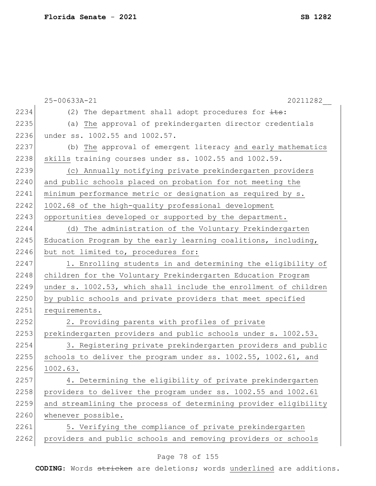| 2234<br>(2) The department shall adopt procedures for $\frac{1}{1+s}$ :  |  |
|--------------------------------------------------------------------------|--|
|                                                                          |  |
| 2235<br>(a) The approval of prekindergarten director credentials         |  |
| 2236<br>under ss. 1002.55 and 1002.57.                                   |  |
| 2237<br>(b) The approval of emergent literacy and early mathematics      |  |
| 2238<br>skills training courses under ss. 1002.55 and 1002.59.           |  |
| 2239<br>(c) Annually notifying private prekindergarten providers         |  |
| 2240<br>and public schools placed on probation for not meeting the       |  |
| 2241<br>minimum performance metric or designation as required by s.      |  |
| 2242<br>1002.68 of the high-quality professional development             |  |
| 2243<br>opportunities developed or supported by the department.          |  |
| 2244<br>(d) The administration of the Voluntary Prekindergarten          |  |
| 2245<br>Education Program by the early learning coalitions, including,   |  |
| 2246<br>but not limited to, procedures for:                              |  |
| 2247<br>1. Enrolling students in and determining the eligibility of      |  |
| 2248<br>children for the Voluntary Prekindergarten Education Program     |  |
| 2249<br>under s. 1002.53, which shall include the enrollment of children |  |
| 2250<br>by public schools and private providers that meet specified      |  |
| 2251<br>requirements.                                                    |  |
| 2252<br>2. Providing parents with profiles of private                    |  |
| 2253<br>prekindergarten providers and public schools under s. 1002.53.   |  |
| 2254<br>3. Registering private prekindergarten providers and public      |  |
| 2255<br>schools to deliver the program under ss. 1002.55, 1002.61, and   |  |
| 2256<br>1002.63.                                                         |  |
| 2257<br>4. Determining the eligibility of private prekindergarten        |  |
| 2258<br>providers to deliver the program under ss. 1002.55 and 1002.61   |  |
| 2259<br>and streamlining the process of determining provider eligibility |  |
| 2260<br>whenever possible.                                               |  |
| 2261<br>5. Verifying the compliance of private prekindergarten           |  |
| 2262<br>providers and public schools and removing providers or schools   |  |

# Page 78 of 155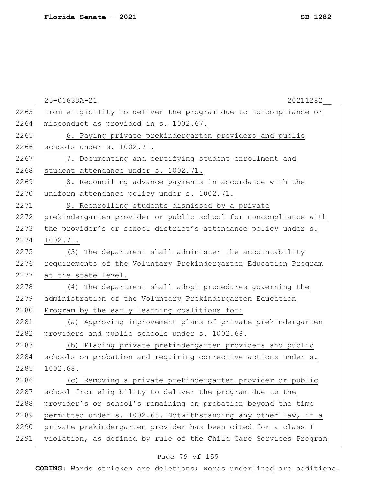|      | 25-00633A-21<br>20211282                                         |
|------|------------------------------------------------------------------|
| 2263 | from eligibility to deliver the program due to noncompliance or  |
| 2264 | misconduct as provided in s. 1002.67.                            |
| 2265 | 6. Paying private prekindergarten providers and public           |
| 2266 | schools under s. 1002.71.                                        |
| 2267 | 7. Documenting and certifying student enrollment and             |
| 2268 | student attendance under s. 1002.71.                             |
| 2269 | 8. Reconciling advance payments in accordance with the           |
| 2270 | uniform attendance policy under s. 1002.71.                      |
| 2271 | 9. Reenrolling students dismissed by a private                   |
| 2272 | prekindergarten provider or public school for noncompliance with |
| 2273 | the provider's or school district's attendance policy under s.   |
| 2274 | 1002.71.                                                         |
| 2275 | The department shall administer the accountability<br>(3)        |
| 2276 | requirements of the Voluntary Prekindergarten Education Program  |
| 2277 | at the state level.                                              |
| 2278 | (4) The department shall adopt procedures governing the          |
| 2279 | administration of the Voluntary Prekindergarten Education        |
| 2280 | Program by the early learning coalitions for:                    |
| 2281 | (a) Approving improvement plans of private prekindergarten       |
| 2282 | providers and public schools under s. 1002.68.                   |
| 2283 | (b) Placing private prekindergarten providers and public         |
| 2284 | schools on probation and requiring corrective actions under s.   |
| 2285 | 1002.68.                                                         |
| 2286 | (c) Removing a private prekindergarten provider or public        |
| 2287 | school from eligibility to deliver the program due to the        |
| 2288 | provider's or school's remaining on probation beyond the time    |
| 2289 | permitted under s. 1002.68. Notwithstanding any other law, if a  |
| 2290 | private prekindergarten provider has been cited for a class I    |
| 2291 | violation, as defined by rule of the Child Care Services Program |

# Page 79 of 155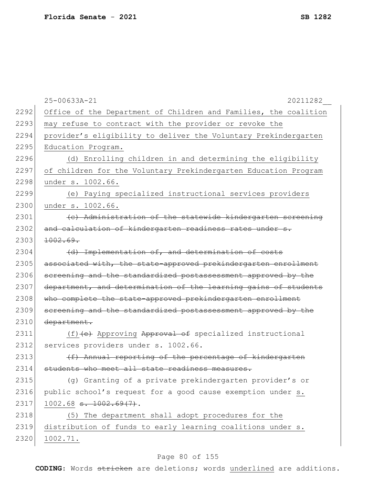|      | 25-00633A-21<br>20211282                                         |
|------|------------------------------------------------------------------|
| 2292 | Office of the Department of Children and Families, the coalition |
| 2293 | may refuse to contract with the provider or revoke the           |
| 2294 | provider's eligibility to deliver the Voluntary Prekindergarten  |
| 2295 | Education Program.                                               |
| 2296 | (d) Enrolling children in and determining the eligibility        |
| 2297 | of children for the Voluntary Prekindergarten Education Program  |
| 2298 | under s. 1002.66.                                                |
| 2299 | (e) Paying specialized instructional services providers          |
| 2300 | under s. 1002.66.                                                |
| 2301 | (c) Administration of the statewide kindergarten screening       |
| 2302 | and calculation of kindergarten readiness rates under s.         |
| 2303 | 1002.69.                                                         |
| 2304 | (d) Implementation of, and determination of costs                |
| 2305 | associated with, the state-approved prekindergarten enrollment   |
| 2306 | screening and the standardized postassessment approved by the    |
| 2307 | department, and determination of the learning gains of students  |
| 2308 | who complete the state-approved prekindergarten enrollment       |
| 2309 | screening and the standardized postassessment approved by the    |
| 2310 | department.                                                      |
| 2311 | (f) (e) Approving Approval of specialized instructional          |
| 2312 | services providers under s. 1002.66.                             |
| 2313 | (f) Annual reporting of the percentage of kindergarten           |
| 2314 | students who meet all state readiness measures.                  |
| 2315 | (g) Granting of a private prekindergarten provider's or          |
| 2316 | public school's request for a good cause exemption under s.      |
| 2317 | $1002.68$ s. $1002.69(7)$ .                                      |
| 2318 | (5) The department shall adopt procedures for the                |
| 2319 | distribution of funds to early learning coalitions under s.      |
| 2320 | 1002.71.                                                         |

# Page 80 of 155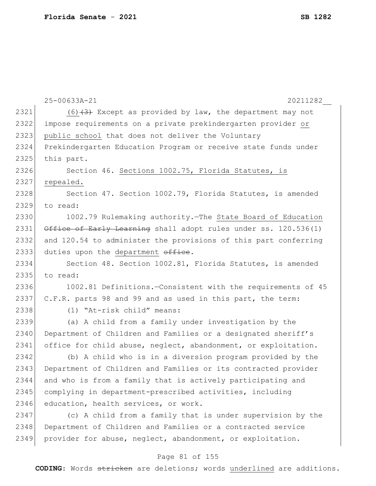|      | 20211282<br>25-00633A-21                                        |
|------|-----------------------------------------------------------------|
| 2321 | $(6)$ $(3)$ Except as provided by law, the department may not   |
| 2322 | impose requirements on a private prekindergarten provider or    |
| 2323 | public school that does not deliver the Voluntary               |
| 2324 | Prekindergarten Education Program or receive state funds under  |
| 2325 | this part.                                                      |
| 2326 | Section 46. Sections 1002.75, Florida Statutes, is              |
| 2327 | repealed.                                                       |
| 2328 | Section 47. Section 1002.79, Florida Statutes, is amended       |
| 2329 | to read:                                                        |
| 2330 | 1002.79 Rulemaking authority. The State Board of Education      |
| 2331 | Office of Early Learning shall adopt rules under ss. 120.536(1) |
| 2332 | and 120.54 to administer the provisions of this part conferring |
| 2333 | duties upon the department office.                              |
| 2334 | Section 48. Section 1002.81, Florida Statutes, is amended       |
| 2335 | to read:                                                        |
| 2336 | 1002.81 Definitions.-Consistent with the requirements of 45     |
| 2337 | C.F.R. parts 98 and 99 and as used in this part, the term:      |
| 2338 | (1) "At-risk child" means:                                      |
| 2339 | (a) A child from a family under investigation by the            |
| 2340 | Department of Children and Families or a designated sheriff's   |
| 2341 | office for child abuse, neglect, abandonment, or exploitation.  |
| 2342 | (b) A child who is in a diversion program provided by the       |
| 2343 | Department of Children and Families or its contracted provider  |
| 2344 | and who is from a family that is actively participating and     |
| 2345 | complying in department-prescribed activities, including        |
| 2346 | education, health services, or work.                            |
| 2347 | (c) A child from a family that is under supervision by the      |
| 2348 | Department of Children and Families or a contracted service     |
| 2349 | provider for abuse, neglect, abandonment, or exploitation.      |
|      |                                                                 |

# Page 81 of 155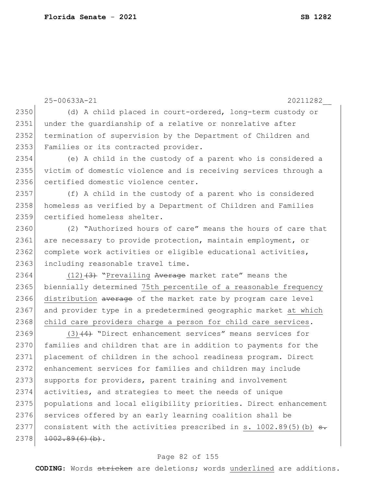2351 under the quardianship of a relative or nonrelative after 2352 termination of supervision by the Department of Children and 2353 Families or its contracted provider. 2354 (e) A child in the custody of a parent who is considered a 2355 victim of domestic violence and is receiving services through a 2356 certified domestic violence center. 2357 (f) A child in the custody of a parent who is considered 2358 homeless as verified by a Department of Children and Families 2359 certified homeless shelter. 2360 (2) "Authorized hours of care" means the hours of care that 2361 are necessary to provide protection, maintain employment, or 2362 complete work activities or eligible educational activities, 2363 including reasonable travel time. 2364 (12) $(3)$  "Prevailing Average market rate" means the 2365 biennially determined 75th percentile of a reasonable frequency 2366 distribution average of the market rate by program care level 2367 and provider type in a predetermined geographic market at which 2368 child care providers charge a person for child care services. 2369  $(3)$   $(4)$  "Direct enhancement services" means services for 2370 families and children that are in addition to payments for the 2371 placement of children in the school readiness program. Direct 2372 enhancement services for families and children may include 2373 supports for providers, parent training and involvement 2374 activities, and strategies to meet the needs of unique 2375 populations and local eligibility priorities. Direct enhancement 2376 services offered by an early learning coalition shall be 2377 consistent with the activities prescribed in s.  $1002.89(5)$  (b)  $\leftrightarrow$  $2378$   $1002.89(6)$  (b).

25-00633A-21 20211282\_\_

2350 (d) A child placed in court-ordered, long-term custody or

#### Page 82 of 155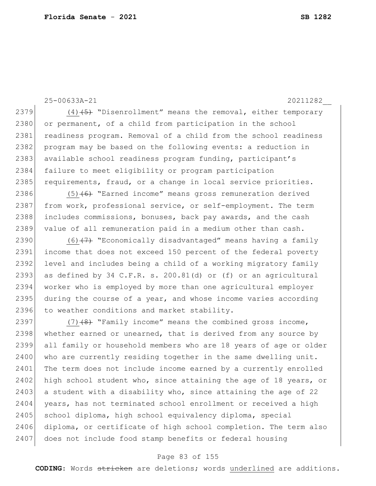25-00633A-21 20211282\_\_

2379  $(4)$   $\leftrightarrow$  "Disenrollment" means the removal, either temporary 2380 or permanent, of a child from participation in the school 2381 readiness program. Removal of a child from the school readiness 2382 program may be based on the following events: a reduction in 2383 available school readiness program funding, participant's 2384 failure to meet eligibility or program participation 2385 requirements, fraud, or a change in local service priorities.

2386  $(5)$  (6) "Earned income" means gross remuneration derived 2387 from work, professional service, or self-employment. The term 2388 includes commissions, bonuses, back pay awards, and the cash 2389 value of all remuneration paid in a medium other than cash.

2390  $(6)$   $(7)$  "Economically disadvantaged" means having a family 2391 income that does not exceed 150 percent of the federal poverty 2392 level and includes being a child of a working migratory family 2393 as defined by 34 C.F.R. s. 200.81(d) or (f) or an agricultural 2394 worker who is employed by more than one agricultural employer 2395 during the course of a year, and whose income varies according 2396 to weather conditions and market stability.

2397  $(7)$   $(8)$  "Family income" means the combined gross income, 2398 whether earned or unearned, that is derived from any source by 2399 all family or household members who are 18 years of age or older 2400 who are currently residing together in the same dwelling unit. 2401 The term does not include income earned by a currently enrolled 2402 high school student who, since attaining the age of 18 years, or 2403 a student with a disability who, since attaining the age of 22 2404 years, has not terminated school enrollment or received a high 2405 school diploma, high school equivalency diploma, special 2406 diploma, or certificate of high school completion. The term also 2407 does not include food stamp benefits or federal housing

#### Page 83 of 155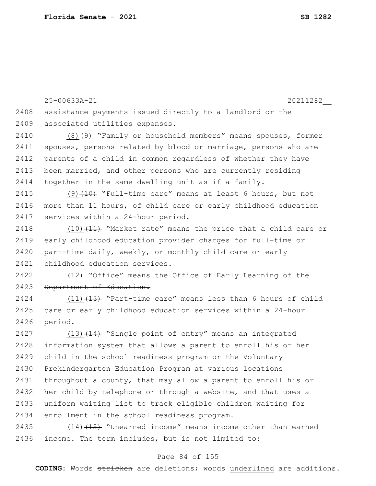25-00633A-21 20211282\_\_ 2408 assistance payments issued directly to a landlord or the 2409 associated utilities expenses. 2410  $(8)$   $(9)$  "Family or household members" means spouses, former 2411 spouses, persons related by blood or marriage, persons who are 2412 parents of a child in common regardless of whether they have 2413 been married, and other persons who are currently residing 2414 together in the same dwelling unit as if a family. 2415 (9)  $(10)$  "Full-time care" means at least 6 hours, but not 2416 more than 11 hours, of child care or early childhood education 2417 services within a 24-hour period. 2418  $(10)$   $(11)$  "Market rate" means the price that a child care or 2419 early childhood education provider charges for full-time or 2420 part-time daily, weekly, or monthly child care or early 2421 childhood education services.  $2422$  (12) "Office" means the Office of Early Learning of the 2423 Department of Education. 2424  $(11)$   $(13)$  "Part-time care" means less than 6 hours of child 2425 care or early childhood education services within a 24-hour 2426 period. 2427 (13)  $(13)$   $(14)$  "Single point of entry" means an integrated 2428 information system that allows a parent to enroll his or her 2429 child in the school readiness program or the Voluntary 2430 Prekindergarten Education Program at various locations 2431 throughout a county, that may allow a parent to enroll his or 2432 her child by telephone or through a website, and that uses a 2433 uniform waiting list to track eligible children waiting for 2434 enrollment in the school readiness program. 2435  $(14)$   $(15)$  "Unearned income" means income other than earned 2436 income. The term includes, but is not limited to:

#### Page 84 of 155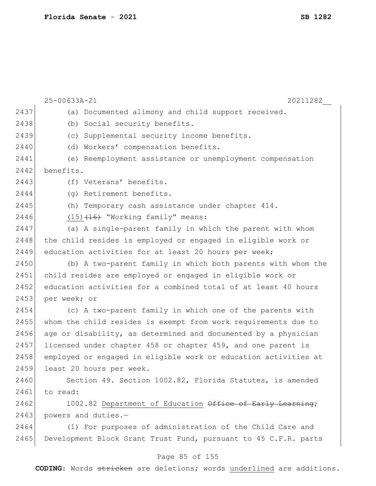|      | 25-00633A-21<br>20211282                                        |
|------|-----------------------------------------------------------------|
| 2437 | (a) Documented alimony and child support received.              |
| 2438 | Social security benefits.<br>(b)                                |
| 2439 | Supplemental security income benefits.<br>(C)                   |
| 2440 | Workers' compensation benefits.<br>(d)                          |
| 2441 | (e) Reemployment assistance or unemployment compensation        |
| 2442 | benefits.                                                       |
| 2443 | (f) Veterans' benefits.                                         |
| 2444 | (q) Retirement benefits.                                        |
| 2445 | (h) Temporary cash assistance under chapter 414.                |
| 2446 | $(15)$ $(16)$ "Working family" means:                           |
| 2447 | (a) A single-parent family in which the parent with whom        |
| 2448 | the child resides is employed or engaged in eligible work or    |
| 2449 | education activities for at least 20 hours per week;            |
| 2450 | (b) A two-parent family in which both parents with whom the     |
| 2451 | child resides are employed or engaged in eligible work or       |
| 2452 | education activities for a combined total of at least 40 hours  |
| 2453 | per week; or                                                    |
| 2454 | (c) A two-parent family in which one of the parents with        |
| 2455 | whom the child resides is exempt from work requirements due to  |
| 2456 | age or disability, as determined and documented by a physician  |
| 2457 | licensed under chapter 458 or chapter 459, and one parent is    |
| 2458 | employed or engaged in eligible work or education activities at |
| 2459 | least 20 hours per week.                                        |
| 2460 | Section 49. Section 1002.82, Florida Statutes, is amended       |
| 2461 | to read:                                                        |
| 2462 | 1002.82 Department of Education Office of Early Learning;       |
| 2463 | powers and duties.-                                             |
| 2464 | (1) For purposes of administration of the Child Care and        |
| 2465 | Development Block Grant Trust Fund, pursuant to 45 C.F.R. parts |
|      |                                                                 |

# Page 85 of 155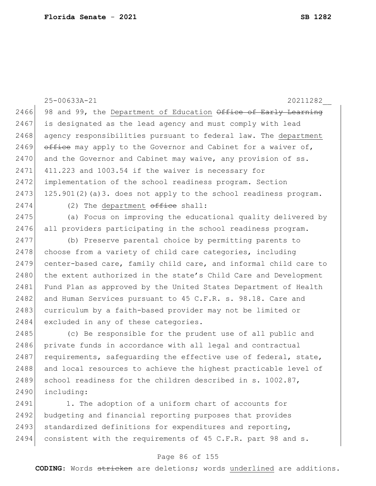|      | 25-00633A-21<br>20211282                                         |
|------|------------------------------------------------------------------|
| 2466 | 98 and 99, the Department of Education Office of Early Learning  |
| 2467 | is designated as the lead agency and must comply with lead       |
| 2468 | agency responsibilities pursuant to federal law. The department  |
| 2469 | office may apply to the Governor and Cabinet for a waiver of,    |
| 2470 | and the Governor and Cabinet may waive, any provision of ss.     |
| 2471 | 411.223 and 1003.54 if the waiver is necessary for               |
| 2472 | implementation of the school readiness program. Section          |
| 2473 | 125.901(2)(a)3. does not apply to the school readiness program.  |
| 2474 | (2) The department $\theta$ ffice shall:                         |
| 2475 | (a) Focus on improving the educational quality delivered by      |
| 2476 | all providers participating in the school readiness program.     |
| 2477 | (b) Preserve parental choice by permitting parents to            |
| 2478 | choose from a variety of child care categories, including        |
| 2479 | center-based care, family child care, and informal child care to |
| 2480 | the extent authorized in the state's Child Care and Development  |
| 2481 | Fund Plan as approved by the United States Department of Health  |
| 2482 | and Human Services pursuant to 45 C.F.R. s. 98.18. Care and      |
| 2483 | curriculum by a faith-based provider may not be limited or       |
| 2484 | excluded in any of these categories.                             |
| 2485 | (c) Be responsible for the prudent use of all public and         |
| 2486 | private funds in accordance with all legal and contractual       |
| 2487 | requirements, safequarding the effective use of federal, state,  |
| 2488 | and local resources to achieve the highest practicable level of  |
| 2489 | school readiness for the children described in s. 1002.87,       |
| 2490 | including:                                                       |
| 2491 | 1. The adoption of a uniform chart of accounts for               |
| 2492 | budgeting and financial reporting purposes that provides         |
| 2493 | standardized definitions for expenditures and reporting,         |

# consistent with the requirements of 45 C.F.R. part 98 and s.

### Page 86 of 155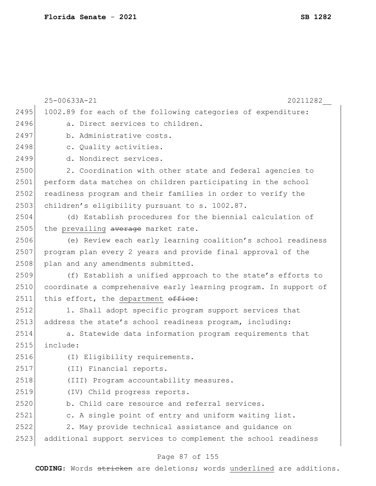|      | 25-00633A-21<br>20211282                                         |
|------|------------------------------------------------------------------|
| 2495 | 1002.89 for each of the following categories of expenditure:     |
| 2496 | a. Direct services to children.                                  |
| 2497 | b. Administrative costs.                                         |
| 2498 | c. Quality activities.                                           |
| 2499 | d. Nondirect services.                                           |
| 2500 | 2. Coordination with other state and federal agencies to         |
| 2501 | perform data matches on children participating in the school     |
| 2502 | readiness program and their families in order to verify the      |
| 2503 | children's eligibility pursuant to s. 1002.87.                   |
| 2504 | (d) Establish procedures for the biennial calculation of         |
| 2505 | the prevailing average market rate.                              |
| 2506 | (e) Review each early learning coalition's school readiness      |
| 2507 | program plan every 2 years and provide final approval of the     |
| 2508 | plan and any amendments submitted.                               |
| 2509 | (f) Establish a unified approach to the state's efforts to       |
| 2510 | coordinate a comprehensive early learning program. In support of |
| 2511 | this effort, the department office:                              |
| 2512 | 1. Shall adopt specific program support services that            |
| 2513 | address the state's school readiness program, including:         |
| 2514 | a. Statewide data information program requirements that          |
| 2515 | include:                                                         |
| 2516 | (I) Eligibility requirements.                                    |
| 2517 | (II) Financial reports.                                          |
| 2518 | (III) Program accountability measures.                           |
| 2519 | (IV) Child progress reports.                                     |
| 2520 | b. Child care resource and referral services.                    |
| 2521 | c. A single point of entry and uniform waiting list.             |
| 2522 | 2. May provide technical assistance and guidance on              |
| 2523 | additional support services to complement the school readiness   |

# Page 87 of 155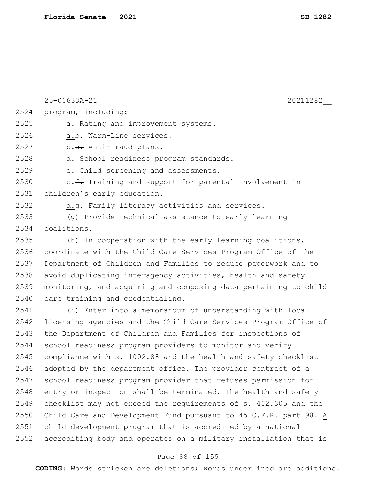|      | 25-00633A-21<br>20211282                                         |
|------|------------------------------------------------------------------|
| 2524 | program, including:                                              |
| 2525 | a. Rating and improvement systems.                               |
| 2526 | a.b. Warm-Line services.                                         |
| 2527 | b.e. Anti-fraud plans.                                           |
| 2528 | d. School readiness program standards.                           |
| 2529 | e. Child screening and assessments.                              |
| 2530 | c. f. Training and support for parental involvement in           |
| 2531 | children's early education.                                      |
| 2532 | d.g. Family literacy activities and services.                    |
| 2533 | (g) Provide technical assistance to early learning               |
| 2534 | coalitions.                                                      |
| 2535 | (h) In cooperation with the early learning coalitions,           |
| 2536 | coordinate with the Child Care Services Program Office of the    |
| 2537 | Department of Children and Families to reduce paperwork and to   |
| 2538 | avoid duplicating interagency activities, health and safety      |
| 2539 | monitoring, and acquiring and composing data pertaining to child |
| 2540 | care training and credentialing.                                 |
| 2541 | (i) Enter into a memorandum of understanding with local          |
| 2542 | licensing agencies and the Child Care Services Program Office of |
| 2543 | the Department of Children and Families for inspections of       |
| 2544 | school readiness program providers to monitor and verify         |
| 2545 | compliance with s. 1002.88 and the health and safety checklist   |
| 2546 | adopted by the department office. The provider contract of a     |
| 2547 | school readiness program provider that refuses permission for    |
| 2548 | entry or inspection shall be terminated. The health and safety   |
| 2549 | checklist may not exceed the requirements of s. 402.305 and the  |
| 2550 | Child Care and Development Fund pursuant to 45 C.F.R. part 98. A |
| 2551 | child development program that is accredited by a national       |
| 2552 | accrediting body and operates on a military installation that is |

# Page 88 of 155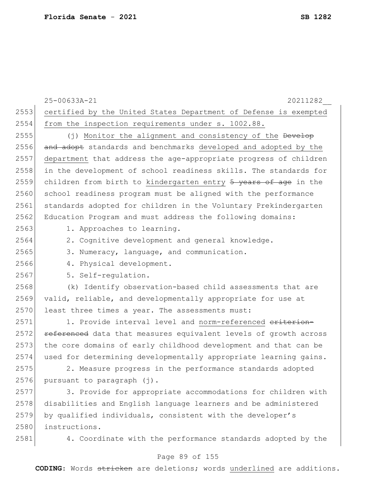|      | 25-00633A-21<br>20211282                                         |
|------|------------------------------------------------------------------|
| 2553 | certified by the United States Department of Defense is exempted |
| 2554 | from the inspection requirements under s. 1002.88.               |
| 2555 | (j) Monitor the alignment and consistency of the Develop         |
| 2556 | and adopt standards and benchmarks developed and adopted by the  |
| 2557 | department that address the age-appropriate progress of children |
| 2558 | in the development of school readiness skills. The standards for |
| 2559 | children from birth to kindergarten entry 5 years of age in the  |
| 2560 | school readiness program must be aligned with the performance    |
| 2561 | standards adopted for children in the Voluntary Prekindergarten  |
| 2562 | Education Program and must address the following domains:        |
| 2563 | 1. Approaches to learning.                                       |
| 2564 | 2. Cognitive development and general knowledge.                  |
| 2565 | 3. Numeracy, language, and communication.                        |
| 2566 | 4. Physical development.                                         |
| 2567 | 5. Self-regulation.                                              |
| 2568 | (k) Identify observation-based child assessments that are        |
| 2569 | valid, reliable, and developmentally appropriate for use at      |
| 2570 | least three times a year. The assessments must:                  |
| 2571 | 1. Provide interval level and norm-referenced criterion-         |
| 2572 | referenced data that measures equivalent levels of growth across |
| 2573 | the core domains of early childhood development and that can be  |
| 2574 | used for determining developmentally appropriate learning gains. |
| 2575 | 2. Measure progress in the performance standards adopted         |
| 2576 | pursuant to paragraph (j).                                       |
| 2577 | 3. Provide for appropriate accommodations for children with      |
| 2578 | disabilities and English language learners and be administered   |
| 2579 | by qualified individuals, consistent with the developer's        |
| 2580 | instructions.                                                    |
| 2581 | 4. Coordinate with the performance standards adopted by the      |

# Page 89 of 155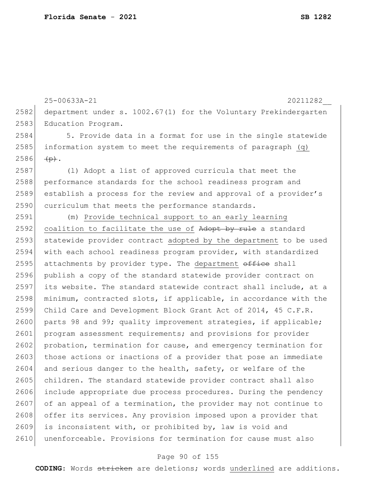25-00633A-21 20211282\_\_ 2582 department under s. 1002.67(1) for the Voluntary Prekindergarten 2583 Education Program. 2584 5. Provide data in a format for use in the single statewide 2585 information system to meet the requirements of paragraph (q)  $2586$   $\leftarrow$   $\leftarrow$   $\leftarrow$   $\leftarrow$   $\leftarrow$ 2587 (l) Adopt a list of approved curricula that meet the 2588 performance standards for the school readiness program and 2589 establish a process for the review and approval of a provider's 2590 curriculum that meets the performance standards. 2591 (m) Provide technical support to an early learning 2592 coalition to facilitate the use of  $Adopt$  by rule a standard 2593 statewide provider contract adopted by the department to be used 2594 with each school readiness program provider, with standardized 2595 attachments by provider type. The department  $\theta$ fice shall 2596 publish a copy of the standard statewide provider contract on 2597 its website. The standard statewide contract shall include, at a 2598 minimum, contracted slots, if applicable, in accordance with the 2599 Child Care and Development Block Grant Act of 2014, 45 C.F.R. 2600 parts 98 and 99; quality improvement strategies, if applicable; 2601 program assessment requirements; and provisions for provider 2602 probation, termination for cause, and emergency termination for 2603 those actions or inactions of a provider that pose an immediate 2604 and serious danger to the health, safety, or welfare of the 2605 children. The standard statewide provider contract shall also 2606 include appropriate due process procedures. During the pendency 2607 of an appeal of a termination, the provider may not continue to 2608 offer its services. Any provision imposed upon a provider that 2609 is inconsistent with, or prohibited by, law is void and 2610 unenforceable. Provisions for termination for cause must also

#### Page 90 of 155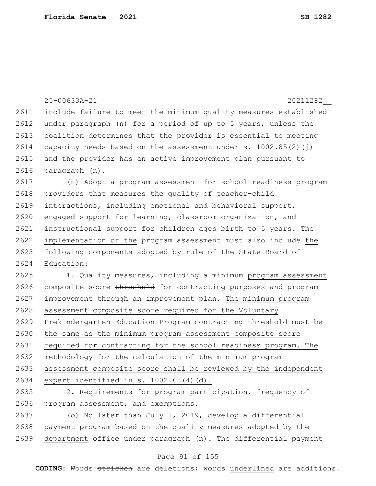|      | 25-00633A-21<br>20211282                                         |
|------|------------------------------------------------------------------|
| 2611 | include failure to meet the minimum quality measures established |
| 2612 | under paragraph (n) for a period of up to 5 years, unless the    |
| 2613 | coalition determines that the provider is essential to meeting   |
| 2614 | capacity needs based on the assessment under s. $1002.85(2)(j)$  |
| 2615 | and the provider has an active improvement plan pursuant to      |
| 2616 | paragraph (n).                                                   |
| 2617 | (n) Adopt a program assessment for school readiness program      |
| 2618 | providers that measures the quality of teacher-child             |
| 2619 | interactions, including emotional and behavioral support,        |
| 2620 | engaged support for learning, classroom organization, and        |
| 2621 | instructional support for children ages birth to 5 years. The    |
| 2622 | implementation of the program assessment must also include the   |
| 2623 | following components adopted by rule of the State Board of       |
| 2624 | Education:                                                       |
| 2625 | 1. Quality measures, including a minimum program assessment      |
| 2626 | composite score threshold for contracting purposes and program   |
| 2627 | improvement through an improvement plan. The minimum program     |
| 2628 | assessment composite score required for the Voluntary            |
| 2629 | Prekindergarten Education Program contracting threshold must be  |
| 2630 | the same as the minimum program assessment composite score       |
| 2631 | required for contracting for the school readiness program. The   |
| 2632 | methodology for the calculation of the minimum program           |
| 2633 | assessment composite score shall be reviewed by the independent  |
| 2634 | expert identified in s. 1002.68(4)(d).                           |
| 2635 | 2. Requirements for program participation, frequency of          |
| 2636 | program assessment, and exemptions.                              |
| 2637 | (o) No later than July 1, 2019, develop a differential           |
| 2638 | payment program based on the quality measures adopted by the     |
| 2639 | department office under paragraph (n). The differential payment  |

# Page 91 of 155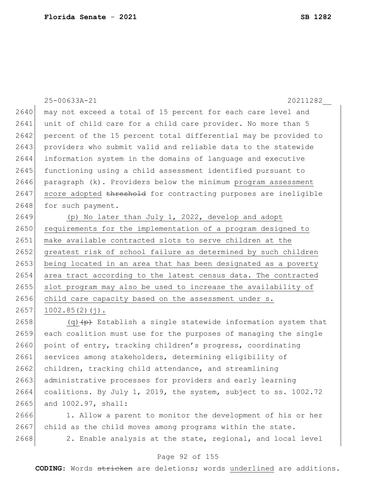25-00633A-21 20211282\_\_ 2640 may not exceed a total of 15 percent for each care level and 2641 unit of child care for a child care provider. No more than 5 2642 percent of the 15 percent total differential may be provided to 2643 providers who submit valid and reliable data to the statewide 2644 information system in the domains of language and executive 2645 functioning using a child assessment identified pursuant to  $2646$  paragraph (k). Providers below the minimum program assessment 2647 score adopted threshold for contracting purposes are ineligible 2648 for such payment. 2649 (p) No later than July 1, 2022, develop and adopt 2650 requirements for the implementation of a program designed to 2651 make available contracted slots to serve children at the 2652 greatest risk of school failure as determined by such children 2653 being located in an area that has been designated as a poverty 2654 area tract according to the latest census data. The contracted 2655 slot program may also be used to increase the availability of 2656 child care capacity based on the assessment under s.  $2657$  1002.85(2)(j). 2658  $(q)$  (q)  $(p)$  Establish a single statewide information system that 2659 each coalition must use for the purposes of managing the single 2660 point of entry, tracking children's progress, coordinating

2661 services among stakeholders, determining eligibility of 2662 children, tracking child attendance, and streamlining 2663 administrative processes for providers and early learning 2664 coalitions. By July 1, 2019, the system, subject to ss. 1002.72 2665 and 1002.97, shall:

2666 1. Allow a parent to monitor the development of his or her 2667 child as the child moves among programs within the state.

2668 2. Enable analysis at the state, regional, and local level

#### Page 92 of 155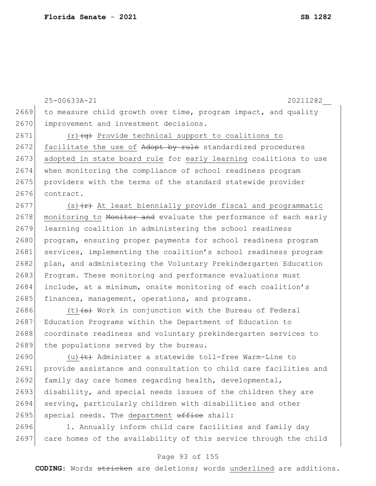25-00633A-21 20211282\_\_ 2669 to measure child growth over time, program impact, and quality 2670 improvement and investment decisions. 2671 (r) $\frac{q}{q}$  Provide technical support to coalitions to

2672 facilitate the use of Adopt by rule standardized procedures 2673 adopted in state board rule for early learning coalitions to use 2674 when monitoring the compliance of school readiness program 2675 providers with the terms of the standard statewide provider 2676 contract.

2677 (s) $\{r\}$  At least biennially provide fiscal and programmatic 2678 monitoring to Monitor and evaluate the performance of each early 2679 learning coalition in administering the school readiness 2680 program, ensuring proper payments for school readiness program 2681 services, implementing the coalition's school readiness program 2682 plan, and administering the Voluntary Prekindergarten Education 2683 Program. These monitoring and performance evaluations must 2684 include, at a minimum, onsite monitoring of each coalition's 2685 finances, management, operations, and programs.

2686 (t) $\left( s \right)$  Work in conjunction with the Bureau of Federal 2687 Education Programs within the Department of Education to 2688 coordinate readiness and voluntary prekindergarten services to 2689 the populations served by the bureau.

2690  $(u)$  (u)  $(t)$  Administer a statewide toll-free Warm-Line to 2691 provide assistance and consultation to child care facilities and 2692 family day care homes regarding health, developmental, 2693 disability, and special needs issues of the children they are 2694 serving, particularly children with disabilities and other 2695 special needs. The department  $\theta$ ffice shall:

2696 1. Annually inform child care facilities and family day 2697 care homes of the availability of this service through the child

#### Page 93 of 155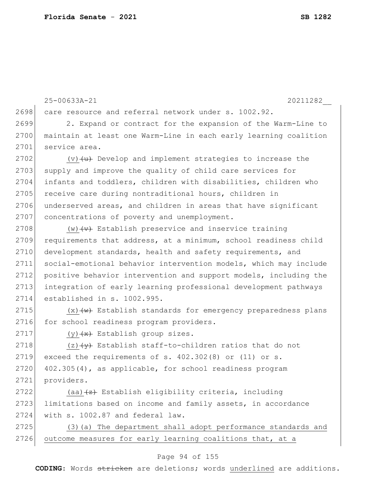25-00633A-21 20211282\_\_ 2698 care resource and referral network under s. 1002.92. 2699 2. Expand or contract for the expansion of the Warm-Line to 2700 maintain at least one Warm-Line in each early learning coalition 2701 service area. 2702  $(v)$  (v)  $(u)$  Develop and implement strategies to increase the 2703 supply and improve the quality of child care services for 2704 infants and toddlers, children with disabilities, children who 2705 receive care during nontraditional hours, children in 2706 underserved areas, and children in areas that have significant 2707 concentrations of poverty and unemployment. 2708  $(w)$   $\leftrightarrow$  Establish preservice and inservice training 2709 requirements that address, at a minimum, school readiness child 2710 development standards, health and safety requirements, and 2711 social-emotional behavior intervention models, which may include 2712 positive behavior intervention and support models, including the 2713 integration of early learning professional development pathways 2714 established in s. 1002.995. 2715  $(x)$   $\leftarrow$  Establish standards for emergency preparedness plans 2716 for school readiness program providers. 2717 (y)  $\left(\frac{1}{x}\right)$  Establish group sizes. 2718  $(z)$   $\leftrightarrow$  Establish staff-to-children ratios that do not 2719 exceed the requirements of  $s. 402.302(8)$  or (11) or  $s.$ 

 $2720$  402.305(4), as applicable, for school readiness program 2721 providers.

2722 (aa) $\left\{ \pm\right\}$  Establish eligibility criteria, including 2723 limitations based on income and family assets, in accordance 2724 with s. 1002.87 and federal law.

2725 (3)(a) The department shall adopt performance standards and 2726 outcome measures for early learning coalitions that, at a

#### Page 94 of 155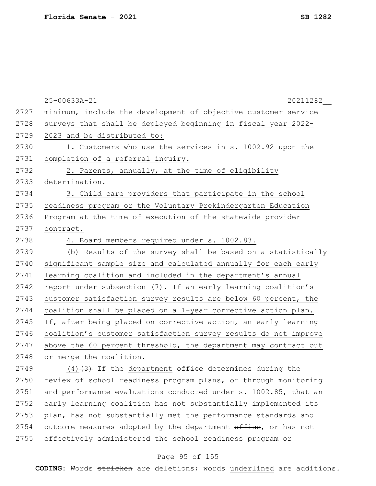|      | 25-00633A-21<br>20211282                                        |
|------|-----------------------------------------------------------------|
| 2727 | minimum, include the development of objective customer service  |
| 2728 | surveys that shall be deployed beginning in fiscal year 2022-   |
| 2729 | 2023 and be distributed to:                                     |
| 2730 | 1. Customers who use the services in s. 1002.92 upon the        |
| 2731 | completion of a referral inquiry.                               |
| 2732 | 2. Parents, annually, at the time of eligibility                |
| 2733 | determination.                                                  |
| 2734 | 3. Child care providers that participate in the school          |
| 2735 | readiness program or the Voluntary Prekindergarten Education    |
| 2736 | Program at the time of execution of the statewide provider      |
| 2737 | contract.                                                       |
| 2738 | 4. Board members required under s. 1002.83.                     |
| 2739 | (b) Results of the survey shall be based on a statistically     |
| 2740 | significant sample size and calculated annually for each early  |
| 2741 | learning coalition and included in the department's annual      |
| 2742 | report under subsection (7). If an early learning coalition's   |
| 2743 | customer satisfaction survey results are below 60 percent, the  |
| 2744 | coalition shall be placed on a 1-year corrective action plan.   |
| 2745 | If, after being placed on corrective action, an early learning  |
| 2746 | coalition's customer satisfaction survey results do not improve |
| 2747 | above the 60 percent threshold, the department may contract out |
| 2748 | or merge the coalition.                                         |
| 2749 | (4)(3) If the department office determines during the           |
| 2750 | review of school readiness program plans, or through monitoring |
| 2751 | and performance evaluations conducted under s. 1002.85, that an |
| 2752 | early learning coalition has not substantially implemented its  |
| 2753 | plan, has not substantially met the performance standards and   |
| 2754 | outcome measures adopted by the department office, or has not   |
| 2755 | effectively administered the school readiness program or        |

# Page 95 of 155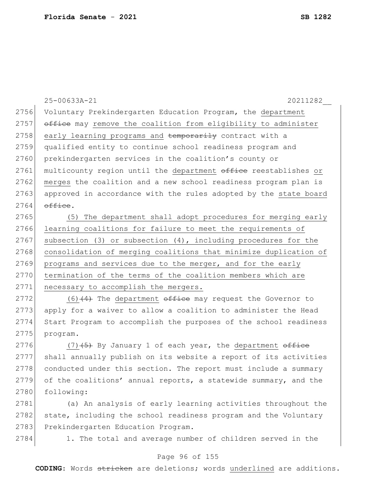25-00633A-21 20211282\_\_ 2756 Voluntary Prekindergarten Education Program, the department 2757 office may remove the coalition from eligibility to administer 2758 early learning programs and temporarily contract with a 2759 qualified entity to continue school readiness program and 2760 prekindergarten services in the coalition's county or 2761 multicounty region until the department office reestablishes or 2762 merges the coalition and a new school readiness program plan is 2763 approved in accordance with the rules adopted by the state board  $2764$  office. 2765 (5) The department shall adopt procedures for merging early 2766 learning coalitions for failure to meet the requirements of 2767 subsection (3) or subsection  $(4)$ , including procedures for the 2768 consolidation of merging coalitions that minimize duplication of 2769 programs and services due to the merger, and for the early 2770 termination of the terms of the coalition members which are 2771 necessary to accomplish the mergers. 2772  $(6)$  (4) The department  $\theta$  office may request the Governor to 2773 apply for a waiver to allow a coalition to administer the Head 2774 Start Program to accomplish the purposes of the school readiness 2775 program. 2776 (7) $(5)$  By January 1 of each year, the department office 2777 shall annually publish on its website a report of its activities 2778 conducted under this section. The report must include a summary 2779 of the coalitions' annual reports, a statewide summary, and the

2781 (a) An analysis of early learning activities throughout the 2782 state, including the school readiness program and the Voluntary 2783 Prekindergarten Education Program.

2780 following:

2784 1. The total and average number of children served in the

#### Page 96 of 155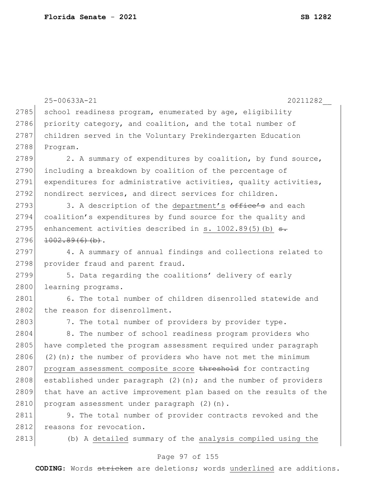```
25-00633A-21 20211282__
2785 school readiness program, enumerated by age, eligibility
2786 priority category, and coalition, and the total number of
2787 children served in the Voluntary Prekindergarten Education 
2788 Program.
2789 2. A summary of expenditures by coalition, by fund source,
2790 including a breakdown by coalition of the percentage of
2791 expenditures for administrative activities, quality activities,
2792 nondirect services, and direct services for children.
2793 3. A description of the department's office's and each
2794 coalition's expenditures by fund source for the quality and 
2795 enhancement activities described in s. 1002.89(5)(b) \theta.
2796 1002.89(6) (b).
2797 4. A summary of annual findings and collections related to 
2798 provider fraud and parent fraud.
2799 5. Data regarding the coalitions' delivery of early
2800 learning programs.
2801 6. The total number of children disenrolled statewide and
2802 the reason for disenrollment.
2803 7. The total number of providers by provider type.
2804 8. The number of school readiness program providers who
2805 have completed the program assessment required under paragraph
2806 (2)(n); the number of providers who have not met the minimum
2807 program assessment composite score threshold for contracting
2808 established under paragraph (2)(n); and the number of providers
2809 that have an active improvement plan based on the results of the 
2810 program assessment under paragraph (2)(n).
2811 9. The total number of provider contracts revoked and the
2812 reasons for revocation.
2813 (b) A detailed summary of the analysis compiled using the
```
#### Page 97 of 155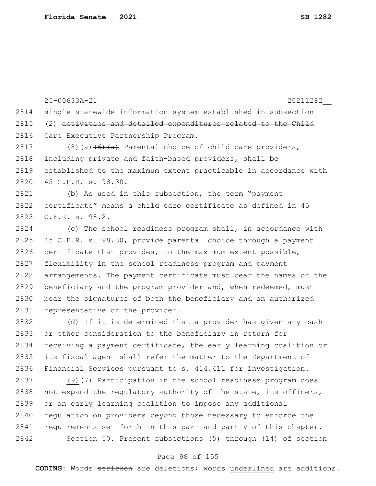|      | 20211282<br>25-00633A-21                                         |
|------|------------------------------------------------------------------|
| 2814 | single statewide information system established in subsection    |
| 2815 | (2) activities and detailed expenditures related to the Child    |
| 2816 | Care Executive Partnership Program.                              |
| 2817 | $(8)$ (a) $(6)$ $(4)$ Parental choice of child care providers,   |
| 2818 | including private and faith-based providers, shall be            |
| 2819 | established to the maximum extent practicable in accordance with |
| 2820 | 45 C.F.R. s. 98.30.                                              |
| 2821 | (b) As used in this subsection, the term "payment                |
| 2822 | certificate" means a child care certificate as defined in 45     |
| 2823 | C.F.R. s. 98.2.                                                  |
| 2824 | (c) The school readiness program shall, in accordance with       |
| 2825 | 45 C.F.R. s. 98.30, provide parental choice through a payment    |
| 2826 | certificate that provides, to the maximum extent possible,       |
| 2827 | flexibility in the school readiness program and payment          |
| 2828 | arrangements. The payment certificate must bear the names of the |
| 2829 | beneficiary and the program provider and, when redeemed, must    |
| 2830 | bear the signatures of both the beneficiary and an authorized    |
| 2831 | representative of the provider.                                  |
| 2832 | (d) If it is determined that a provider has given any cash       |
| 2833 | or other consideration to the beneficiary in return for          |
| 2834 | receiving a payment certificate, the early learning coalition or |
| 2835 | its fiscal agent shall refer the matter to the Department of     |
| 2836 | Financial Services pursuant to s. 414.411 for investigation.     |
| 2837 | $(9)$ $(7)$ Participation in the school readiness program does   |
| 2838 | not expand the regulatory authority of the state, its officers,  |
| 2839 | or an early learning coalition to impose any additional          |
| 2840 | requlation on providers beyond those necessary to enforce the    |
| 2841 | requirements set forth in this part and part V of this chapter.  |
| 2842 | Section 50. Present subsections (5) through (14) of section      |
|      |                                                                  |

# Page 98 of 155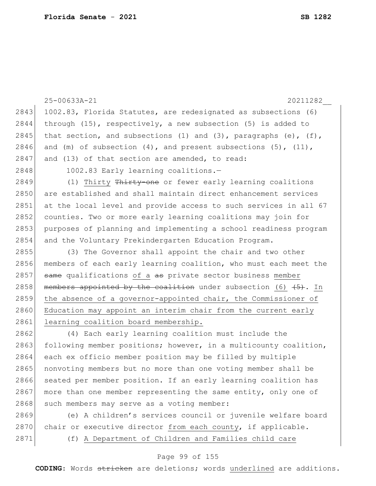|      | 25-00633A-21<br>20211282                                               |
|------|------------------------------------------------------------------------|
| 2843 | 1002.83, Florida Statutes, are redesignated as subsections (6)         |
| 2844 | through $(15)$ , respectively, a new subsection $(5)$ is added to      |
| 2845 | that section, and subsections (1) and (3), paragraphs (e), $(f)$ ,     |
| 2846 | and (m) of subsection $(4)$ , and present subsections $(5)$ , $(11)$ , |
| 2847 | and (13) of that section are amended, to read:                         |
| 2848 | 1002.83 Early learning coalitions.-                                    |
| 2849 | (1) Thirty Thirty-one or fewer early learning coalitions               |
| 2850 | are established and shall maintain direct enhancement services         |
| 2851 | at the local level and provide access to such services in all 67       |
| 2852 | counties. Two or more early learning coalitions may join for           |
| 2853 | purposes of planning and implementing a school readiness program       |
| 2854 | and the Voluntary Prekindergarten Education Program.                   |
| 2855 | (3) The Governor shall appoint the chair and two other                 |
| 2856 | members of each early learning coalition, who must each meet the       |
| 2857 | same qualifications of a as private sector business member             |
| 2858 | members appointed by the coalition under subsection (6) (5). In        |
| 2859 | the absence of a governor-appointed chair, the Commissioner of         |
| 2860 | Education may appoint an interim chair from the current early          |
| 2861 | learning coalition board membership.                                   |
| 2862 | (4) Each early learning coalition must include the                     |
| 2863 | following member positions; however, in a multicounty coalition,       |
| 2864 | each ex officio member position may be filled by multiple              |
| 2865 | nonvoting members but no more than one voting member shall be          |
| 2866 | seated per member position. If an early learning coalition has         |
| 2867 | more than one member representing the same entity, only one of         |
| 2868 | such members may serve as a voting member:                             |
| 2869 | (e) A children's services council or juvenile welfare board            |
| 2870 | chair or executive director from each county, if applicable.           |

### Page 99 of 155

2871 (f) A Department of Children and Families child care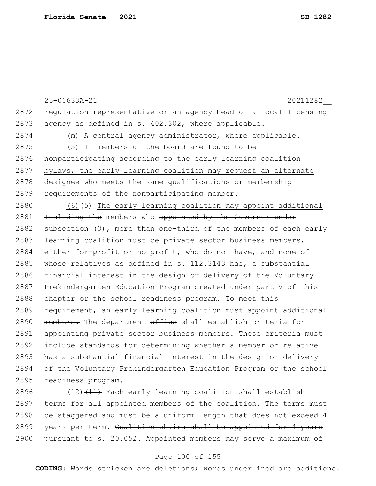25-00633A-21 20211282\_\_ 2872 regulation representative or an agency head of a local licensing 2873 agency as defined in s.  $402.302$ , where applicable.  $2874$  (m) A central agency administrator, where applicable. 2875 (5) If members of the board are found to be 2876 nonparticipating according to the early learning coalition 2877 bylaws, the early learning coalition may request an alternate 2878 designee who meets the same qualifications or membership 2879 requirements of the nonparticipating member. 2880  $(6)$  (6)  $(5)$  The early learning coalition may appoint additional 2881 Including the members who appointed by the Governor under  $2882$  subsection  $(3)$ , more than one-third of the members of each early 2883 <del>learning coalition</del> must be private sector business members, 2884 either for-profit or nonprofit, who do not have, and none of 2885 whose relatives as defined in s. 112.3143 has, a substantial 2886 financial interest in the design or delivery of the Voluntary 2887 Prekindergarten Education Program created under part V of this 2888 chapter or the school readiness program. To meet this 2889 requirement, an early learning coalition must appoint additional 2890 members. The department office shall establish criteria for 2891 appointing private sector business members. These criteria must 2892 include standards for determining whether a member or relative 2893 has a substantial financial interest in the design or delivery 2894 of the Voluntary Prekindergarten Education Program or the school 2895 readiness program.

2896  $(12)$   $(11)$  Each early learning coalition shall establish 2897 terms for all appointed members of the coalition. The terms must 2898 be staggered and must be a uniform length that does not exceed 4 2899 years per term. Coalition chairs shall be appointed for 4 years 2900 pursuant to s. 20.052. Appointed members may serve a maximum of

#### Page 100 of 155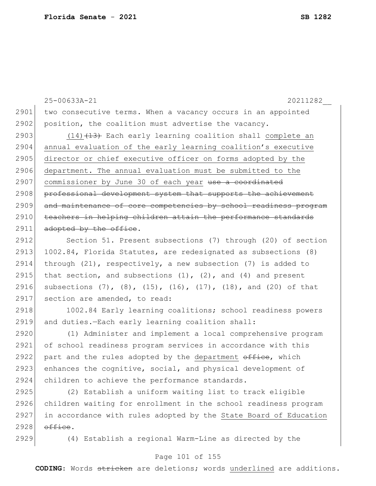25-00633A-21 20211282\_\_ 2901 two consecutive terms. When a vacancy occurs in an appointed 2902 position, the coalition must advertise the vacancy. 2903  $(14)$   $(13)$  Each early learning coalition shall complete an 2904 annual evaluation of the early learning coalition's executive 2905 director or chief executive officer on forms adopted by the 2906 department. The annual evaluation must be submitted to the 2907 commissioner by June 30 of each year use a coordinated 2908 professional development system that supports the achievement 2909 and maintenance of core competencies by school readiness program 2910 teachers in helping children attain the performance standards  $2911$  adopted by the office.

2912 Section 51. Present subsections (7) through (20) of section 2913 1002.84, Florida Statutes, are redesignated as subsections (8) 2914 through  $(21)$ , respectively, a new subsection  $(7)$  is added to 2915 that section, and subsections  $(1)$ ,  $(2)$ , and  $(4)$  and present 2916 subsections (7), (8), (15), (16), (17), (18), and (20) of that 2917 section are amended, to read:

2918 1002.84 Early learning coalitions; school readiness powers 2919 and duties.—Each early learning coalition shall:

2920 (1) Administer and implement a local comprehensive program 2921 of school readiness program services in accordance with this 2922 part and the rules adopted by the department  $\sigma$ fice, which 2923 enhances the cognitive, social, and physical development of 2924 children to achieve the performance standards.

 (2) Establish a uniform waiting list to track eligible children waiting for enrollment in the school readiness program in accordance with rules adopted by the State Board of Education  $\theta$  office.

2929 (4) Establish a regional Warm-Line as directed by the

#### Page 101 of 155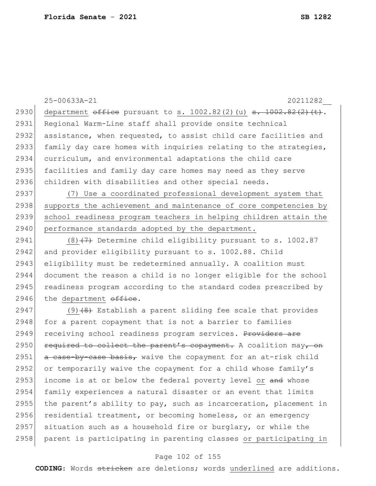|      | 25-00633A-21<br>20211282                                                 |
|------|--------------------------------------------------------------------------|
| 2930 | department $\theta$ ffice pursuant to s. 1002.82(2)(u) s. 1002.82(2)(t). |
| 2931 | Regional Warm-Line staff shall provide onsite technical                  |
| 2932 | assistance, when requested, to assist child care facilities and          |
| 2933 | family day care homes with inquiries relating to the strategies,         |
| 2934 | curriculum, and environmental adaptations the child care                 |
| 2935 | facilities and family day care homes may need as they serve              |
| 2936 | children with disabilities and other special needs.                      |
| 2937 | (7) Use a coordinated professional development system that               |
| 2938 | supports the achievement and maintenance of core competencies by         |
| 2939 | school readiness program teachers in helping children attain the         |
| 2940 | performance standards adopted by the department.                         |
| 2941 | $(8)$ +7) Determine child eligibility pursuant to s. 1002.87             |
| 2942 | and provider eligibility pursuant to s. 1002.88. Child                   |
| 2943 | eligibility must be redetermined annually. A coalition must              |
| 2944 | document the reason a child is no longer eligible for the school         |
| 2945 | readiness program according to the standard codes prescribed by          |
| 2946 | the department office.                                                   |
| 2947 | $(9)$ $(8)$ Establish a parent sliding fee scale that provides           |
| 2948 | for a parent copayment that is not a barrier to families                 |
| 2949 | receiving school readiness program services. Providers are               |
| 2950 | required to collect the parent's copayment. A coalition may, on          |
| 2951 | a case-by-case basis, waive the copayment for an at-risk child           |
| 2952 | or temporarily waive the copayment for a child whose family's            |
| 2953 | income is at or below the federal poverty level or and whose             |
| 2954 | family experiences a natural disaster or an event that limits            |
| 2955 | the parent's ability to pay, such as incarceration, placement in         |
| 2956 | residential treatment, or becoming homeless, or an emergency             |
| 2957 | situation such as a household fire or burglary, or while the             |
| 2958 | parent is participating in parenting classes or participating in         |

# Page 102 of 155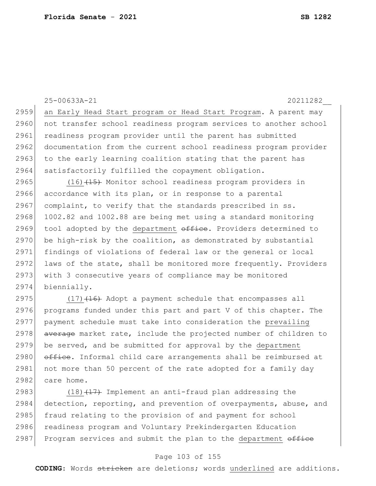|       | 25-00633A-21<br>20211282                                                                                                                                                                                                                              |
|-------|-------------------------------------------------------------------------------------------------------------------------------------------------------------------------------------------------------------------------------------------------------|
| 2959  | an Early Head Start program or Head Start Program. A parent may                                                                                                                                                                                       |
| 2960  | not transfer school readiness program services to another school                                                                                                                                                                                      |
| 2961  | readiness program provider until the parent has submitted                                                                                                                                                                                             |
| 2962  | documentation from the current school readiness program provider                                                                                                                                                                                      |
| 2963  | to the early learning coalition stating that the parent has                                                                                                                                                                                           |
| 2964  | satisfactorily fulfilled the copayment obligation.                                                                                                                                                                                                    |
| 2965  | $(16)$ $(15)$ Monitor school readiness program providers in                                                                                                                                                                                           |
| 2966  | accordance with its plan, or in response to a parental                                                                                                                                                                                                |
| 2967  | complaint, to verify that the standards prescribed in ss.                                                                                                                                                                                             |
| 2968  | 1002.82 and 1002.88 are being met using a standard monitoring                                                                                                                                                                                         |
| 2969  | tool adopted by the department office. Providers determined to                                                                                                                                                                                        |
| 2970  | be high-risk by the coalition, as demonstrated by substantial                                                                                                                                                                                         |
| 2971  | findings of violations of federal law or the general or local                                                                                                                                                                                         |
| 2972  | laws of the state, shall be monitored more frequently. Providers                                                                                                                                                                                      |
| 2973  | with 3 consecutive years of compliance may be monitored                                                                                                                                                                                               |
| 2974  | biennially.                                                                                                                                                                                                                                           |
| 2975  | $(17)$ $(16)$ Adopt a payment schedule that encompasses all                                                                                                                                                                                           |
| 2976  | programs funded under this part and part V of this chapter. The                                                                                                                                                                                       |
| 2977  | payment schedule must take into consideration the prevailing                                                                                                                                                                                          |
| 2978  | average market rate, include the projected number of children to                                                                                                                                                                                      |
| 2979  | be served, and be submitted for approval by the department                                                                                                                                                                                            |
| 2980  | office. Informal child care arrangements shall be reimbursed at                                                                                                                                                                                       |
| 2981  | not more than 50 percent of the rate adopted for a family day                                                                                                                                                                                         |
| 2982  | care home.                                                                                                                                                                                                                                            |
| 0.002 | $\mathcal{L}(\mathcal{A})$ and $\mathcal{L}(\mathcal{A})$ . The contract of the contract of the contract of the contract of the contract of the contract of the contract of the contract of the contract of the contract of the contract of the contr |

2983 (18) $(17)$  Implement an anti-fraud plan addressing the 2984 detection, reporting, and prevention of overpayments, abuse, and 2985 fraud relating to the provision of and payment for school 2986 readiness program and Voluntary Prekindergarten Education 2987 Program services and submit the plan to the department office

#### Page 103 of 155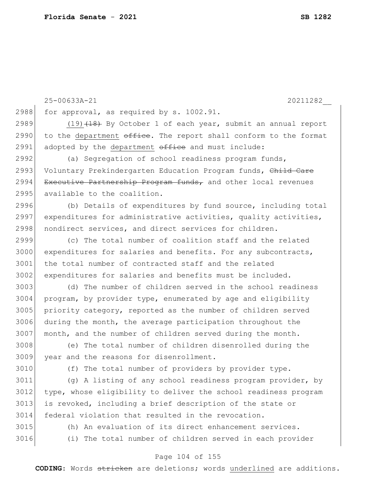|      | 25-00633A-21<br>20211282                                         |
|------|------------------------------------------------------------------|
| 2988 | for approval, as required by s. 1002.91.                         |
| 2989 | $(19)$ $(18)$ By October 1 of each year, submit an annual report |
| 2990 | to the department office. The report shall conform to the format |
| 2991 | adopted by the department office and must include:               |
| 2992 | (a) Segregation of school readiness program funds,               |
| 2993 | Voluntary Prekindergarten Education Program funds, Child Care    |
| 2994 | Executive Partnership Program funds, and other local revenues    |
| 2995 | available to the coalition.                                      |
| 2996 | (b) Details of expenditures by fund source, including total      |
| 2997 | expenditures for administrative activities, quality activities,  |
| 2998 | nondirect services, and direct services for children.            |
| 2999 | (c) The total number of coalition staff and the related          |
| 3000 | expenditures for salaries and benefits. For any subcontracts,    |
| 3001 | the total number of contracted staff and the related             |
| 3002 | expenditures for salaries and benefits must be included.         |
| 3003 | (d) The number of children served in the school readiness        |
| 3004 | program, by provider type, enumerated by age and eligibility     |
| 3005 | priority category, reported as the number of children served     |
| 3006 | during the month, the average participation throughout the       |
| 3007 | month, and the number of children served during the month.       |
| 3008 | (e) The total number of children disenrolled during the          |
| 3009 | year and the reasons for disenrollment.                          |
| 3010 | (f) The total number of providers by provider type.              |
| 3011 | (g) A listing of any school readiness program provider, by       |
| 3012 | type, whose eligibility to deliver the school readiness program  |
| 3013 | is revoked, including a brief description of the state or        |
| 3014 | federal violation that resulted in the revocation.               |

- 
- 

3015 (h) An evaluation of its direct enhancement services. 3016 (i) The total number of children served in each provider

#### Page 104 of 155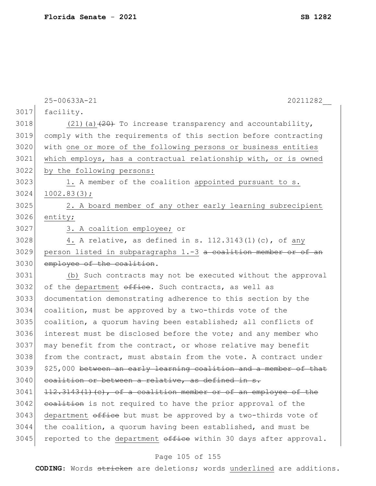|      | 25-00633A-21<br>20211282                                          |
|------|-------------------------------------------------------------------|
| 3017 | facility.                                                         |
| 3018 | $(21)$ (a) $(20)$ To increase transparency and accountability,    |
| 3019 | comply with the requirements of this section before contracting   |
| 3020 | with one or more of the following persons or business entities    |
| 3021 | which employs, has a contractual relationship with, or is owned   |
| 3022 | by the following persons:                                         |
| 3023 | 1. A member of the coalition appointed pursuant to s.             |
| 3024 | 1002.83(3);                                                       |
| 3025 | 2. A board member of any other early learning subrecipient        |
| 3026 | entity;                                                           |
| 3027 | 3. A coalition employee; or                                       |
| 3028 | 4. A relative, as defined in s. 112.3143(1)(c), of any            |
| 3029 | person listed in subparagraphs 1.-3 a coalition member or of an   |
| 3030 | employee of the coalition.                                        |
| 3031 | (b) Such contracts may not be executed without the approval       |
| 3032 | of the department office. Such contracts, as well as              |
| 3033 | documentation demonstrating adherence to this section by the      |
| 3034 | coalition, must be approved by a two-thirds vote of the           |
| 3035 | coalition, a quorum having been established; all conflicts of     |
| 3036 | interest must be disclosed before the vote; and any member who    |
| 3037 | may benefit from the contract, or whose relative may benefit      |
| 3038 | from the contract, must abstain from the vote. A contract under   |
| 3039 | \$25,000 between an early learning coalition and a member of that |
| 3040 | coalition or between a relative, as defined in s.                 |
| 3041 | $112.3143(1)$ (c), of a coalition member or of an employee of the |
| 3042 | coalition is not required to have the prior approval of the       |
| 3043 | department office but must be approved by a two-thirds vote of    |
| 3044 | the coalition, a quorum having been established, and must be      |
| 3045 | reported to the department office within 30 days after approval.  |

# Page 105 of 155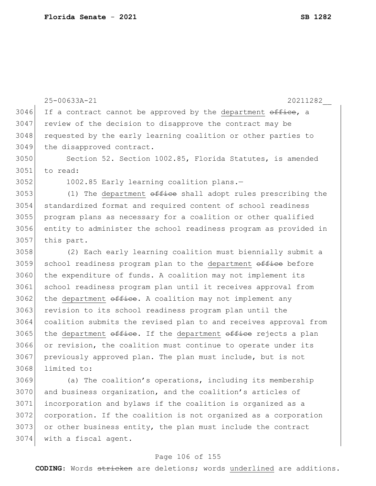|      | 20211282<br>25-00633A-21                                         |
|------|------------------------------------------------------------------|
| 3046 | If a contract cannot be approved by the department office, a     |
| 3047 | review of the decision to disapprove the contract may be         |
| 3048 | requested by the early learning coalition or other parties to    |
| 3049 | the disapproved contract.                                        |
| 3050 | Section 52. Section 1002.85, Florida Statutes, is amended        |
| 3051 | to read:                                                         |
| 3052 | 1002.85 Early learning coalition plans.-                         |
| 3053 | (1) The department office shall adopt rules prescribing the      |
| 3054 | standardized format and required content of school readiness     |
| 3055 | program plans as necessary for a coalition or other qualified    |
| 3056 | entity to administer the school readiness program as provided in |
| 3057 | this part.                                                       |
| 3058 | (2) Each early learning coalition must biennially submit a       |
| 3059 | school readiness program plan to the department office before    |
| 3060 | the expenditure of funds. A coalition may not implement its      |
| 3061 | school readiness program plan until it receives approval from    |
| 3062 | the department office. A coalition may not implement any         |
| 3063 | revision to its school readiness program plan until the          |
| 3064 | coalition submits the revised plan to and receives approval from |
| 3065 | the department office. If the department office rejects a plan   |
| 3066 | or revision, the coalition must continue to operate under its    |
| 3067 | previously approved plan. The plan must include, but is not      |
| 3068 | limited to:                                                      |
| 3069 | (a) The coalition's operations, including its membership         |
| 3070 | and business organization, and the coalition's articles of       |
| 3071 | incorporation and bylaws if the coalition is organized as a      |
| 3072 | corporation. If the coalition is not organized as a corporation  |

 $3073$  or other business entity, the plan must include the contract 3074 with a fiscal agent.

### Page 106 of 155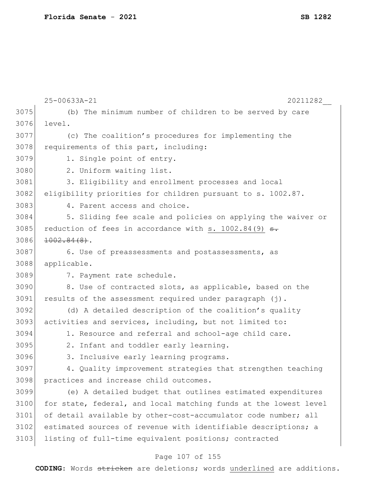|      | 25-00633A-21<br>20211282                                         |
|------|------------------------------------------------------------------|
| 3075 | (b) The minimum number of children to be served by care          |
| 3076 | level.                                                           |
| 3077 | (c) The coalition's procedures for implementing the              |
| 3078 | requirements of this part, including:                            |
| 3079 | 1. Single point of entry.                                        |
| 3080 | 2. Uniform waiting list.                                         |
| 3081 | 3. Eligibility and enrollment processes and local                |
| 3082 | eligibility priorities for children pursuant to s. 1002.87.      |
| 3083 | 4. Parent access and choice.                                     |
| 3084 | 5. Sliding fee scale and policies on applying the waiver or      |
| 3085 | reduction of fees in accordance with s. $1002.84(9)$ s.          |
| 3086 | $1002.84(8)$ .                                                   |
| 3087 | 6. Use of preassessments and postassessments, as                 |
| 3088 | applicable.                                                      |
| 3089 | 7. Payment rate schedule.                                        |
| 3090 | 8. Use of contracted slots, as applicable, based on the          |
| 3091 | results of the assessment required under paragraph (j).          |
| 3092 | (d) A detailed description of the coalition's quality            |
| 3093 | activities and services, including, but not limited to:          |
| 3094 | 1. Resource and referral and school-age child care.              |
| 3095 | 2. Infant and toddler early learning.                            |
| 3096 | 3. Inclusive early learning programs.                            |
| 3097 | 4. Quality improvement strategies that strengthen teaching       |
| 3098 | practices and increase child outcomes.                           |
| 3099 | (e) A detailed budget that outlines estimated expenditures       |
| 3100 | for state, federal, and local matching funds at the lowest level |
| 3101 | of detail available by other-cost-accumulator code number; all   |
| 3102 | estimated sources of revenue with identifiable descriptions; a   |
| 3103 | listing of full-time equivalent positions; contracted            |

# Page 107 of 155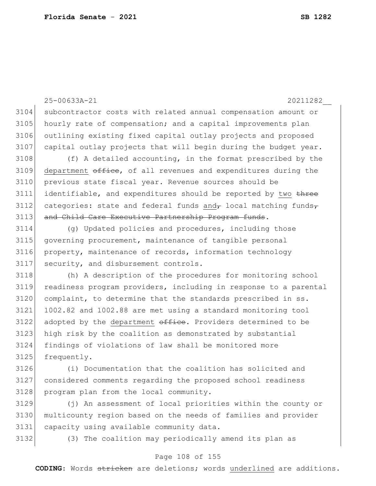25-00633A-21 20211282\_\_ subcontractor costs with related annual compensation amount or 3105 hourly rate of compensation; and a capital improvements plan outlining existing fixed capital outlay projects and proposed 3107 capital outlay projects that will begin during the budget year. 3108 (f) A detailed accounting, in the format prescribed by the department  $\sigma$ fice, of all revenues and expenditures during the previous state fiscal year. Revenue sources should be 3111 identifiable, and expenditures should be reported by two three 3112 categories: state and federal funds and  $\tau$  local matching funds 3113 and Child Care Executive Partnership Program funds. 3114 (g) Updated policies and procedures, including those governing procurement, maintenance of tangible personal property, maintenance of records, information technology security, and disbursement controls. (h) A description of the procedures for monitoring school readiness program providers, including in response to a parental complaint, to determine that the standards prescribed in ss. 1002.82 and 1002.88 are met using a standard monitoring tool

 adopted by the department  $\theta$ fice. Providers determined to be high risk by the coalition as demonstrated by substantial findings of violations of law shall be monitored more 3125 frequently.

 (i) Documentation that the coalition has solicited and considered comments regarding the proposed school readiness 3128 program plan from the local community.

 (j) An assessment of local priorities within the county or multicounty region based on the needs of families and provider capacity using available community data.

(3) The coalition may periodically amend its plan as

#### Page 108 of 155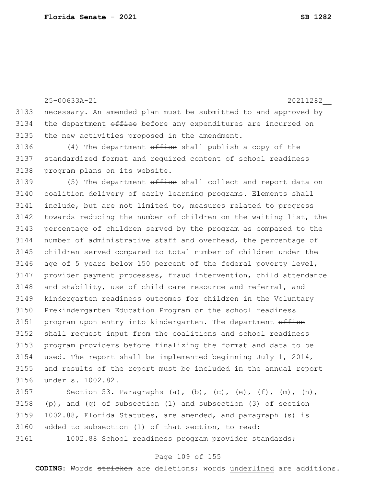25-00633A-21 20211282\_\_ necessary. An amended plan must be submitted to and approved by the department  $\theta$  office before any expenditures are incurred on the new activities proposed in the amendment.  $(4)$  The department  $\theta$  and the shall publish a copy of the standardized format and required content of school readiness program plans on its website.  $\vert$  (5) The department  $\theta$  of the shall collect and report data on coalition delivery of early learning programs. Elements shall include, but are not limited to, measures related to progress 3142 towards reducing the number of children on the waiting list, the 3143 percentage of children served by the program as compared to the number of administrative staff and overhead, the percentage of children served compared to total number of children under the age of 5 years below 150 percent of the federal poverty level, provider payment processes, fraud intervention, child attendance 3148 and stability, use of child care resource and referral, and kindergarten readiness outcomes for children in the Voluntary Prekindergarten Education Program or the school readiness 3151 program upon entry into kindergarten. The department office shall request input from the coalitions and school readiness program providers before finalizing the format and data to be used. The report shall be implemented beginning July 1, 2014, and results of the report must be included in the annual report under s. 1002.82.

3157 Section 53. Paragraphs (a), (b), (c), (e), (f), (m), (n), 3158 (p), and (q) of subsection (1) and subsection (3) of section 3159 1002.88, Florida Statutes, are amended, and paragraph (s) is 3160 added to subsection (1) of that section, to read: 3161 1002.88 School readiness program provider standards;

#### Page 109 of 155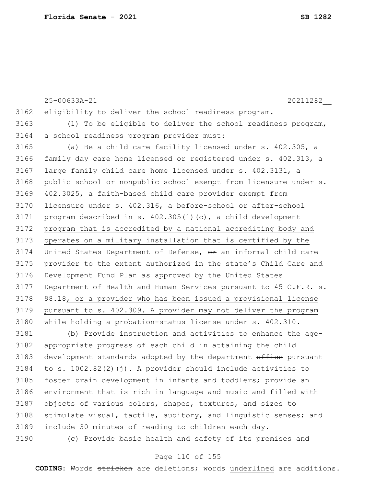|      | 25-00633A-21<br>20211282                                               |
|------|------------------------------------------------------------------------|
| 3162 | eligibility to deliver the school readiness program.-                  |
| 3163 | (1) To be eligible to deliver the school readiness program,            |
| 3164 | a school readiness program provider must:                              |
| 3165 | (a) Be a child care facility licensed under s. 402.305, a              |
| 3166 | family day care home licensed or registered under s. 402.313, a        |
| 3167 | large family child care home licensed under s. 402.3131, a             |
| 3168 | public school or nonpublic school exempt from licensure under s.       |
| 3169 | 402.3025, a faith-based child care provider exempt from                |
| 3170 | licensure under s. 402.316, a before-school or after-school            |
| 3171 | program described in s. 402.305(1)(c), a child development             |
| 3172 | program that is accredited by a national accrediting body and          |
| 3173 | operates on a military installation that is certified by the           |
| 3174 | United States Department of Defense, $\theta$ r an informal child care |
| 3175 | provider to the extent authorized in the state's Child Care and        |
| 3176 | Development Fund Plan as approved by the United States                 |
| 3177 | Department of Health and Human Services pursuant to 45 C.F.R. s.       |
| 3178 | 98.18, or a provider who has been issued a provisional license         |
| 3179 | pursuant to s. 402.309. A provider may not deliver the program         |
| 3180 | while holding a probation-status license under s. 402.310.             |
| 3181 | (b) Provide instruction and activities to enhance the age-             |
| 3182 | appropriate progress of each child in attaining the child              |
| 3183 | development standards adopted by the department office pursuant        |
| 3184 | to s. $1002.82(2)(i)$ . A provider should include activities to        |
| 3185 | foster brain development in infants and toddlers; provide an           |

3187 objects of various colors, shapes, textures, and sizes to 3188 stimulate visual, tactile, auditory, and linguistic senses; and 3189 include 30 minutes of reading to children each day.

3186 environment that is rich in language and music and filled with

3190 (c) Provide basic health and safety of its premises and

### Page 110 of 155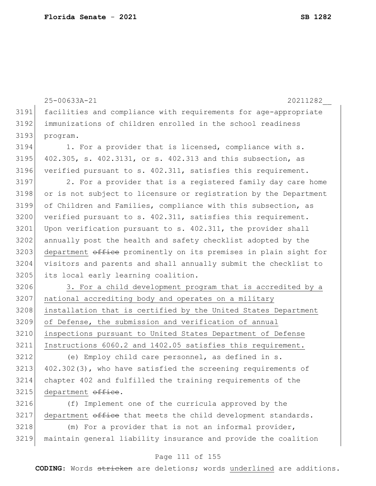25-00633A-21 20211282\_\_ facilities and compliance with requirements for age-appropriate immunizations of children enrolled in the school readiness 3193 program. 3194 1. For a provider that is licensed, compliance with s. 402.305, s. 402.3131, or s. 402.313 and this subsection, as verified pursuant to s. 402.311, satisfies this requirement. 2. For a provider that is a registered family day care home or is not subject to licensure or registration by the Department of Children and Families, compliance with this subsection, as 3200 verified pursuant to s. 402.311, satisfies this requirement. 3201 Upon verification pursuant to s. 402.311, the provider shall annually post the health and safety checklist adopted by the 3203 department office prominently on its premises in plain sight for visitors and parents and shall annually submit the checklist to 3205 its local early learning coalition. 3206 3. For a child development program that is accredited by a national accrediting body and operates on a military installation that is certified by the United States Department of Defense, the submission and verification of annual inspections pursuant to United States Department of Defense Instructions 6060.2 and 1402.05 satisfies this requirement. (e) Employ child care personnel, as defined in s. 402.302(3), who have satisfied the screening requirements of chapter 402 and fulfilled the training requirements of the 3215 department office. (f) Implement one of the curricula approved by the

department  $\sigma$ fice that meets the child development standards.

3218 (m) For a provider that is not an informal provider, maintain general liability insurance and provide the coalition

### Page 111 of 155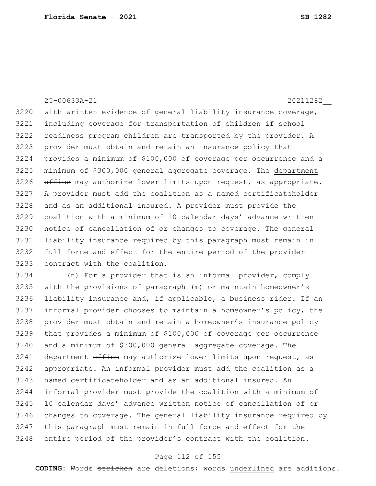25-00633A-21 20211282\_\_ 3220 with written evidence of general liability insurance coverage, including coverage for transportation of children if school readiness program children are transported by the provider. A 3223 provider must obtain and retain an insurance policy that provides a minimum of \$100,000 of coverage per occurrence and a minimum of  $$300,000$  general aggregate coverage. The department office may authorize lower limits upon request, as appropriate. A provider must add the coalition as a named certificateholder 3228 and as an additional insured. A provider must provide the coalition with a minimum of 10 calendar days' advance written notice of cancellation of or changes to coverage. The general liability insurance required by this paragraph must remain in full force and effect for the entire period of the provider contract with the coalition.

 (n) For a provider that is an informal provider, comply with the provisions of paragraph (m) or maintain homeowner's 3236 liability insurance and, if applicable, a business rider. If an informal provider chooses to maintain a homeowner's policy, the provider must obtain and retain a homeowner's insurance policy that provides a minimum of \$100,000 of coverage per occurrence and a minimum of \$300,000 general aggregate coverage. The 3241 department office may authorize lower limits upon request, as appropriate. An informal provider must add the coalition as a 3243 | named certificateholder and as an additional insured. An informal provider must provide the coalition with a minimum of 3245 10 calendar days' advance written notice of cancellation of or changes to coverage. The general liability insurance required by 3247 this paragraph must remain in full force and effect for the 3248 entire period of the provider's contract with the coalition.

### Page 112 of 155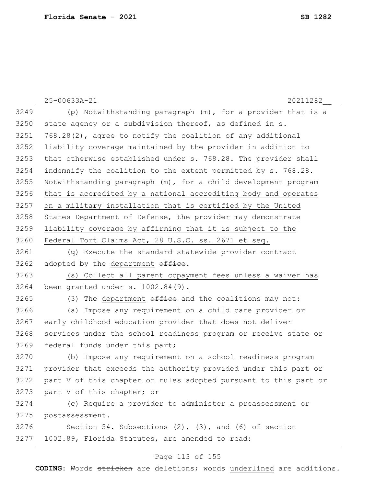|      | 25-00633A-21<br>20211282                                         |
|------|------------------------------------------------------------------|
| 3249 | (p) Notwithstanding paragraph (m), for a provider that is a      |
| 3250 | state agency or a subdivision thereof, as defined in s.          |
| 3251 | 768.28(2), agree to notify the coalition of any additional       |
| 3252 | liability coverage maintained by the provider in addition to     |
| 3253 | that otherwise established under s. 768.28. The provider shall   |
| 3254 | indemnify the coalition to the extent permitted by s. 768.28.    |
| 3255 | Notwithstanding paragraph (m), for a child development program   |
| 3256 | that is accredited by a national accrediting body and operates   |
| 3257 | on a military installation that is certified by the United       |
| 3258 | States Department of Defense, the provider may demonstrate       |
| 3259 | liability coverage by affirming that it is subject to the        |
| 3260 | Federal Tort Claims Act, 28 U.S.C. ss. 2671 et seq.              |
| 3261 | (q) Execute the standard statewide provider contract             |
| 3262 | adopted by the department office.                                |
| 3263 | (s) Collect all parent copayment fees unless a waiver has        |
| 3264 | been granted under $s. 1002.84(9)$ .                             |
| 3265 | (3) The department office and the coalitions may not:            |
| 3266 | Impose any requirement on a child care provider or<br>(a)        |
| 3267 | early childhood education provider that does not deliver         |
| 3268 | services under the school readiness program or receive state or  |
| 3269 | federal funds under this part;                                   |
| 3270 | Impose any requirement on a school readiness program<br>(b)      |
| 3271 | provider that exceeds the authority provided under this part or  |
| 3272 | part V of this chapter or rules adopted pursuant to this part or |
| 3273 | part V of this chapter; or                                       |
| 3274 | (c) Require a provider to administer a preassessment or          |
| 3275 | postassessment.                                                  |
| 3276 | Section 54. Subsections $(2)$ , $(3)$ , and $(6)$ of section     |
| 3277 | 1002.89, Florida Statutes, are amended to read:                  |
|      | Page 113 of 155                                                  |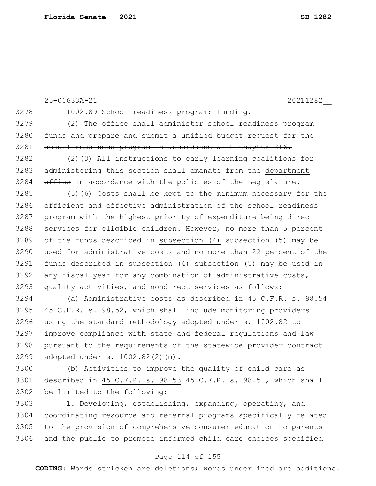|      | 25-00633A-21<br>20211282                                           |
|------|--------------------------------------------------------------------|
| 3278 | 1002.89 School readiness program; funding.-                        |
| 3279 | (2) The office shall administer school readiness program           |
| 3280 | funds and prepare and submit a unified budget request for the      |
| 3281 | school readiness program in accordance with chapter 216.           |
| 3282 | $(2)$ $(3)$ All instructions to early learning coalitions for      |
| 3283 | administering this section shall emanate from the department       |
| 3284 | office in accordance with the policies of the Legislature.         |
| 3285 | $(5)$ +6+ Costs shall be kept to the minimum necessary for the     |
| 3286 | efficient and effective administration of the school readiness     |
| 3287 | program with the highest priority of expenditure being direct      |
| 3288 | services for eligible children. However, no more than 5 percent    |
| 3289 | of the funds described in subsection $(4)$ subsection $(5)$ may be |
| 3290 | used for administrative costs and no more than 22 percent of the   |
| 3291 | funds described in subsection (4) subsection (5) may be used in    |
| 3292 | any fiscal year for any combination of administrative costs,       |
| 3293 | quality activities, and nondirect services as follows:             |
| 3294 | (a) Administrative costs as described in 45 C.F.R. s. 98.54        |
| 3295 | 45 C.F.R. s. 98.52, which shall include monitoring providers       |
| 3296 | using the standard methodology adopted under s. 1002.82 to         |
| 3297 | improve compliance with state and federal regulations and law      |
| 3298 | pursuant to the requirements of the statewide provider contract    |
| 3299 | adopted under s. 1002.82(2)(m).                                    |
| 3300 | (b) Activities to improve the quality of child care as             |
| 3301 | described in 45 C.F.R. s. 98.53 45 C.F.R. s. 98.51, which shall    |
| 3302 | be limited to the following:                                       |

3303 1. Developing, establishing, expanding, operating, and 3304 coordinating resource and referral programs specifically related 3305 to the provision of comprehensive consumer education to parents 3306 and the public to promote informed child care choices specified

### Page 114 of 155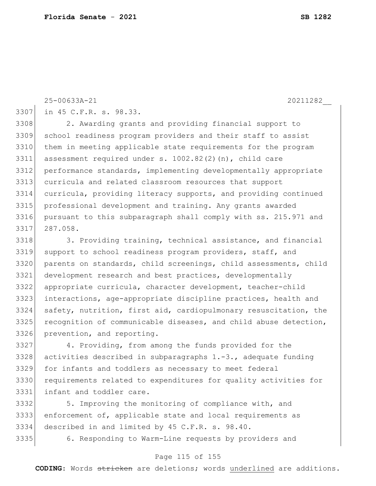in 45 C.F.R. s. 98.33.

 2. Awarding grants and providing financial support to school readiness program providers and their staff to assist 3310 | them in meeting applicable state requirements for the program assessment required under s. 1002.82(2)(n), child care performance standards, implementing developmentally appropriate curricula and related classroom resources that support curricula, providing literacy supports, and providing continued professional development and training. Any grants awarded pursuant to this subparagraph shall comply with ss. 215.971 and 287.058.

3318 3. Providing training, technical assistance, and financial 3319 support to school readiness program providers, staff, and parents on standards, child screenings, child assessments, child development research and best practices, developmentally appropriate curricula, character development, teacher-child interactions, age-appropriate discipline practices, health and 3324 safety, nutrition, first aid, cardiopulmonary resuscitation, the 3325 recognition of communicable diseases, and child abuse detection, 3326 prevention, and reporting.

 4. Providing, from among the funds provided for the 3328 activities described in subparagraphs  $1.-3.$ , adequate funding for infants and toddlers as necessary to meet federal requirements related to expenditures for quality activities for 3331 infant and toddler care.

 5. Improving the monitoring of compliance with, and enforcement of, applicable state and local requirements as described in and limited by 45 C.F.R. s. 98.40.

6. Responding to Warm-Line requests by providers and

#### Page 115 of 155

**CODING**: Words stricken are deletions; words underlined are additions.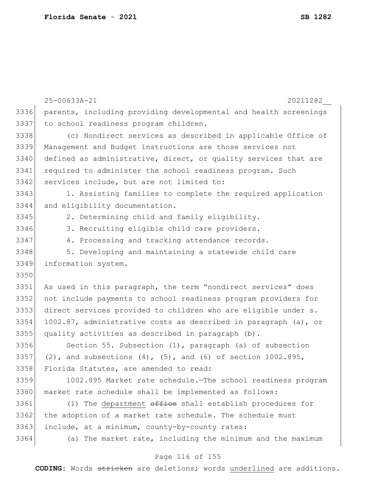|      | 25-00633A-21<br>20211282                                               |
|------|------------------------------------------------------------------------|
| 3336 | parents, including providing developmental and health screenings       |
| 3337 | to school readiness program children.                                  |
| 3338 | (c) Nondirect services as described in applicable Office of            |
| 3339 | Management and Budget instructions are those services not              |
| 3340 | defined as administrative, direct, or quality services that are        |
| 3341 | required to administer the school readiness program. Such              |
| 3342 | services include, but are not limited to:                              |
| 3343 | 1. Assisting families to complete the required application             |
| 3344 | and eligibility documentation.                                         |
| 3345 | 2. Determining child and family eligibility.                           |
| 3346 | 3. Recruiting eligible child care providers.                           |
| 3347 | 4. Processing and tracking attendance records.                         |
| 3348 | 5. Developing and maintaining a statewide child care                   |
| 3349 | information system.                                                    |
| 3350 |                                                                        |
| 3351 | As used in this paragraph, the term "nondirect services" does          |
| 3352 | not include payments to school readiness program providers for         |
| 3353 | direct services provided to children who are eligible under s.         |
| 3354 | 1002.87, administrative costs as described in paragraph (a), or        |
| 3355 | quality activities as described in paragraph (b).                      |
| 3356 | Section 55. Subsection (1), paragraph (a) of subsection                |
| 3357 | (2), and subsections $(4)$ , $(5)$ , and $(6)$ of section $1002.895$ , |
| 3358 | Florida Statutes, are amended to read:                                 |
| 3359 | 1002.895 Market rate schedule. The school readiness program            |
| 3360 | market rate schedule shall be implemented as follows:                  |
| 3361 | (1) The department office shall establish procedures for               |
| 3362 | the adoption of a market rate schedule. The schedule must              |
| 3363 | include, at a minimum, county-by-county rates:                         |
| 3364 | (a) The market rate, including the minimum and the maximum             |
|      | Page 116 of 155                                                        |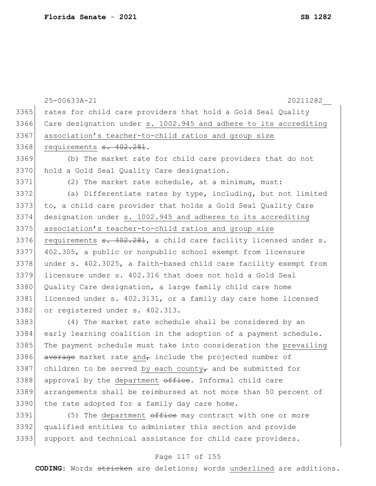|      | 25-00633A-21<br>20211282                                                               |
|------|----------------------------------------------------------------------------------------|
| 3365 | rates for child care providers that hold a Gold Seal Quality                           |
| 3366 | Care designation under s. 1002.945 and adhere to its accrediting                       |
| 3367 | association's teacher-to-child ratios and group size                                   |
| 3368 | requirements s. 402.281.                                                               |
| 3369 | (b) The market rate for child care providers that do not                               |
| 3370 | hold a Gold Seal Quality Care designation.                                             |
| 3371 | (2) The market rate schedule, at a minimum, must:                                      |
| 3372 | (a) Differentiate rates by type, including, but not limited                            |
| 3373 | to, a child care provider that holds a Gold Seal Quality Care                          |
| 3374 | designation under s. 1002.945 and adheres to its accrediting                           |
| 3375 | association's teacher-to-child ratios and group size                                   |
| 3376 | requirements <del>s. 402.281</del> , a child care facility licensed under s.           |
| 3377 | 402.305, a public or nonpublic school exempt from licensure                            |
| 3378 | under s. 402.3025, a faith-based child care facility exempt from                       |
| 3379 | licensure under s. 402.316 that does not hold a Gold Seal                              |
| 3380 | Quality Care designation, a large family child care home                               |
| 3381 | licensed under s. 402.3131, or a family day care home licensed                         |
| 3382 | or registered under s. 402.313.                                                        |
| 3383 | (4) The market rate schedule shall be considered by an                                 |
| 3384 | early learning coalition in the adoption of a payment schedule.                        |
| 3385 | The payment schedule must take into consideration the prevailing                       |
| 3386 | average market rate and, include the projected number of                               |
| 3387 | children to be served by each county <sub><math>\tau</math></sub> and be submitted for |
| 3388 | approval by the department office. Informal child care                                 |
| 3389 | arrangements shall be reimbursed at not more than 50 percent of                        |
| 3390 | the rate adopted for a family day care home.                                           |
|      |                                                                                        |

 $3391$  (5) The department  $\theta$ fice may contract with one or more 3392 qualified entities to administer this section and provide 3393 support and technical assistance for child care providers.

### Page 117 of 155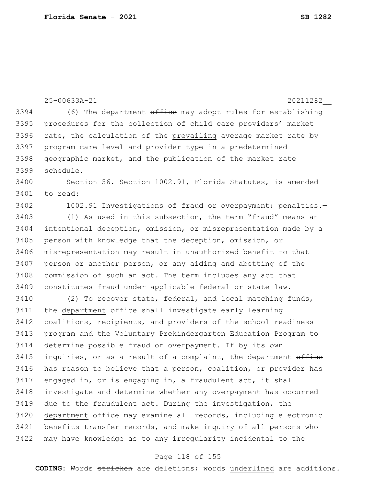|      | 25-00633A-21<br>20211282                                        |
|------|-----------------------------------------------------------------|
| 3394 | (6) The department office may adopt rules for establishing      |
| 3395 | procedures for the collection of child care providers' market   |
| 3396 | rate, the calculation of the prevailing average market rate by  |
| 3397 | program care level and provider type in a predetermined         |
| 3398 | geographic market, and the publication of the market rate       |
| 3399 | schedule.                                                       |
| 3400 | Section 56. Section 1002.91, Florida Statutes, is amended       |
| 3401 | to read:                                                        |
| 3402 | 1002.91 Investigations of fraud or overpayment; penalties.-     |
| 3403 | (1) As used in this subsection, the term "fraud" means an       |
| 3404 | intentional deception, omission, or misrepresentation made by a |
| 3405 | person with knowledge that the deception, omission, or          |
| 3406 | misrepresentation may result in unauthorized benefit to that    |
| 3407 | person or another person, or any aiding and abetting of the     |
| 3408 | commission of such an act. The term includes any act that       |
| 3409 | constitutes fraud under applicable federal or state law.        |
| 3410 | (2) To recover state, federal, and local matching funds,        |
| 3411 | the department office shall investigate early learning          |
| 3412 | coalitions, recipients, and providers of the school readiness   |
| 3413 | program and the Voluntary Prekindergarten Education Program to  |
| 3414 | determine possible fraud or overpayment. If by its own          |
| 3415 | inquiries, or as a result of a complaint, the department office |
| 3416 | has reason to believe that a person, coalition, or provider has |
| 3417 | engaged in, or is engaging in, a fraudulent act, it shall       |
| 3418 | investigate and determine whether any overpayment has occurred  |
| 3419 | due to the fraudulent act. During the investigation, the        |
| 3420 | department office may examine all records, including electronic |
| 3421 | benefits transfer records, and make inquiry of all persons who  |
| 3422 | may have knowledge as to any irregularity incidental to the     |

## Page 118 of 155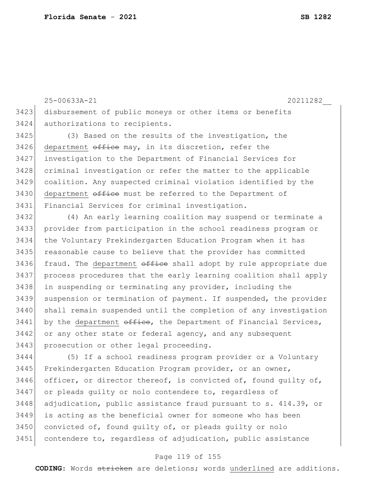25-00633A-21 20211282\_\_ 3423 disbursement of public moneys or other items or benefits 3424 authorizations to recipients. 3425 (3) Based on the results of the investigation, the

3426 department office may, in its discretion, refer the 3427 investigation to the Department of Financial Services for 3428 criminal investigation or refer the matter to the applicable 3429 coalition. Any suspected criminal violation identified by the 3430 department office must be referred to the Department of 3431 Financial Services for criminal investigation.

 (4) An early learning coalition may suspend or terminate a provider from participation in the school readiness program or the Voluntary Prekindergarten Education Program when it has reasonable cause to believe that the provider has committed 3436 fraud. The department  $\theta$ ffice shall adopt by rule appropriate due process procedures that the early learning coalition shall apply 3438 in suspending or terminating any provider, including the suspension or termination of payment. If suspended, the provider shall remain suspended until the completion of any investigation by the department office, the Department of Financial Services, 3442 or any other state or federal agency, and any subsequent 3443 prosecution or other legal proceeding.

3444 (5) If a school readiness program provider or a Voluntary 3445 Prekindergarten Education Program provider, or an owner, 3446 officer, or director thereof, is convicted of, found quilty of, 3447 or pleads guilty or nolo contendere to, regardless of 3448 adjudication, public assistance fraud pursuant to s. 414.39, or 3449 is acting as the beneficial owner for someone who has been 3450 convicted of, found guilty of, or pleads guilty or nolo 3451 contendere to, regardless of adjudication, public assistance

### Page 119 of 155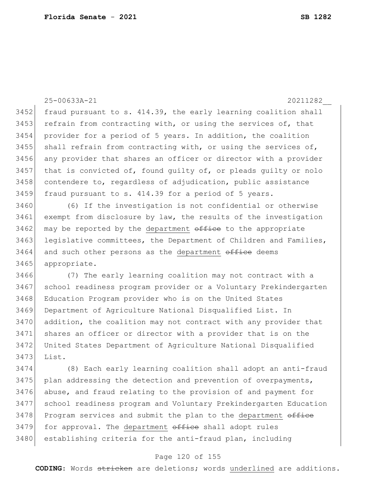25-00633A-21 20211282\_\_ 3452 fraud pursuant to s. 414.39, the early learning coalition shall  $3453$  refrain from contracting with, or using the services of, that 3454 provider for a period of 5 years. In addition, the coalition 3455 shall refrain from contracting with, or using the services of, 3456 any provider that shares an officer or director with a provider  $3457$  that is convicted of, found quilty of, or pleads quilty or nolo 3458 contendere to, regardless of adjudication, public assistance 3459 fraud pursuant to s. 414.39 for a period of 5 years. 3460 (6) If the investigation is not confidential or otherwise 3461 exempt from disclosure by law, the results of the investigation 3462 may be reported by the department office to the appropriate 3463 legislative committees, the Department of Children and Families, 3464 and such other persons as the department office deems 3465 appropriate. 3466 (7) The early learning coalition may not contract with a 3467 school readiness program provider or a Voluntary Prekindergarten 3468 Education Program provider who is on the United States 3469 Department of Agriculture National Disqualified List. In 3470 addition, the coalition may not contract with any provider that 3471 shares an officer or director with a provider that is on the 3472 United States Department of Agriculture National Disqualified 3473 List. 3474 (8) Each early learning coalition shall adopt an anti-fraud 3475 plan addressing the detection and prevention of overpayments, 3476 abuse, and fraud relating to the provision of and payment for 3477 school readiness program and Voluntary Prekindergarten Education 3478 Program services and submit the plan to the department office 3479 for approval. The department office shall adopt rules 3480 establishing criteria for the anti-fraud plan, including

#### Page 120 of 155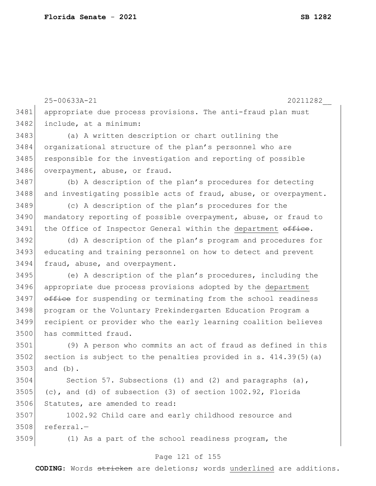|      | 25-00633A-21<br>20211282                                         |
|------|------------------------------------------------------------------|
| 3481 | appropriate due process provisions. The anti-fraud plan must     |
| 3482 | include, at a minimum:                                           |
| 3483 | (a) A written description or chart outlining the                 |
| 3484 | organizational structure of the plan's personnel who are         |
| 3485 | responsible for the investigation and reporting of possible      |
| 3486 | overpayment, abuse, or fraud.                                    |
| 3487 | (b) A description of the plan's procedures for detecting         |
| 3488 | and investigating possible acts of fraud, abuse, or overpayment. |
| 3489 | (c) A description of the plan's procedures for the               |
| 3490 | mandatory reporting of possible overpayment, abuse, or fraud to  |
| 3491 | the Office of Inspector General within the department office.    |
| 3492 | (d) A description of the plan's program and procedures for       |
| 3493 | educating and training personnel on how to detect and prevent    |
| 3494 | fraud, abuse, and overpayment.                                   |
| 3495 | (e) A description of the plan's procedures, including the        |
| 3496 | appropriate due process provisions adopted by the department     |
| 3497 | office for suspending or terminating from the school readiness   |
| 3498 | program or the Voluntary Prekindergarten Education Program a     |
| 3499 | recipient or provider who the early learning coalition believes  |
| 3500 | has committed fraud.                                             |
| 3501 | (9) A person who commits an act of fraud as defined in this      |
| 3502 | section is subject to the penalties provided in s. 414.39(5) (a) |
| 3503 | and $(b)$ .                                                      |
| 3504 | Section 57. Subsections (1) and (2) and paragraphs (a),          |
| 3505 | (c), and (d) of subsection (3) of section 1002.92, Florida       |
| 3506 | Statutes, are amended to read:                                   |
| 3507 | 1002.92 Child care and early childhood resource and              |
| 3508 | referral.-                                                       |
| 3509 | (1) As a part of the school readiness program, the               |

## Page 121 of 155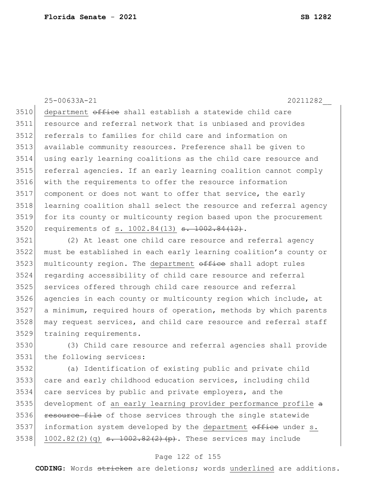25-00633A-21 20211282\_\_

3510 department office shall establish a statewide child care resource and referral network that is unbiased and provides referrals to families for child care and information on available community resources. Preference shall be given to using early learning coalitions as the child care resource and referral agencies. If an early learning coalition cannot comply with the requirements to offer the resource information component or does not want to offer that service, the early learning coalition shall select the resource and referral agency for its county or multicounty region based upon the procurement 3520 requirements of s. 1002.84(13) <del>s. 1002.84(12)</del>.

 (2) At least one child care resource and referral agency must be established in each early learning coalition's county or 3523 multicounty region. The department office shall adopt rules regarding accessibility of child care resource and referral 3525 services offered through child care resource and referral agencies in each county or multicounty region which include, at a minimum, required hours of operation, methods by which parents 3528 may request services, and child care resource and referral staff training requirements.

 (3) Child care resource and referral agencies shall provide the following services:

 (a) Identification of existing public and private child care and early childhood education services, including child care services by public and private employers, and the 3535 development of an early learning provider performance profile a 3536 resource file of those services through the single statewide 3537 information system developed by the department office under s. 3538 1002.82(2)(q) <del>s. 1002.82(2)(p)</del>. These services may include

### Page 122 of 155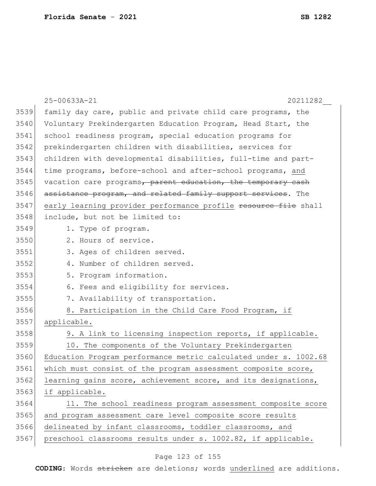|      | 25-00633A-21<br>20211282                                         |
|------|------------------------------------------------------------------|
| 3539 | family day care, public and private child care programs, the     |
| 3540 | Voluntary Prekindergarten Education Program, Head Start, the     |
| 3541 | school readiness program, special education programs for         |
| 3542 | prekindergarten children with disabilities, services for         |
| 3543 | children with developmental disabilities, full-time and part-    |
| 3544 | time programs, before-school and after-school programs, and      |
| 3545 | vacation care programs, parent education, the temporary cash     |
| 3546 | assistance program, and related family support services. The     |
| 3547 | early learning provider performance profile resource file shall  |
| 3548 | include, but not be limited to:                                  |
| 3549 | 1. Type of program.                                              |
| 3550 | 2. Hours of service.                                             |
| 3551 | 3. Ages of children served.                                      |
| 3552 | 4. Number of children served.                                    |
| 3553 | 5. Program information.                                          |
| 3554 | 6. Fees and eligibility for services.                            |
| 3555 | 7. Availability of transportation.                               |
| 3556 | 8. Participation in the Child Care Food Program, if              |
| 3557 | applicable.                                                      |
| 3558 | 9. A link to licensing inspection reports, if applicable.        |
| 3559 | 10. The components of the Voluntary Prekindergarten              |
| 3560 | Education Program performance metric calculated under s. 1002.68 |
| 3561 | which must consist of the program assessment composite score,    |
| 3562 | learning gains score, achievement score, and its designations,   |
| 3563 | if applicable.                                                   |
| 3564 | 11. The school readiness program assessment composite score      |
| 3565 | and program assessment care level composite score results        |
| 3566 | delineated by infant classrooms, toddler classrooms, and         |
| 3567 | preschool classrooms results under s. 1002.82, if applicable.    |
|      |                                                                  |

## Page 123 of 155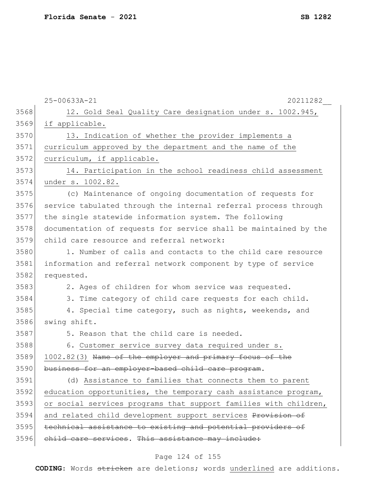|      | 25-00633A-21<br>20211282                                         |
|------|------------------------------------------------------------------|
| 3568 | 12. Gold Seal Quality Care designation under s. 1002.945,        |
| 3569 | if applicable.                                                   |
| 3570 | 13. Indication of whether the provider implements a              |
| 3571 | curriculum approved by the department and the name of the        |
| 3572 | curriculum, if applicable.                                       |
| 3573 | 14. Participation in the school readiness child assessment       |
| 3574 | under s. 1002.82.                                                |
| 3575 | (c) Maintenance of ongoing documentation of requests for         |
| 3576 | service tabulated through the internal referral process through  |
| 3577 | the single statewide information system. The following           |
| 3578 | documentation of requests for service shall be maintained by the |
| 3579 | child care resource and referral network:                        |
| 3580 | 1. Number of calls and contacts to the child care resource       |
| 3581 | information and referral network component by type of service    |
| 3582 | requested.                                                       |
| 3583 | 2. Ages of children for whom service was requested.              |
| 3584 | 3. Time category of child care requests for each child.          |
| 3585 | 4. Special time category, such as nights, weekends, and          |
| 3586 | swing shift.                                                     |
| 3587 | 5. Reason that the child care is needed.                         |
| 3588 | 6. Customer service survey data required under s.                |
| 3589 | 1002.82(3) Name of the employer and primary focus of the         |
| 3590 | business for an employer-based child care program.               |
| 3591 | (d) Assistance to families that connects them to parent          |
| 3592 | education opportunities, the temporary cash assistance program,  |
| 3593 | or social services programs that support families with children, |
| 3594 | and related child development support services Provision of      |
| 3595 | technical assistance to existing and potential providers of      |
| 3596 | child care services. This assistance may include:                |
|      |                                                                  |

## Page 124 of 155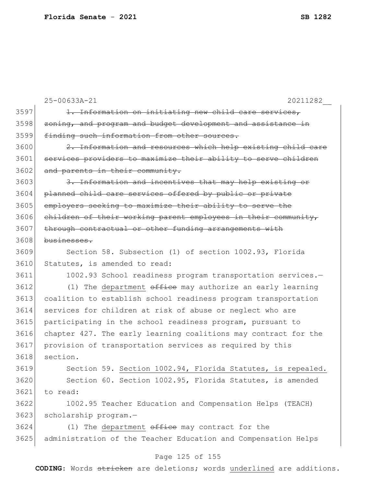|      | 25-00633A-21<br>20211282                                        |
|------|-----------------------------------------------------------------|
| 3597 | 1. Information on initiating new child care services,           |
| 3598 | zoning, and program and budget development and assistance in    |
| 3599 | finding such information from other sources.                    |
| 3600 | 2. Information and resources which help existing child care     |
| 3601 | services providers to maximize their ability to serve children  |
| 3602 | and parents in their community.                                 |
| 3603 | 3. Information and incentives that may help existing or         |
| 3604 | planned child care services offered by public or private        |
| 3605 | employers seeking to maximize their ability to serve the        |
| 3606 | children of their working parent employees in their community,  |
| 3607 | through contractual or other funding arrangements with          |
| 3608 | businesses.                                                     |
| 3609 | Section 58. Subsection (1) of section 1002.93, Florida          |
| 3610 | Statutes, is amended to read:                                   |
| 3611 | 1002.93 School readiness program transportation services.-      |
| 3612 | (1) The department office may authorize an early learning       |
| 3613 | coalition to establish school readiness program transportation  |
| 3614 | services for children at risk of abuse or neglect who are       |
| 3615 | participating in the school readiness program, pursuant to      |
| 3616 | chapter 427. The early learning coalitions may contract for the |
| 3617 | provision of transportation services as required by this        |
| 3618 | section.                                                        |
| 3619 | Section 59. Section 1002.94, Florida Statutes, is repealed.     |
| 3620 | Section 60. Section 1002.95, Florida Statutes, is amended       |
| 3621 | to read:                                                        |
| 3622 | 1002.95 Teacher Education and Compensation Helps (TEACH)        |
| 3623 | scholarship program.-                                           |
| 3624 | (1) The department $\theta$ fice may contract for the           |
| 3625 | administration of the Teacher Education and Compensation Helps  |
|      | Page 125 of 155                                                 |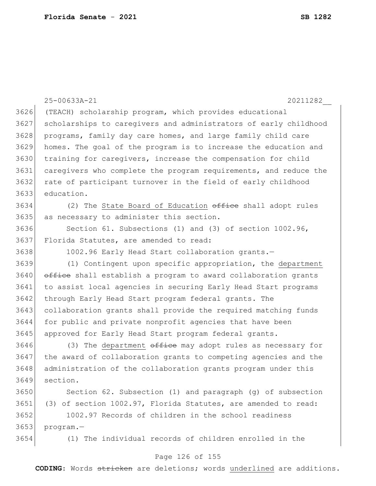|      | 25-00633A-21<br>20211282                                         |
|------|------------------------------------------------------------------|
| 3626 | (TEACH) scholarship program, which provides educational          |
| 3627 | scholarships to caregivers and administrators of early childhood |
| 3628 | programs, family day care homes, and large family child care     |
| 3629 | homes. The goal of the program is to increase the education and  |
| 3630 | training for caregivers, increase the compensation for child     |
| 3631 | caregivers who complete the program requirements, and reduce the |
| 3632 | rate of participant turnover in the field of early childhood     |
| 3633 | education.                                                       |
| 3634 | (2) The State Board of Education office shall adopt rules        |
| 3635 | as necessary to administer this section.                         |
| 3636 | Section 61. Subsections (1) and (3) of section 1002.96,          |
| 3637 | Florida Statutes, are amended to read:                           |
| 3638 | 1002.96 Early Head Start collaboration grants.-                  |
| 3639 | (1) Contingent upon specific appropriation, the department       |
| 3640 | office shall establish a program to award collaboration grants   |
| 3641 | to assist local agencies in securing Early Head Start programs   |
| 3642 | through Early Head Start program federal grants. The             |
| 3643 | collaboration grants shall provide the required matching funds   |
| 3644 | for public and private nonprofit agencies that have been         |
| 3645 | approved for Early Head Start program federal grants.            |
| 3646 | (3) The department office may adopt rules as necessary for       |
| 3647 | the award of collaboration grants to competing agencies and the  |
| 3648 | administration of the collaboration grants program under this    |
| 3649 | section.                                                         |
| 3650 | Section 62. Subsection (1) and paragraph (g) of subsection       |
| 3651 | (3) of section 1002.97, Florida Statutes, are amended to read:   |
| 3652 | 1002.97 Records of children in the school readiness              |
| 3653 | program.-                                                        |
| 3654 | (1) The individual records of children enrolled in the           |

## Page 126 of 155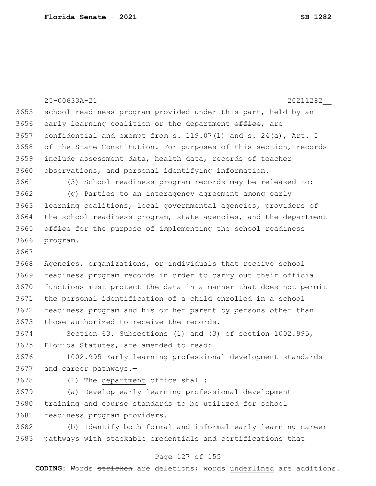|      | 25-00633A-21<br>20211282                                            |
|------|---------------------------------------------------------------------|
| 3655 | school readiness program provided under this part, held by an       |
| 3656 | early learning coalition or the department office, are              |
| 3657 |                                                                     |
|      | confidential and exempt from s. $119.07(1)$ and s. $24(a)$ , Art. I |
| 3658 | of the State Constitution. For purposes of this section, records    |
| 3659 | include assessment data, health data, records of teacher            |
| 3660 | observations, and personal identifying information.                 |
| 3661 | (3) School readiness program records may be released to:            |
| 3662 | (g) Parties to an interagency agreement among early                 |
| 3663 | learning coalitions, local governmental agencies, providers of      |
| 3664 | the school readiness program, state agencies, and the department    |
| 3665 | office for the purpose of implementing the school readiness         |
| 3666 | program.                                                            |
| 3667 |                                                                     |
| 3668 | Agencies, organizations, or individuals that receive school         |
| 3669 | readiness program records in order to carry out their official      |
| 3670 | functions must protect the data in a manner that does not permit    |
| 3671 | the personal identification of a child enrolled in a school         |
| 3672 | readiness program and his or her parent by persons other than       |
| 3673 | those authorized to receive the records.                            |
| 3674 | Section 63. Subsections (1) and (3) of section 1002.995,            |
| 3675 | Florida Statutes, are amended to read:                              |
| 3676 | 1002.995 Early learning professional development standards          |
| 3677 | and career pathways.-                                               |
| 3678 | The department office shall:<br>(1)                                 |
| 3679 | Develop early learning professional development<br>(a)              |
| 3680 | training and course standards to be utilized for school             |
| 3681 | readiness program providers.                                        |
| 3682 | (b) Identify both formal and informal early learning career         |
| 3683 | pathways with stackable credentials and certifications that         |

# Page 127 of 155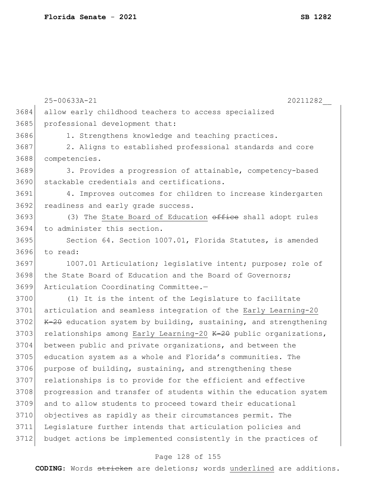|      | 25-00633A-21<br>20211282                                         |
|------|------------------------------------------------------------------|
| 3684 | allow early childhood teachers to access specialized             |
| 3685 | professional development that:                                   |
| 3686 | 1. Strengthens knowledge and teaching practices.                 |
| 3687 | 2. Aligns to established professional standards and core         |
| 3688 | competencies.                                                    |
| 3689 | 3. Provides a progression of attainable, competency-based        |
| 3690 | stackable credentials and certifications.                        |
| 3691 | 4. Improves outcomes for children to increase kindergarten       |
| 3692 | readiness and early grade success.                               |
| 3693 | (3) The State Board of Education office shall adopt rules        |
| 3694 | to administer this section.                                      |
| 3695 | Section 64. Section 1007.01, Florida Statutes, is amended        |
| 3696 | to read:                                                         |
| 3697 | 1007.01 Articulation; legislative intent; purpose; role of       |
| 3698 | the State Board of Education and the Board of Governors;         |
| 3699 | Articulation Coordinating Committee.-                            |
| 3700 | (1) It is the intent of the Legislature to facilitate            |
| 3701 | articulation and seamless integration of the Early Learning-20   |
| 3702 | K-20 education system by building, sustaining, and strengthening |
| 3703 | relationships among Early Learning-20 K-20 public organizations, |
| 3704 | between public and private organizations, and between the        |
| 3705 | education system as a whole and Florida's communities. The       |
| 3706 | purpose of building, sustaining, and strengthening these         |
| 3707 | relationships is to provide for the efficient and effective      |
| 3708 | progression and transfer of students within the education system |
| 3709 | and to allow students to proceed toward their educational        |
| 3710 | objectives as rapidly as their circumstances permit. The         |
| 3711 | Legislature further intends that articulation policies and       |
| 3712 | budget actions be implemented consistently in the practices of   |
|      |                                                                  |

## Page 128 of 155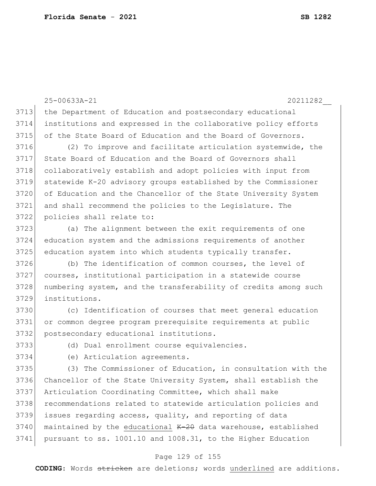25-00633A-21 20211282\_\_ 3713 the Department of Education and postsecondary educational institutions and expressed in the collaborative policy efforts 3715 of the State Board of Education and the Board of Governors. (2) To improve and facilitate articulation systemwide, the State Board of Education and the Board of Governors shall 3718 collaboratively establish and adopt policies with input from statewide K-20 advisory groups established by the Commissioner of Education and the Chancellor of the State University System and shall recommend the policies to the Legislature. The policies shall relate to: (a) The alignment between the exit requirements of one education system and the admissions requirements of another 3725 education system into which students typically transfer. (b) The identification of common courses, the level of courses, institutional participation in a statewide course 3728 numbering system, and the transferability of credits among such institutions. (c) Identification of courses that meet general education or common degree program prerequisite requirements at public postsecondary educational institutions. (d) Dual enrollment course equivalencies. (e) Articulation agreements.

 (3) The Commissioner of Education, in consultation with the Chancellor of the State University System, shall establish the Articulation Coordinating Committee, which shall make 3738 recommendations related to statewide articulation policies and issues regarding access, quality, and reporting of data maintained by the educational  $K-20$  data warehouse, established pursuant to ss. 1001.10 and 1008.31, to the Higher Education

### Page 129 of 155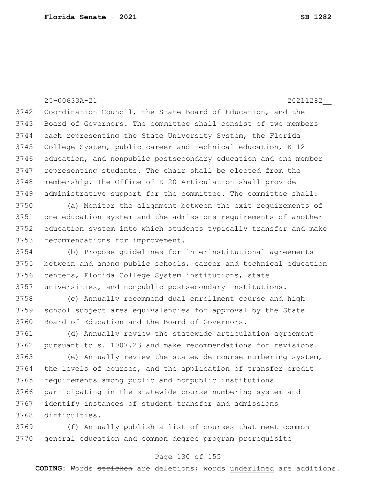25-00633A-21 20211282\_\_ Coordination Council, the State Board of Education, and the 3743 Board of Governors. The committee shall consist of two members each representing the State University System, the Florida College System, public career and technical education, K-12 education, and nonpublic postsecondary education and one member representing students. The chair shall be elected from the membership. The Office of K-20 Articulation shall provide administrative support for the committee. The committee shall: (a) Monitor the alignment between the exit requirements of one education system and the admissions requirements of another education system into which students typically transfer and make 3753 recommendations for improvement. (b) Propose guidelines for interinstitutional agreements between and among public schools, career and technical education centers, Florida College System institutions, state universities, and nonpublic postsecondary institutions. (c) Annually recommend dual enrollment course and high school subject area equivalencies for approval by the State 3760 Board of Education and the Board of Governors. (d) Annually review the statewide articulation agreement 3762 pursuant to s. 1007.23 and make recommendations for revisions. 3763 (e) Annually review the statewide course numbering system, 3764 the levels of courses, and the application of transfer credit requirements among public and nonpublic institutions participating in the statewide course numbering system and identify instances of student transfer and admissions difficulties. (f) Annually publish a list of courses that meet common general education and common degree program prerequisite

### Page 130 of 155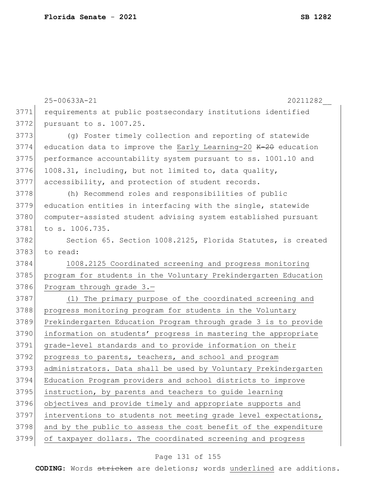|      | 25-00633A-21<br>20211282                                        |
|------|-----------------------------------------------------------------|
| 3771 | requirements at public postsecondary institutions identified    |
| 3772 | pursuant to s. 1007.25.                                         |
| 3773 | (q) Foster timely collection and reporting of statewide         |
| 3774 | education data to improve the Early Learning-20 K-20 education  |
| 3775 | performance accountability system pursuant to ss. 1001.10 and   |
| 3776 | 1008.31, including, but not limited to, data quality,           |
| 3777 | accessibility, and protection of student records.               |
| 3778 | (h) Recommend roles and responsibilities of public              |
| 3779 | education entities in interfacing with the single, statewide    |
| 3780 | computer-assisted student advising system established pursuant  |
| 3781 | to s. 1006.735.                                                 |
| 3782 | Section 65. Section 1008.2125, Florida Statutes, is created     |
| 3783 | to read:                                                        |
| 3784 | 1008.2125 Coordinated screening and progress monitoring         |
| 3785 | program for students in the Voluntary Prekindergarten Education |
| 3786 | Program through grade 3.-                                       |
| 3787 | (1) The primary purpose of the coordinated screening and        |
| 3788 | progress monitoring program for students in the Voluntary       |
| 3789 | Prekindergarten Education Program through grade 3 is to provide |
| 3790 | information on students' progress in mastering the appropriate  |
| 3791 | grade-level standards and to provide information on their       |
| 3792 | progress to parents, teachers, and school and program           |
| 3793 | administrators. Data shall be used by Voluntary Prekindergarten |
| 3794 | Education Program providers and school districts to improve     |
| 3795 | instruction, by parents and teachers to guide learning          |
| 3796 | objectives and provide timely and appropriate supports and      |
| 3797 | interventions to students not meeting grade level expectations, |
| 3798 | and by the public to assess the cost benefit of the expenditure |
| 3799 | of taxpayer dollars. The coordinated screening and progress     |

## Page 131 of 155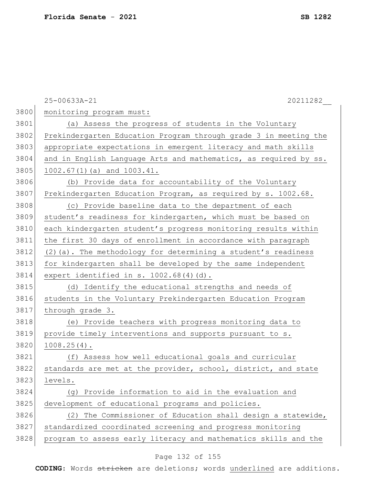|      | 25-00633A-21<br>20211282                                         |
|------|------------------------------------------------------------------|
| 3800 | monitoring program must:                                         |
| 3801 | (a) Assess the progress of students in the Voluntary             |
| 3802 | Prekindergarten Education Program through grade 3 in meeting the |
| 3803 | appropriate expectations in emergent literacy and math skills    |
| 3804 | and in English Language Arts and mathematics, as required by ss. |
| 3805 | 1002.67(1)(a) and 1003.41.                                       |
| 3806 | (b) Provide data for accountability of the Voluntary             |
| 3807 | Prekindergarten Education Program, as required by s. 1002.68.    |
| 3808 | (c) Provide baseline data to the department of each              |
| 3809 | student's readiness for kindergarten, which must be based on     |
| 3810 | each kindergarten student's progress monitoring results within   |
| 3811 | the first 30 days of enrollment in accordance with paragraph     |
| 3812 | $(2)$ (a). The methodology for determining a student's readiness |
| 3813 | for kindergarten shall be developed by the same independent      |
| 3814 | expert identified in $s. 1002.68(4)(d)$ .                        |
| 3815 | (d) Identify the educational strengths and needs of              |
| 3816 | students in the Voluntary Prekindergarten Education Program      |
| 3817 | through grade 3.                                                 |
| 3818 | (e) Provide teachers with progress monitoring data to            |
| 3819 | provide timely interventions and supports pursuant to s.         |
| 3820 | $1008.25(4)$ .                                                   |
| 3821 | Assess how well educational goals and curricular<br>(f)          |
| 3822 | standards are met at the provider, school, district, and state   |
| 3823 | levels.                                                          |
| 3824 | Provide information to aid in the evaluation and<br>(q)          |
| 3825 | development of educational programs and policies.                |
| 3826 | The Commissioner of Education shall design a statewide,<br>(2)   |
| 3827 | standardized coordinated screening and progress monitoring       |
| 3828 | program to assess early literacy and mathematics skills and the  |

## Page 132 of 155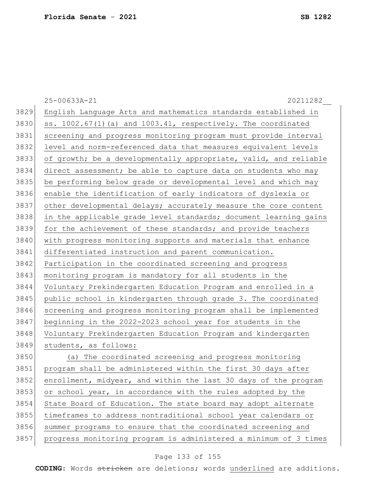|      | 20211282<br>25-00633A-21                                           |
|------|--------------------------------------------------------------------|
| 3829 | English Language Arts and mathematics standards established in     |
| 3830 | ss. $1002.67(1)$ (a) and $1003.41$ , respectively. The coordinated |
| 3831 | screening and progress monitoring program must provide interval    |
| 3832 | level and norm-referenced data that measures equivalent levels     |
| 3833 | of growth; be a developmentally appropriate, valid, and reliable   |
| 3834 | direct assessment; be able to capture data on students who may     |
| 3835 | be performing below grade or developmental level and which may     |
| 3836 | enable the identification of early indicators of dyslexia or       |
| 3837 | other developmental delays; accurately measure the core content    |
| 3838 | in the applicable grade level standards; document learning gains   |
| 3839 | for the achievement of these standards; and provide teachers       |
| 3840 | with progress monitoring supports and materials that enhance       |
| 3841 | differentiated instruction and parent communication.               |
| 3842 | Participation in the coordinated screening and progress            |
| 3843 | monitoring program is mandatory for all students in the            |
| 3844 | Voluntary Prekindergarten Education Program and enrolled in a      |
| 3845 | public school in kindergarten through grade 3. The coordinated     |
| 3846 | screening and progress monitoring program shall be implemented     |
| 3847 | beginning in the 2022-2023 school year for students in the         |
| 3848 | Voluntary Prekindergarten Education Program and kindergarten       |
| 3849 | students, as follows:                                              |
| 3850 | The coordinated screening and progress monitoring<br>(a)           |
| 3851 | program shall be administered within the first 30 days after       |
| 3852 | enrollment, midyear, and within the last 30 days of the program    |
| 3853 | or school year, in accordance with the rules adopted by the        |
| 3854 | State Board of Education. The state board may adopt alternate      |
| 3855 | timeframes to address nontraditional school year calendars or      |
| 3856 | summer programs to ensure that the coordinated screening and       |
| 3857 | progress monitoring program is administered a minimum of 3 times   |

## Page 133 of 155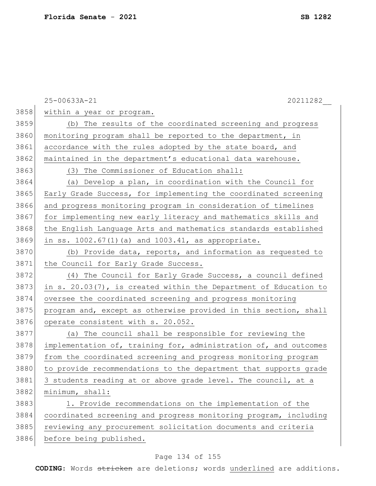|      | 25-00633A-21<br>20211282                                         |
|------|------------------------------------------------------------------|
| 3858 | within a year or program.                                        |
| 3859 | (b) The results of the coordinated screening and progress        |
| 3860 | monitoring program shall be reported to the department, in       |
| 3861 | accordance with the rules adopted by the state board, and        |
| 3862 | maintained in the department's educational data warehouse.       |
| 3863 | (3) The Commissioner of Education shall:                         |
| 3864 | (a) Develop a plan, in coordination with the Council for         |
| 3865 | Early Grade Success, for implementing the coordinated screening  |
| 3866 | and progress monitoring program in consideration of timelines    |
| 3867 | for implementing new early literacy and mathematics skills and   |
| 3868 | the English Language Arts and mathematics standards established  |
| 3869 | in ss. 1002.67(1)(a) and 1003.41, as appropriate.                |
| 3870 | (b) Provide data, reports, and information as requested to       |
| 3871 | the Council for Early Grade Success.                             |
| 3872 | The Council for Early Grade Success, a council defined<br>(4)    |
| 3873 | in s. 20.03(7), is created within the Department of Education to |
| 3874 | oversee the coordinated screening and progress monitoring        |
| 3875 | program and, except as otherwise provided in this section, shall |
| 3876 | operate consistent with s. 20.052.                               |
| 3877 | (a) The council shall be responsible for reviewing the           |
| 3878 | implementation of, training for, administration of, and outcomes |
| 3879 | from the coordinated screening and progress monitoring program   |
| 3880 | to provide recommendations to the department that supports grade |
| 3881 | 3 students reading at or above grade level. The council, at a    |
| 3882 | minimum, shall:                                                  |
| 3883 | 1. Provide recommendations on the implementation of the          |
| 3884 | coordinated screening and progress monitoring program, including |
| 3885 | reviewing any procurement solicitation documents and criteria    |
| 3886 | before being published.                                          |

## Page 134 of 155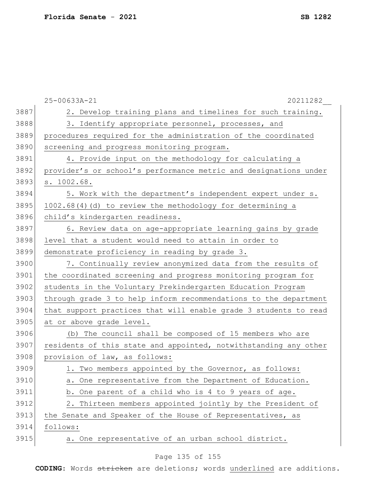|      | 25-00633A-21<br>20211282                                         |
|------|------------------------------------------------------------------|
| 3887 | 2. Develop training plans and timelines for such training.       |
| 3888 | 3. Identify appropriate personnel, processes, and                |
| 3889 | procedures required for the administration of the coordinated    |
| 3890 | screening and progress monitoring program.                       |
| 3891 | 4. Provide input on the methodology for calculating a            |
| 3892 | provider's or school's performance metric and designations under |
| 3893 | s. 1002.68.                                                      |
| 3894 | 5. Work with the department's independent expert under s.        |
| 3895 | 1002.68(4)(d) to review the methodology for determining a        |
| 3896 | child's kindergarten readiness.                                  |
| 3897 | 6. Review data on age-appropriate learning gains by grade        |
| 3898 | level that a student would need to attain in order to            |
| 3899 | demonstrate proficiency in reading by grade 3.                   |
| 3900 | 7. Continually review anonymized data from the results of        |
| 3901 | the coordinated screening and progress monitoring program for    |
| 3902 | students in the Voluntary Prekindergarten Education Program      |
| 3903 | through grade 3 to help inform recommendations to the department |
| 3904 | that support practices that will enable grade 3 students to read |
| 3905 | at or above grade level.                                         |
| 3906 | (b) The council shall be composed of 15 members who are          |
| 3907 | residents of this state and appointed, notwithstanding any other |
| 3908 | provision of law, as follows:                                    |
| 3909 | 1. Two members appointed by the Governor, as follows:            |
| 3910 | a. One representative from the Department of Education.          |
| 3911 | b. One parent of a child who is 4 to 9 years of age.             |
| 3912 | 2. Thirteen members appointed jointly by the President of        |
| 3913 | the Senate and Speaker of the House of Representatives, as       |
| 3914 | follows:                                                         |
| 3915 | a. One representative of an urban school district.               |

## Page 135 of 155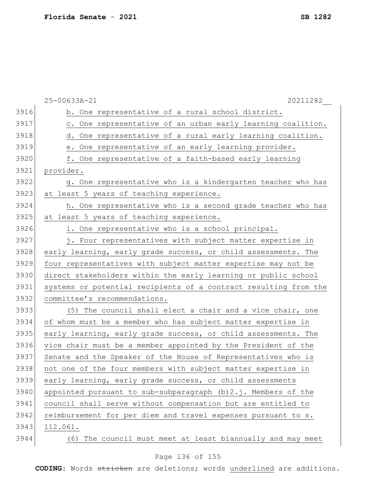|      | 25-00633A-21<br>20211282                                         |
|------|------------------------------------------------------------------|
| 3916 | b. One representative of a rural school district.                |
| 3917 | c. One representative of an urban early learning coalition.      |
| 3918 | d. One representative of a rural early learning coalition.       |
| 3919 | e. One representative of an early learning provider.             |
| 3920 | f. One representative of a faith-based early learning            |
| 3921 | provider.                                                        |
| 3922 | g. One representative who is a kindergarten teacher who has      |
| 3923 | at least 5 years of teaching experience.                         |
| 3924 | h. One representative who is a second grade teacher who has      |
| 3925 | at least 5 years of teaching experience.                         |
| 3926 | i. One representative who is a school principal.                 |
| 3927 | j. Four representatives with subject matter expertise in         |
| 3928 | early learning, early grade success, or child assessments. The   |
| 3929 | four representatives with subject matter expertise may not be    |
| 3930 | direct stakeholders within the early learning or public school   |
| 3931 | systems or potential recipients of a contract resulting from the |
| 3932 | committee's recommendations.                                     |
| 3933 | (5) The council shall elect a chair and a vice chair, one        |
| 3934 | of whom must be a member who has subject matter expertise in     |
| 3935 | early learning, early grade success, or child assessments. The   |
| 3936 | vice chair must be a member appointed by the President of the    |
| 3937 | Senate and the Speaker of the House of Representatives who is    |
| 3938 | not one of the four members with subject matter expertise in     |
| 3939 | early learning, early grade success, or child assessments        |
| 3940 | appointed pursuant to sub-subparagraph $(b) 2.j.$ Members of the |
| 3941 | council shall serve without compensation but are entitled to     |
| 3942 | reimbursement for per diem and travel expenses pursuant to s.    |
| 3943 | 112.061.                                                         |
| 3944 | The council must meet at least biannually and may meet<br>(6)    |

## Page 136 of 155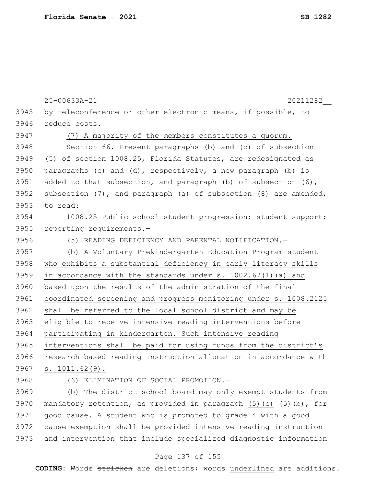|      | 25-00633A-21<br>20211282                                                                                            |
|------|---------------------------------------------------------------------------------------------------------------------|
| 3945 | by teleconference or other electronic means, if possible, to                                                        |
| 3946 | reduce costs.                                                                                                       |
| 3947 | (7) A majority of the members constitutes a quorum.                                                                 |
| 3948 | Section 66. Present paragraphs (b) and (c) of subsection                                                            |
| 3949 | (5) of section 1008.25, Florida Statutes, are redesignated as                                                       |
| 3950 | paragraphs (c) and (d), respectively, a new paragraph (b) is                                                        |
| 3951 | added to that subsection, and paragraph (b) of subsection (6),                                                      |
| 3952 | subsection (7), and paragraph (a) of subsection (8) are amended,                                                    |
| 3953 | to read:                                                                                                            |
| 3954 | 1008.25 Public school student progression; student support;                                                         |
| 3955 | reporting requirements.-                                                                                            |
| 3956 | (5) READING DEFICIENCY AND PARENTAL NOTIFICATION.-                                                                  |
| 3957 | (b) A Voluntary Prekindergarten Education Program student                                                           |
| 3958 | who exhibits a substantial deficiency in early literacy skills                                                      |
| 3959 | in accordance with the standards under s. 1002.67(1) (a) and                                                        |
| 3960 | based upon the results of the administration of the final                                                           |
| 3961 | coordinated screening and progress monitoring under s. 1008.2125                                                    |
| 3962 | shall be referred to the local school district and may be                                                           |
| 3963 | eligible to receive intensive reading interventions before                                                          |
| 3964 | participating in kindergarten. Such intensive reading                                                               |
| 3965 | interventions shall be paid for using funds from the district's                                                     |
| 3966 | research-based reading instruction allocation in accordance with                                                    |
| 3967 | s. 1011.62(9).                                                                                                      |
| 3968 | (6) ELIMINATION OF SOCIAL PROMOTION.-                                                                               |
| 3969 | (b) The district school board may only exempt students from                                                         |
| 3970 | mandatory retention, as provided in paragraph (5)(c) $\left( \frac{1}{5} \right) \left( \frac{1}{12} \right)$ , for |
| 3971 | good cause. A student who is promoted to grade 4 with a good                                                        |
| 3972 | cause exemption shall be provided intensive reading instruction                                                     |
| 3973 | and intervention that include specialized diagnostic information                                                    |

## Page 137 of 155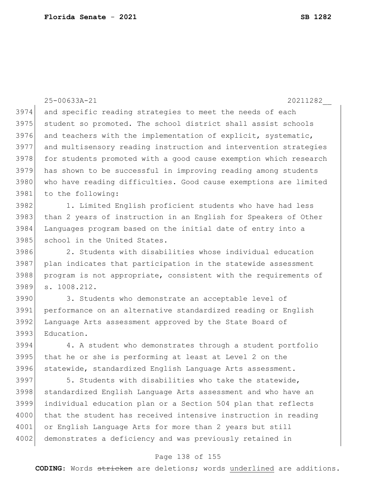|      | 25-00633A-21<br>20211282                                         |
|------|------------------------------------------------------------------|
| 3974 | and specific reading strategies to meet the needs of each        |
| 3975 | student so promoted. The school district shall assist schools    |
| 3976 | and teachers with the implementation of explicit, systematic,    |
| 3977 | and multisensory reading instruction and intervention strategies |
| 3978 | for students promoted with a good cause exemption which research |
| 3979 | has shown to be successful in improving reading among students   |
| 3980 | who have reading difficulties. Good cause exemptions are limited |
| 3981 | to the following:                                                |
| 3982 | 1. Limited English proficient students who have had less         |
| 3983 | than 2 years of instruction in an English for Speakers of Other  |
| 3984 | Languages program based on the initial date of entry into a      |
| 3985 | school in the United States.                                     |
| 3986 | 2. Students with disabilities whose individual education         |
| 3987 | plan indicates that participation in the statewide assessment    |
| 3988 | program is not appropriate, consistent with the requirements of  |
| 3989 | s. 1008.212.                                                     |
| 3990 | 3. Students who demonstrate an acceptable level of               |
| 3991 | performance on an alternative standardized reading or English    |
| 3992 | Language Arts assessment approved by the State Board of          |
| 3993 | Education.                                                       |
| 3994 | 4. A student who demonstrates through a student portfolio        |
| 3995 | that he or she is performing at least at Level 2 on the          |
| 3996 | statewide, standardized English Language Arts assessment.        |
| 3997 | 5. Students with disabilities who take the statewide,            |
| 3998 | standardized English Language Arts assessment and who have an    |
| 3999 | individual education plan or a Section 504 plan that reflects    |
| 4000 | that the student has received intensive instruction in reading   |
| 4001 | or English Language Arts for more than 2 years but still         |
| 4002 | demonstrates a deficiency and was previously retained in         |

## Page 138 of 155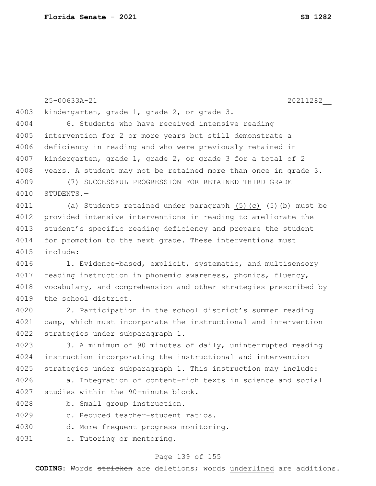|      | 25-00633A-21                                                                 |
|------|------------------------------------------------------------------------------|
| 4003 | 20211282<br>kindergarten, grade 1, grade 2, or grade 3.                      |
| 4004 |                                                                              |
|      | 6. Students who have received intensive reading                              |
| 4005 | intervention for 2 or more years but still demonstrate a                     |
| 4006 | deficiency in reading and who were previously retained in                    |
| 4007 | kindergarten, grade 1, grade 2, or grade 3 for a total of 2                  |
| 4008 | years. A student may not be retained more than once in grade 3.              |
| 4009 | (7) SUCCESSFUL PROGRESSION FOR RETAINED THIRD GRADE                          |
| 4010 | STUDENTS.-                                                                   |
| 4011 | (a) Students retained under paragraph $(5)$ (c) $\overline{(5) (b)}$ must be |
| 4012 | provided intensive interventions in reading to ameliorate the                |
| 4013 | student's specific reading deficiency and prepare the student                |
| 4014 | for promotion to the next grade. These interventions must                    |
| 4015 | include:                                                                     |
| 4016 | 1. Evidence-based, explicit, systematic, and multisensory                    |
| 4017 | reading instruction in phonemic awareness, phonics, fluency,                 |
| 4018 | vocabulary, and comprehension and other strategies prescribed by             |
| 4019 | the school district.                                                         |
| 4020 | 2. Participation in the school district's summer reading                     |
| 4021 | camp, which must incorporate the instructional and intervention              |
| 4022 | strategies under subparagraph 1.                                             |
| 4023 | 3. A minimum of 90 minutes of daily, uninterrupted reading                   |
| 4024 | instruction incorporating the instructional and intervention                 |
| 4025 | strategies under subparagraph 1. This instruction may include:               |
| 4026 | a. Integration of content-rich texts in science and social                   |
| 4027 | studies within the 90-minute block.                                          |
| 4028 | b. Small group instruction.                                                  |
| 4029 | c. Reduced teacher-student ratios.                                           |
| 4030 | d. More frequent progress monitoring.                                        |
| 4031 | e. Tutoring or mentoring.                                                    |
|      |                                                                              |

## Page 139 of 155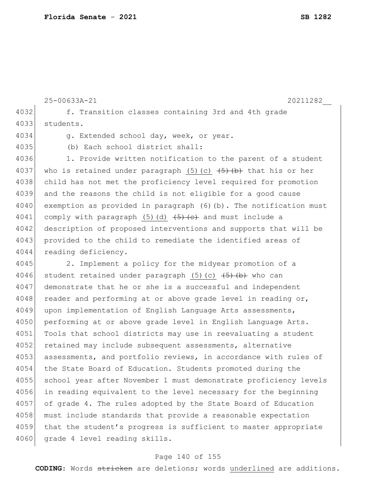25-00633A-21 20211282\_\_ 4032 f. Transition classes containing 3rd and 4th grade 4033 students. 4034 g. Extended school day, week, or year. 4035 (b) Each school district shall: 4036 1. Provide written notification to the parent of a student 4037 who is retained under paragraph (5)(c)  $\left( \frac{1}{5} \right)$  that his or her 4038 child has not met the proficiency level required for promotion 4039 and the reasons the child is not eligible for a good cause 4040 exemption as provided in paragraph (6)(b). The notification must 4041 comply with paragraph (5)(d)  $\left( \frac{4}{5} \right)$  and must include a 4042 description of proposed interventions and supports that will be 4043 provided to the child to remediate the identified areas of 4044 reading deficiency. 4045 2. Implement a policy for the midyear promotion of a 4046 student retained under paragraph  $(5)$  (c)  $\overline{(+5)}$  who can 4047 demonstrate that he or she is a successful and independent 4048 reader and performing at or above grade level in reading or, 4049 upon implementation of English Language Arts assessments, 4050 performing at or above grade level in English Language Arts. 4051 Tools that school districts may use in reevaluating a student 4052 retained may include subsequent assessments, alternative 4053 assessments, and portfolio reviews, in accordance with rules of 4054 the State Board of Education. Students promoted during the 4055 school year after November 1 must demonstrate proficiency levels 4056 in reading equivalent to the level necessary for the beginning 4057 of grade 4. The rules adopted by the State Board of Education 4058 must include standards that provide a reasonable expectation 4059 that the student's progress is sufficient to master appropriate 4060 grade 4 level reading skills.

### Page 140 of 155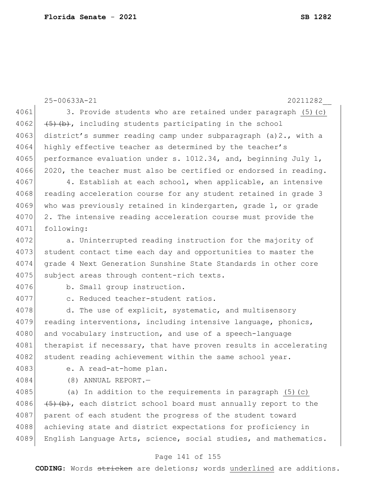|      | 25-00633A-21<br>20211282                                             |
|------|----------------------------------------------------------------------|
| 4061 | 3. Provide students who are retained under paragraph (5) (c)         |
| 4062 | $(5)$ (b), including students participating in the school            |
| 4063 | district's summer reading camp under subparagraph (a)2., with a      |
| 4064 | highly effective teacher as determined by the teacher's              |
| 4065 | performance evaluation under s. 1012.34, and, beginning July 1,      |
| 4066 | 2020, the teacher must also be certified or endorsed in reading.     |
| 4067 | 4. Establish at each school, when applicable, an intensive           |
| 4068 | reading acceleration course for any student retained in grade 3      |
| 4069 | who was previously retained in kindergarten, grade 1, or grade       |
| 4070 | 2. The intensive reading acceleration course must provide the        |
| 4071 | following:                                                           |
| 4072 | a. Uninterrupted reading instruction for the majority of             |
| 4073 | student contact time each day and opportunities to master the        |
| 4074 | grade 4 Next Generation Sunshine State Standards in other core       |
| 4075 | subject areas through content-rich texts.                            |
| 4076 | b. Small group instruction.                                          |
| 4077 | c. Reduced teacher-student ratios.                                   |
| 4078 | d. The use of explicit, systematic, and multisensory                 |
| 4079 | reading interventions, including intensive language, phonics,        |
| 4080 | and vocabulary instruction, and use of a speech-language             |
| 4081 | therapist if necessary, that have proven results in accelerating     |
| 4082 | student reading achievement within the same school year.             |
| 4083 | e. A read-at-home plan.                                              |
| 4084 | (8) ANNUAL REPORT.-                                                  |
| 4085 | (a) In addition to the requirements in paragraph $(5)$ (c)           |
| 4086 | $(5)$ $(b)$ , each district school board must annually report to the |
| 4087 | parent of each student the progress of the student toward            |
| 4088 | achieving state and district expectations for proficiency in         |
| 4089 | English Language Arts, science, social studies, and mathematics.     |
|      | Page 141 of 155                                                      |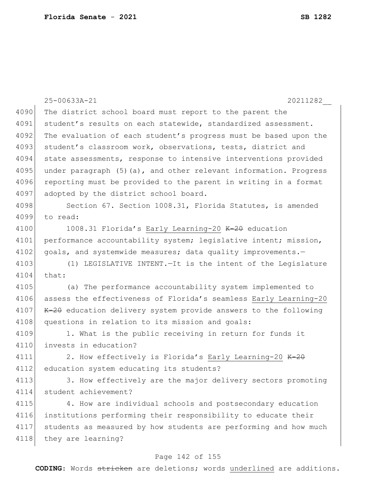|      | 25-00633A-21<br>20211282                                            |
|------|---------------------------------------------------------------------|
| 4090 | The district school board must report to the parent the             |
| 4091 | student's results on each statewide, standardized assessment.       |
| 4092 | The evaluation of each student's progress must be based upon the    |
| 4093 | student's classroom work, observations, tests, district and         |
| 4094 | state assessments, response to intensive interventions provided     |
| 4095 | under paragraph $(5)$ (a), and other relevant information. Progress |
| 4096 | reporting must be provided to the parent in writing in a format     |
| 4097 | adopted by the district school board.                               |
| 4098 | Section 67. Section 1008.31, Florida Statutes, is amended           |
| 4099 | to read:                                                            |
| 4100 | 1008.31 Florida's Early Learning-20 K-20 education                  |
| 4101 | performance accountability system; legislative intent; mission,     |
| 4102 | goals, and systemwide measures; data quality improvements.-         |
| 4103 | (1) LEGISLATIVE INTENT. - It is the intent of the Legislature       |
| 4104 | that:                                                               |
| 4105 | (a) The performance accountability system implemented to            |
| 4106 | assess the effectiveness of Florida's seamless Early Learning-20    |
| 4107 | K-20 education delivery system provide answers to the following     |
| 4108 | questions in relation to its mission and goals:                     |
| 4109 | 1. What is the public receiving in return for funds it              |
| 4110 | invests in education?                                               |
| 4111 | 2. How effectively is Florida's Early Learning-20 K-20              |
| 4112 | education system educating its students?                            |
| 4113 | 3. How effectively are the major delivery sectors promoting         |
| 4114 | student achievement?                                                |
| 4115 | 4. How are individual schools and postsecondary education           |
| 4116 | institutions performing their responsibility to educate their       |
| 4117 | students as measured by how students are performing and how much    |
| 4118 | they are learning?                                                  |
|      |                                                                     |

### Page 142 of 155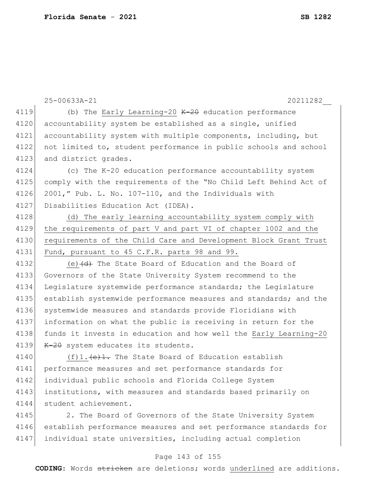|      | 20211282<br>25-00633A-21                                         |
|------|------------------------------------------------------------------|
| 4119 | (b) The Early Learning-20 $K-2\theta$ education performance      |
| 4120 | accountability system be established as a single, unified        |
| 4121 | accountability system with multiple components, including, but   |
| 4122 | not limited to, student performance in public schools and school |
| 4123 | and district grades.                                             |
| 4124 | (c) The K-20 education performance accountability system         |
| 4125 | comply with the requirements of the "No Child Left Behind Act of |
| 4126 | 2001," Pub. L. No. 107-110, and the Individuals with             |
| 4127 | Disabilities Education Act (IDEA).                               |
| 4128 | (d) The early learning accountability system comply with         |
| 4129 | the requirements of part V and part VI of chapter 1002 and the   |
| 4130 | requirements of the Child Care and Development Block Grant Trust |
| 4131 | Fund, pursuant to 45 C.F.R. parts 98 and 99.                     |
| 4132 | (e) $\overline{d}$ The State Board of Education and the Board of |
| 4133 | Governors of the State University System recommend to the        |
| 4134 | Legislature systemwide performance standards; the Legislature    |
| 4135 | establish systemwide performance measures and standards; and the |
| 4136 | systemwide measures and standards provide Floridians with        |
| 4137 | information on what the public is receiving in return for the    |
| 4138 | funds it invests in education and how well the Early Learning-20 |
| 4139 | K-20 system educates its students.                               |
| 4140 |                                                                  |
| 4141 | performance measures and set performance standards for           |
| 4142 | individual public schools and Florida College System             |
| 4143 | institutions, with measures and standards based primarily on     |
| 4144 | student achievement.                                             |

4145 2. The Board of Governors of the State University System 4146 establish performance measures and set performance standards for 4147 individual state universities, including actual completion

### Page 143 of 155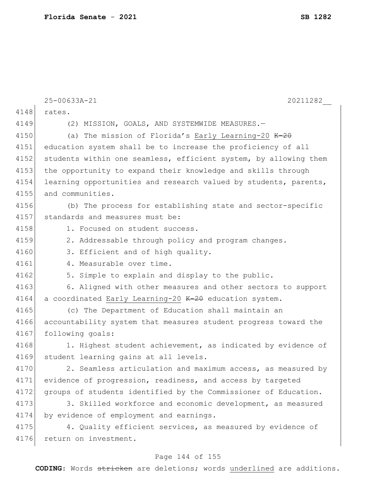|      | 25-00633A-21<br>20211282                                         |
|------|------------------------------------------------------------------|
| 4148 | rates.                                                           |
| 4149 | (2) MISSION, GOALS, AND SYSTEMWIDE MEASURES.-                    |
| 4150 | (a) The mission of Florida's Early Learning-20 K-20              |
| 4151 | education system shall be to increase the proficiency of all     |
| 4152 | students within one seamless, efficient system, by allowing them |
| 4153 | the opportunity to expand their knowledge and skills through     |
| 4154 | learning opportunities and research valued by students, parents, |
| 4155 | and communities.                                                 |
| 4156 | (b) The process for establishing state and sector-specific       |
| 4157 | standards and measures must be:                                  |
| 4158 | 1. Focused on student success.                                   |
| 4159 | 2. Addressable through policy and program changes.               |
| 4160 | 3. Efficient and of high quality.                                |
| 4161 | 4. Measurable over time.                                         |
| 4162 | 5. Simple to explain and display to the public.                  |
| 4163 | 6. Aligned with other measures and other sectors to support      |
| 4164 | a coordinated Early Learning-20 K-20 education system.           |
| 4165 | (c) The Department of Education shall maintain an                |
| 4166 | accountability system that measures student progress toward the  |
| 4167 | following goals:                                                 |
| 4168 | 1. Highest student achievement, as indicated by evidence of      |
| 4169 | student learning gains at all levels.                            |
| 4170 | 2. Seamless articulation and maximum access, as measured by      |
| 4171 | evidence of progression, readiness, and access by targeted       |
| 4172 | groups of students identified by the Commissioner of Education.  |
| 4173 | 3. Skilled workforce and economic development, as measured       |
| 4174 | by evidence of employment and earnings.                          |
| 4175 | 4. Quality efficient services, as measured by evidence of        |
| 4176 | return on investment.                                            |

## Page 144 of 155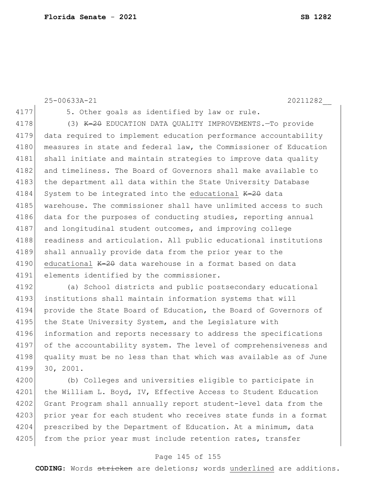```
25-00633A-21 20211282__
4177 5. Other goals as identified by law or rule.
4178 (3) K-20 EDUCATION DATA QUALITY IMPROVEMENTS. To provide
4179 data required to implement education performance accountability 
4180 measures in state and federal law, the Commissioner of Education
4181 shall initiate and maintain strategies to improve data quality
4182 and timeliness. The Board of Governors shall make available to
4183 the department all data within the State University Database
4184 System to be integrated into the educational K-2\theta data
4185 warehouse. The commissioner shall have unlimited access to such
4186 data for the purposes of conducting studies, reporting annual
4187 and longitudinal student outcomes, and improving college
4188 readiness and articulation. All public educational institutions
4189 shall annually provide data from the prior year to the
4190 educational K-2\theta data warehouse in a format based on data
4191 elements identified by the commissioner.
4192 (a) School districts and public postsecondary educational 
4193 institutions shall maintain information systems that will
4194 provide the State Board of Education, the Board of Governors of
4195 the State University System, and the Legislature with
4196 information and reports necessary to address the specifications 
4197 of the accountability system. The level of comprehensiveness and
4198 quality must be no less than that which was available as of June
4199 30, 2001.
4200 (b) Colleges and universities eligible to participate in 
4201 the William L. Boyd, IV, Effective Access to Student Education
4202 Grant Program shall annually report student-level data from the
4203 prior year for each student who receives state funds in a format
```
4204 prescribed by the Department of Education. At a minimum, data 4205 from the prior year must include retention rates, transfer

#### Page 145 of 155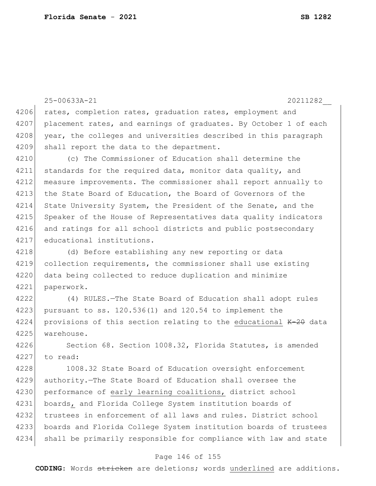|      | 25-00633A-21<br>20211282                                         |
|------|------------------------------------------------------------------|
| 4206 | rates, completion rates, graduation rates, employment and        |
| 4207 | placement rates, and earnings of graduates. By October 1 of each |
| 4208 | year, the colleges and universities described in this paragraph  |
| 4209 | shall report the data to the department.                         |
| 4210 | (c) The Commissioner of Education shall determine the            |
| 4211 | standards for the required data, monitor data quality, and       |
| 4212 | measure improvements. The commissioner shall report annually to  |
| 4213 | the State Board of Education, the Board of Governors of the      |
| 4214 | State University System, the President of the Senate, and the    |
| 4215 | Speaker of the House of Representatives data quality indicators  |
| 4216 | and ratings for all school districts and public postsecondary    |
| 4217 | educational institutions.                                        |
| 4218 | (d) Before establishing any new reporting or data                |
| 4219 | collection requirements, the commissioner shall use existing     |
| 4220 | data being collected to reduce duplication and minimize          |
| 4221 | paperwork.                                                       |
| 4222 | (4) RULES. - The State Board of Education shall adopt rules      |
| 4223 | pursuant to ss. 120.536(1) and 120.54 to implement the           |
| 4224 | provisions of this section relating to the educational K-20 data |
| 4225 | warehouse.                                                       |
| 4226 | Section 68. Section 1008.32, Florida Statutes, is amended        |
| 4227 | to read:                                                         |
| 4228 | 1008.32 State Board of Education oversight enforcement           |
| 4229 | authority. The State Board of Education shall oversee the        |
| 4230 | performance of early learning coalitions, district school        |
| 4231 | boards, and Florida College System institution boards of         |
| 4232 | trustees in enforcement of all laws and rules. District school   |
| 4233 | boards and Florida College System institution boards of trustees |
| 4234 | shall be primarily responsible for compliance with law and state |
|      | Page 146 of 155                                                  |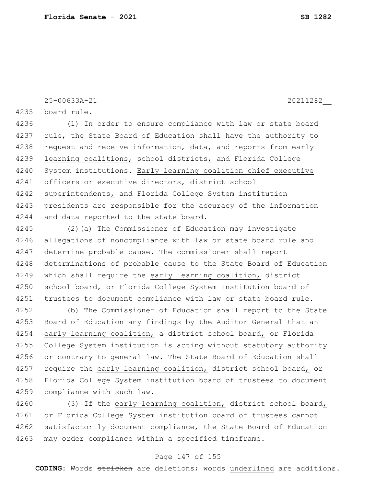25-00633A-21 20211282\_\_

4235 board rule.

4236 (1) In order to ensure compliance with law or state board 4237 rule, the State Board of Education shall have the authority to 4238 request and receive information, data, and reports from early 4239 learning coalitions, school districts, and Florida College 4240 System institutions. Early learning coalition chief executive 4241 officers or executive directors, district school 4242 superintendents, and Florida College System institution 4243 presidents are responsible for the accuracy of the information 4244 and data reported to the state board.

4245 (2)(a) The Commissioner of Education may investigate 4246 allegations of noncompliance with law or state board rule and 4247 determine probable cause. The commissioner shall report 4248 determinations of probable cause to the State Board of Education 4249 which shall require the early learning coalition, district 4250 school board, or Florida College System institution board of 4251 trustees to document compliance with law or state board rule.

4252 (b) The Commissioner of Education shall report to the State 4253 Board of Education any findings by the Auditor General that an 4254 early learning coalition,  $a$  district school board, or Florida 4255 College System institution is acting without statutory authority 4256 or contrary to general law. The State Board of Education shall 4257 require the early learning coalition, district school board, or 4258 Florida College System institution board of trustees to document 4259 compliance with such law.

4260 (3) If the early learning coalition, district school board, 4261 or Florida College System institution board of trustees cannot 4262 satisfactorily document compliance, the State Board of Education 4263 may order compliance within a specified timeframe.

#### Page 147 of 155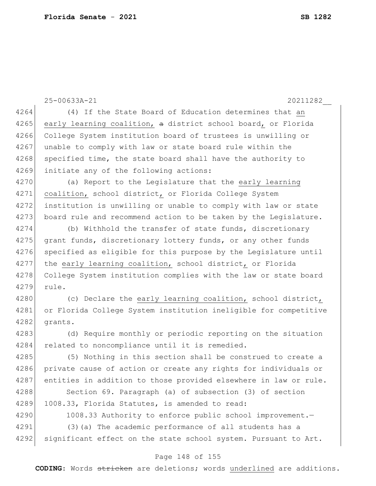|      | 25-00633A-21<br>20211282                                         |
|------|------------------------------------------------------------------|
| 4264 | (4) If the State Board of Education determines that an           |
| 4265 | early learning coalition, a district school board, or Florida    |
| 4266 | College System institution board of trustees is unwilling or     |
| 4267 | unable to comply with law or state board rule within the         |
| 4268 | specified time, the state board shall have the authority to      |
| 4269 | initiate any of the following actions:                           |
| 4270 | (a) Report to the Legislature that the early learning            |
| 4271 | coalition, school district, or Florida College System            |
| 4272 | institution is unwilling or unable to comply with law or state   |
| 4273 | board rule and recommend action to be taken by the Legislature.  |
| 4274 | (b) Withhold the transfer of state funds, discretionary          |
| 4275 | grant funds, discretionary lottery funds, or any other funds     |
| 4276 | specified as eligible for this purpose by the Legislature until  |
| 4277 | the early learning coalition, school district, or Florida        |
| 4278 | College System institution complies with the law or state board  |
| 4279 | rule.                                                            |
| 4280 | (c) Declare the early learning coalition, school district,       |
| 4281 | or Florida College System institution ineligible for competitive |
| 4282 | grants.                                                          |
| 4283 | (d) Require monthly or periodic reporting on the situation       |
| 4284 | related to noncompliance until it is remedied.                   |
| 4285 | (5) Nothing in this section shall be construed to create a       |
| 4286 | private cause of action or create any rights for individuals or  |
| 4287 | entities in addition to those provided elsewhere in law or rule. |
| 4288 | Section 69. Paragraph (a) of subsection (3) of section           |
| 4289 | 1008.33, Florida Statutes, is amended to read:                   |
| 4290 | 1008.33 Authority to enforce public school improvement.-         |
| 4291 | (3) (a) The academic performance of all students has a           |
| 4292 | significant effect on the state school system. Pursuant to Art.  |
|      |                                                                  |

### Page 148 of 155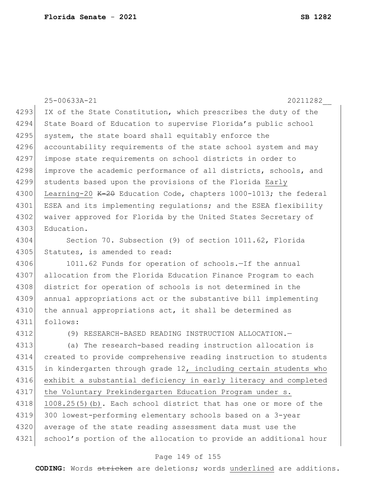25-00633A-21 20211282\_\_ 4293 IX of the State Constitution, which prescribes the duty of the 4294 State Board of Education to supervise Florida's public school 4295 system, the state board shall equitably enforce the 4296 accountability requirements of the state school system and may 4297 impose state requirements on school districts in order to 4298 improve the academic performance of all districts, schools, and 4299 students based upon the provisions of the Florida Early 4300 Learning-20  $K-20$  Education Code, chapters 1000-1013; the federal 4301 ESEA and its implementing regulations; and the ESEA flexibility 4302 waiver approved for Florida by the United States Secretary of 4303 Education. 4304 Section 70. Subsection (9) of section 1011.62, Florida 4305 Statutes, is amended to read: 4306 1011.62 Funds for operation of schools.—If the annual 4307 allocation from the Florida Education Finance Program to each 4308 district for operation of schools is not determined in the 4309 annual appropriations act or the substantive bill implementing 4310 the annual appropriations act, it shall be determined as 4311 follows: 4312 (9) RESEARCH-BASED READING INSTRUCTION ALLOCATION.— 4313 (a) The research-based reading instruction allocation is 4314 created to provide comprehensive reading instruction to students 4315 in kindergarten through grade 12, including certain students who 4316 exhibit a substantial deficiency in early literacy and completed 4317 the Voluntary Prekindergarten Education Program under s. 4318 1008.25(5)(b). Each school district that has one or more of the 4319 300 lowest-performing elementary schools based on a 3-year

Page 149 of 155

4321 school's portion of the allocation to provide an additional hour

4320 average of the state reading assessment data must use the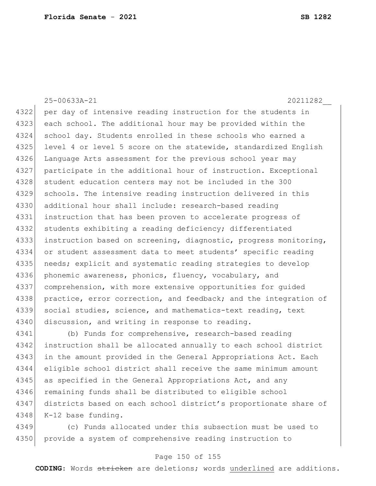25-00633A-21 20211282\_\_ 4322 per day of intensive reading instruction for the students in 4323 each school. The additional hour may be provided within the 4324 school day. Students enrolled in these schools who earned a 4325 level 4 or level 5 score on the statewide, standardized English 4326 Language Arts assessment for the previous school year may 4327 participate in the additional hour of instruction. Exceptional 4328 student education centers may not be included in the 300 4329 schools. The intensive reading instruction delivered in this 4330 additional hour shall include: research-based reading 4331 instruction that has been proven to accelerate progress of 4332 students exhibiting a reading deficiency; differentiated 4333 instruction based on screening, diagnostic, progress monitoring, 4334 or student assessment data to meet students' specific reading 4335 needs; explicit and systematic reading strategies to develop 4336 phonemic awareness, phonics, fluency, vocabulary, and 4337 comprehension, with more extensive opportunities for guided 4338 practice, error correction, and feedback; and the integration of 4339 social studies, science, and mathematics-text reading, text 4340 discussion, and writing in response to reading.

4341 (b) Funds for comprehensive, research-based reading 4342 instruction shall be allocated annually to each school district 4343 in the amount provided in the General Appropriations Act. Each 4344 eligible school district shall receive the same minimum amount 4345 as specified in the General Appropriations Act, and any 4346 remaining funds shall be distributed to eligible school 4347 districts based on each school district's proportionate share of 4348 K-12 base funding.

4349 (c) Funds allocated under this subsection must be used to 4350 provide a system of comprehensive reading instruction to

### Page 150 of 155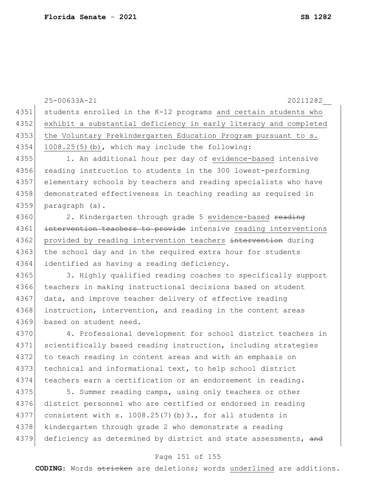25-00633A-21 20211282\_\_ 4351 students enrolled in the K-12 programs and certain students who 4352 exhibit a substantial deficiency in early literacy and completed 4353 the Voluntary Prekindergarten Education Program pursuant to s. 4354 1008.25(5)(b), which may include the following: 4355 1. An additional hour per day of evidence-based intensive 4356 reading instruction to students in the 300 lowest-performing 4357 elementary schools by teachers and reading specialists who have 4358 demonstrated effectiveness in teaching reading as required in 4359 paragraph (a). 4360 2. Kindergarten through grade 5 evidence-based reading 4361 intervention teachers to provide intensive reading interventions 4362 provided by reading intervention teachers intervention during 4363 the school day and in the required extra hour for students 4364 identified as having a reading deficiency. 4365 3. Highly qualified reading coaches to specifically support 4366 teachers in making instructional decisions based on student 4367 data, and improve teacher delivery of effective reading 4368 instruction, intervention, and reading in the content areas 4369 based on student need. 4370 4. Professional development for school district teachers in 4371 scientifically based reading instruction, including strategies 4372 to teach reading in content areas and with an emphasis on 4373 technical and informational text, to help school district 4374 teachers earn a certification or an endorsement in reading. 4375 5. Summer reading camps, using only teachers or other 4376 district personnel who are certified or endorsed in reading 4377 consistent with s. 1008.25(7)(b)3., for all students in 4378 kindergarten through grade 2 who demonstrate a reading

### 4379 deficiency as determined by district and state assessments, and

#### Page 151 of 155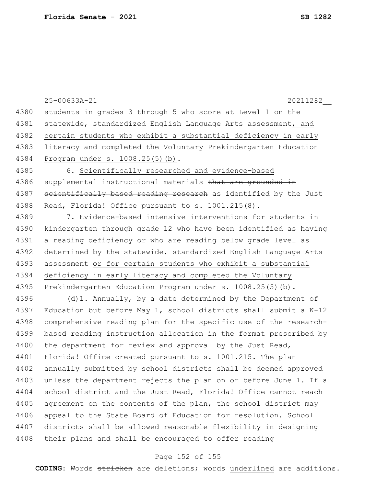|      | 25-00633A-21<br>20211282                                           |
|------|--------------------------------------------------------------------|
| 4380 | students in grades 3 through 5 who score at Level 1 on the         |
| 4381 | statewide, standardized English Language Arts assessment, and      |
| 4382 | certain students who exhibit a substantial deficiency in early     |
| 4383 | literacy and completed the Voluntary Prekindergarten Education     |
| 4384 | Program under s. 1008.25(5)(b).                                    |
| 4385 | 6. Scientifically researched and evidence-based                    |
| 4386 | supplemental instructional materials that are grounded in          |
| 4387 | scientifically based reading research as identified by the Just    |
| 4388 | Read, Florida! Office pursuant to s. 1001.215(8).                  |
| 4389 | 7. Evidence-based intensive interventions for students in          |
| 4390 | kindergarten through grade 12 who have been identified as having   |
| 4391 | a reading deficiency or who are reading below grade level as       |
| 4392 | determined by the statewide, standardized English Language Arts    |
| 4393 | assessment or for certain students who exhibit a substantial       |
| 4394 | deficiency in early literacy and completed the Voluntary           |
| 4395 | Prekindergarten Education Program under s. 1008.25(5)(b).          |
| 4396 | $(d)$ 1. Annually, by a date determined by the Department of       |
| 4397 | Education but before May 1, school districts shall submit a $K-12$ |
| 4398 | comprehensive reading plan for the specific use of the research-   |
| 4399 | based reading instruction allocation in the format prescribed by   |
| 4400 | the department for review and approval by the Just Read,           |
| 4401 | Florida! Office created pursuant to s. 1001.215. The plan          |
| 4402 | annually submitted by school districts shall be deemed approved    |
| 4403 | unless the department rejects the plan on or before June 1. If a   |
| 4404 | school district and the Just Read, Florida! Office cannot reach    |
| 4405 | agreement on the contents of the plan, the school district may     |
| 4406 | appeal to the State Board of Education for resolution. School      |
| 4407 | districts shall be allowed reasonable flexibility in designing     |
| 4408 | their plans and shall be encouraged to offer reading               |
|      |                                                                    |

# Page 152 of 155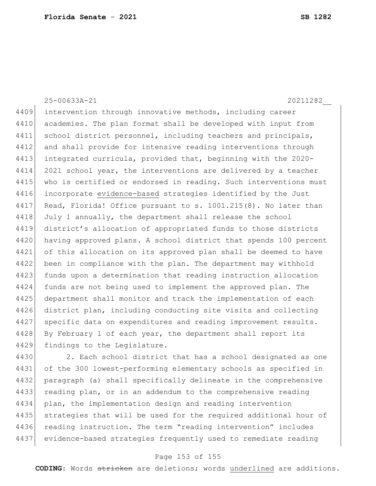25-00633A-21 20211282\_\_ 4409 intervention through innovative methods, including career 4410 academies. The plan format shall be developed with input from 4411 school district personnel, including teachers and principals, 4412 and shall provide for intensive reading interventions through 4413 integrated curricula, provided that, beginning with the 2020- 4414 2021 school year, the interventions are delivered by a teacher 4415 who is certified or endorsed in reading. Such interventions must 4416 incorporate evidence-based strategies identified by the Just 4417 Read, Florida! Office pursuant to s. 1001.215(8). No later than 4418 July 1 annually, the department shall release the school 4419 district's allocation of appropriated funds to those districts 4420 having approved plans. A school district that spends 100 percent 4421 of this allocation on its approved plan shall be deemed to have 4422 been in compliance with the plan. The department may withhold 4423 funds upon a determination that reading instruction allocation 4424 funds are not being used to implement the approved plan. The 4425 department shall monitor and track the implementation of each 4426 district plan, including conducting site visits and collecting 4427 specific data on expenditures and reading improvement results. 4428 By February 1 of each year, the department shall report its 4429 findings to the Legislature.

4430 2. Each school district that has a school designated as one 4431 of the 300 lowest-performing elementary schools as specified in 4432 paragraph (a) shall specifically delineate in the comprehensive 4433 reading plan, or in an addendum to the comprehensive reading 4434 plan, the implementation design and reading intervention 4435 strategies that will be used for the required additional hour of 4436 reading instruction. The term "reading intervention" includes 4437 evidence-based strategies frequently used to remediate reading

### Page 153 of 155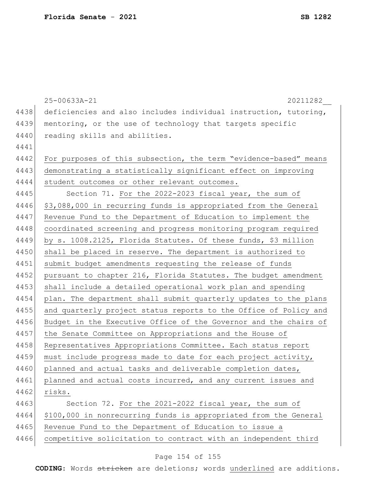|      | 25-00633A-21<br>20211282                                         |
|------|------------------------------------------------------------------|
| 4438 | deficiencies and also includes individual instruction, tutoring, |
| 4439 | mentoring, or the use of technology that targets specific        |
| 4440 | reading skills and abilities.                                    |
| 4441 |                                                                  |
| 4442 | For purposes of this subsection, the term "evidence-based" means |
| 4443 | demonstrating a statistically significant effect on improving    |
| 4444 | student outcomes or other relevant outcomes.                     |
| 4445 | Section 71. For the 2022-2023 fiscal year, the sum of            |
| 4446 | \$3,088,000 in recurring funds is appropriated from the General  |
| 4447 | Revenue Fund to the Department of Education to implement the     |
| 4448 | coordinated screening and progress monitoring program required   |
| 4449 | by s. 1008.2125, Florida Statutes. Of these funds, \$3 million   |
| 4450 | shall be placed in reserve. The department is authorized to      |
| 4451 | submit budget amendments requesting the release of funds         |
| 4452 | pursuant to chapter 216, Florida Statutes. The budget amendment  |
| 4453 | shall include a detailed operational work plan and spending      |
| 4454 | plan. The department shall submit quarterly updates to the plans |
| 4455 | and quarterly project status reports to the Office of Policy and |
| 4456 | Budget in the Executive Office of the Governor and the chairs of |
| 4457 | the Senate Committee on Appropriations and the House of          |
| 4458 | Representatives Appropriations Committee. Each status report     |
| 4459 | must include progress made to date for each project activity,    |
| 4460 | planned and actual tasks and deliverable completion dates,       |
| 4461 | planned and actual costs incurred, and any current issues and    |
| 4462 | risks.                                                           |
| 4463 | Section 72. For the 2021-2022 fiscal year, the sum of            |
| 4464 | \$100,000 in nonrecurring funds is appropriated from the General |
| 4465 | Revenue Fund to the Department of Education to issue a           |
| 4466 | competitive solicitation to contract with an independent third   |

# Page 154 of 155